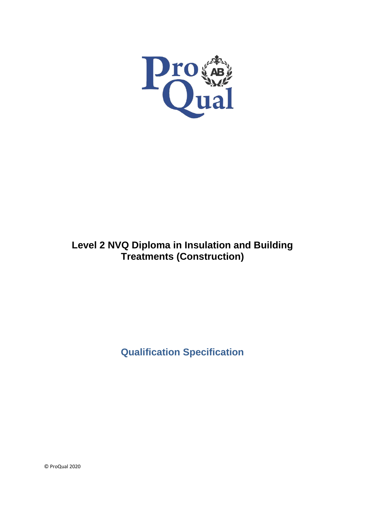

# **Level 2 NVQ Diploma in Insulation and Building Treatments (Construction)**

**Qualification Specification**

© ProQual 2020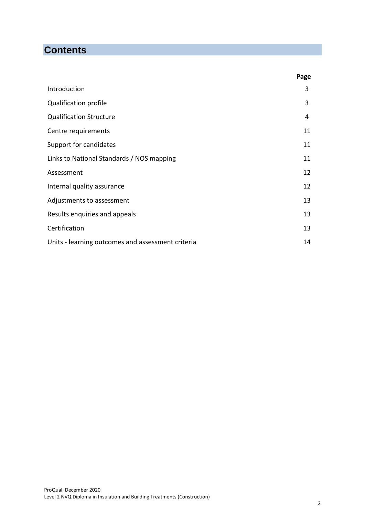# **Contents**

|                                                   | Page |
|---------------------------------------------------|------|
| Introduction                                      | 3    |
| <b>Qualification profile</b>                      | 3    |
| <b>Qualification Structure</b>                    | 4    |
| Centre requirements                               | 11   |
| Support for candidates                            | 11   |
| Links to National Standards / NOS mapping         | 11   |
| Assessment                                        | 12   |
| Internal quality assurance                        | 12   |
| Adjustments to assessment                         | 13   |
| Results enquiries and appeals                     | 13   |
| Certification                                     | 13   |
| Units - learning outcomes and assessment criteria | 14   |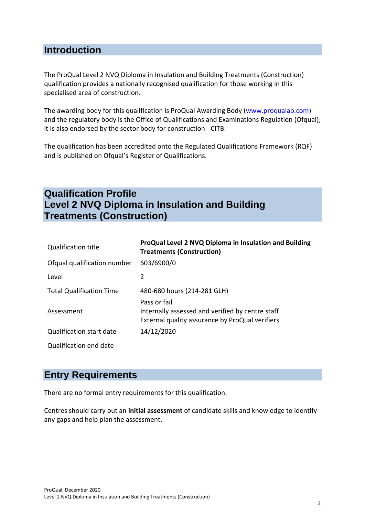### **Introduction**

The ProQual Level 2 NVQ Diploma in Insulation and Building Treatments (Construction) qualification provides a nationally recognised qualification for those working in this specialised area of construction.

The awarding body for this qualification is ProQual Awarding Body [\(www.proqualab.com\)](http://www.proqualab.com/) and the regulatory body is the Office of Qualifications and Examinations Regulation (Ofqual); it is also endorsed by the sector body for construction - CITB.

The qualification has been accredited onto the Regulated Qualifications Framework (RQF) and is published on Ofqual's Register of Qualifications.

## **Qualification Profile Level 2 NVQ Diploma in Insulation and Building Treatments (Construction)**

| <b>Qualification title</b>      | ProQual Level 2 NVQ Diploma in Insulation and Building<br><b>Treatments (Construction)</b>                          |
|---------------------------------|---------------------------------------------------------------------------------------------------------------------|
| Ofqual qualification number     | 603/6900/0                                                                                                          |
| Level                           | 2                                                                                                                   |
| <b>Total Qualification Time</b> | 480-680 hours (214-281 GLH)                                                                                         |
| Assessment                      | Pass or fail<br>Internally assessed and verified by centre staff<br>External quality assurance by ProQual verifiers |
| Qualification start date        | 14/12/2020                                                                                                          |
| Qualification end date          |                                                                                                                     |

### **Entry Requirements**

There are no formal entry requirements for this qualification.

Centres should carry out an **initial assessment** of candidate skills and knowledge to identify any gaps and help plan the assessment.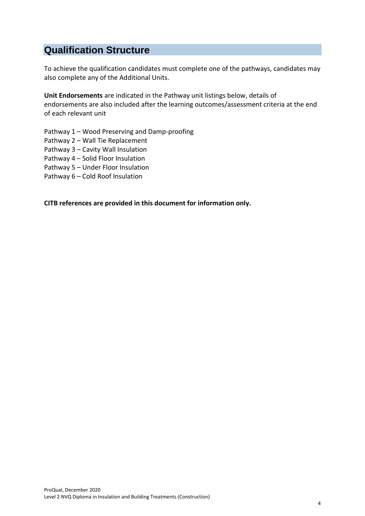## **Qualification Structure**

To achieve the qualification candidates must complete one of the pathways, candidates may also complete any of the Additional Units.

**Unit Endorsements** are indicated in the Pathway unit listings below, details of endorsements are also included after the learning outcomes/assessment criteria at the end of each relevant unit

Pathway 1 – Wood Preserving and Damp-proofing

Pathway 2 – Wall Tie Replacement

Pathway 3 – Cavity Wall Insulation

Pathway 4 – Solid Floor Insulation

Pathway 5 – Under Floor Insulation

Pathway 6 – Cold Roof Insulation

**CITB references are provided in this document for information only.**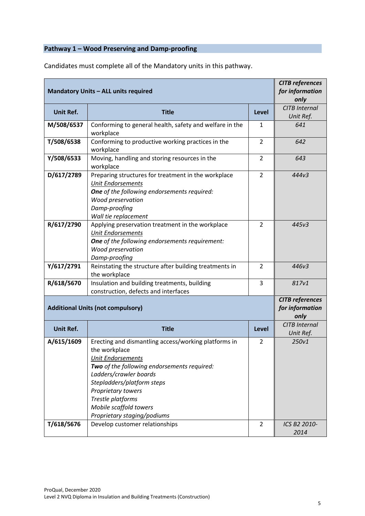### **Pathway 1 – Wood Preserving and Damp-proofing**

| <b>Mandatory Units - ALL units required</b> | <b>CITB</b> references<br>for information<br>only                                                                                                                                                                                                                                                            |                  |                                                   |  |  |  |  |
|---------------------------------------------|--------------------------------------------------------------------------------------------------------------------------------------------------------------------------------------------------------------------------------------------------------------------------------------------------------------|------------------|---------------------------------------------------|--|--|--|--|
| <b>Unit Ref.</b>                            | <b>Title</b><br>Level                                                                                                                                                                                                                                                                                        |                  |                                                   |  |  |  |  |
| M/508/6537                                  | Conforming to general health, safety and welfare in the<br>workplace                                                                                                                                                                                                                                         | Unit Ref.<br>641 |                                                   |  |  |  |  |
| T/508/6538                                  | Conforming to productive working practices in the<br>workplace                                                                                                                                                                                                                                               | $\overline{2}$   | 642                                               |  |  |  |  |
| Y/508/6533                                  | Moving, handling and storing resources in the<br>$\overline{2}$<br>643<br>workplace                                                                                                                                                                                                                          |                  |                                                   |  |  |  |  |
| D/617/2789                                  | Preparing structures for treatment in the workplace<br><b>Unit Endorsements</b><br><b>One</b> of the following endorsements required:<br>Wood preservation<br>Damp-proofing<br>Wall tie replacement                                                                                                          | 444v3            |                                                   |  |  |  |  |
| R/617/2790                                  | Applying preservation treatment in the workplace<br><b>Unit Endorsements</b><br>One of the following endorsements requirement:<br>Wood preservation<br>Damp-proofing                                                                                                                                         | $\overline{2}$   | 445v3                                             |  |  |  |  |
| Y/617/2791                                  | Reinstating the structure after building treatments in<br>the workplace                                                                                                                                                                                                                                      | $\overline{2}$   | 446v3                                             |  |  |  |  |
| R/618/5670                                  | Insulation and building treatments, building<br>construction, defects and interfaces                                                                                                                                                                                                                         | 817v1            |                                                   |  |  |  |  |
|                                             | <b>Additional Units (not compulsory)</b>                                                                                                                                                                                                                                                                     |                  | <b>CITB</b> references<br>for information<br>only |  |  |  |  |
| <b>Unit Ref.</b>                            | <b>Title</b>                                                                                                                                                                                                                                                                                                 | <b>Level</b>     | <b>CITB Internal</b><br>Unit Ref.                 |  |  |  |  |
| A/615/1609                                  | Erecting and dismantling access/working platforms in<br>the workplace<br><b>Unit Endorsements</b><br>Two of the following endorsements required:<br>Ladders/crawler boards<br>Stepladders/platform steps<br>Proprietary towers<br>Trestle platforms<br>Mobile scaffold towers<br>Proprietary staging/podiums | 2                | 250v1                                             |  |  |  |  |
| T/618/5676                                  | Develop customer relationships                                                                                                                                                                                                                                                                               | 2                | ICS B2 2010-<br>2014                              |  |  |  |  |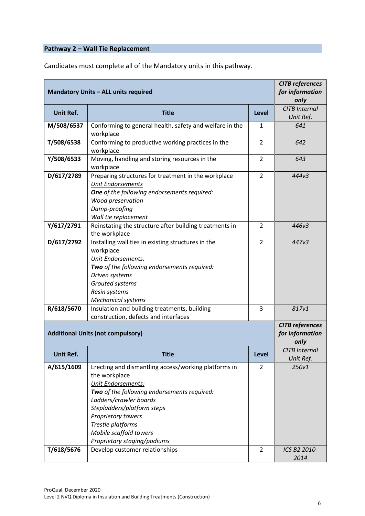# **Pathway 2 – Wall Tie Replacement**

| <b>Mandatory Units - ALL units required</b> | <b>CITB</b> references<br>for information<br>only                                                                                                                                                                                                                                                      |                                   |                                                   |
|---------------------------------------------|--------------------------------------------------------------------------------------------------------------------------------------------------------------------------------------------------------------------------------------------------------------------------------------------------------|-----------------------------------|---------------------------------------------------|
| <b>Unit Ref.</b>                            | <b>Title</b>                                                                                                                                                                                                                                                                                           | <b>CITB Internal</b><br>Unit Ref. |                                                   |
| M/508/6537                                  | Conforming to general health, safety and welfare in the<br>workplace                                                                                                                                                                                                                                   | 1                                 | 641                                               |
| T/508/6538                                  | Conforming to productive working practices in the<br>workplace                                                                                                                                                                                                                                         | 642                               |                                                   |
| Y/508/6533                                  | Moving, handling and storing resources in the<br>workplace                                                                                                                                                                                                                                             | 643                               |                                                   |
| D/617/2789                                  | Preparing structures for treatment in the workplace<br>Unit Endorsements<br><b>One</b> of the following endorsements required:<br>Wood preservation<br>Damp-proofing<br>Wall tie replacement                                                                                                           | 444v3                             |                                                   |
| Y/617/2791                                  | Reinstating the structure after building treatments in<br>the workplace                                                                                                                                                                                                                                | $\overline{2}$                    | 446v3                                             |
| D/617/2792                                  | Installing wall ties in existing structures in the<br>workplace<br>Unit Endorsements:<br>Two of the following endorsements required:<br>Driven systems<br>Grouted systems<br>Resin systems<br>Mechanical systems                                                                                       | $\overline{2}$                    | 447v3                                             |
| R/618/5670                                  | 3                                                                                                                                                                                                                                                                                                      | 817v1                             |                                                   |
|                                             | <b>Additional Units (not compulsory)</b>                                                                                                                                                                                                                                                               |                                   | <b>CITB</b> references<br>for information<br>only |
| Unit Ref.                                   | Title                                                                                                                                                                                                                                                                                                  | Level                             | <b>CITB</b> Internal<br>Unit Ref.                 |
| A/615/1609                                  | Erecting and dismantling access/working platforms in<br>the workplace<br>Unit Endorsements:<br>Two of the following endorsements required:<br>Ladders/crawler boards<br>Stepladders/platform steps<br>Proprietary towers<br>Trestle platforms<br>Mobile scaffold towers<br>Proprietary staging/podiums | 2                                 | 250v1                                             |
| T/618/5676                                  | Develop customer relationships                                                                                                                                                                                                                                                                         | $\overline{2}$                    | ICS B2 2010-<br>2014                              |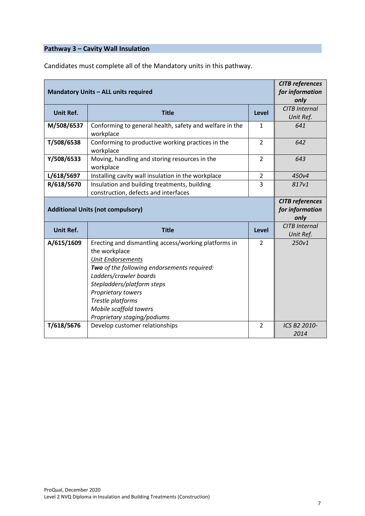### **Pathway 3 – Cavity Wall Insulation**

| <b>Mandatory Units - ALL units required</b> | <b>CITB</b> references<br>for information<br>only                                                                                                                                                                                                   |                |                                                   |  |  |  |  |
|---------------------------------------------|-----------------------------------------------------------------------------------------------------------------------------------------------------------------------------------------------------------------------------------------------------|----------------|---------------------------------------------------|--|--|--|--|
| <b>Unit Ref.</b>                            | <b>Title</b><br><b>Level</b>                                                                                                                                                                                                                        |                |                                                   |  |  |  |  |
| M/508/6537                                  | Conforming to general health, safety and welfare in the<br>workplace                                                                                                                                                                                | 641            |                                                   |  |  |  |  |
| T/508/6538                                  | Conforming to productive working practices in the<br>workplace                                                                                                                                                                                      | $\overline{2}$ | 642                                               |  |  |  |  |
| Y/508/6533                                  | Moving, handling and storing resources in the<br>workplace                                                                                                                                                                                          | $\overline{2}$ | 643                                               |  |  |  |  |
| L/618/5697                                  | Installing cavity wall insulation in the workplace                                                                                                                                                                                                  | $\overline{2}$ | 450v4                                             |  |  |  |  |
| R/618/5670                                  | Insulation and building treatments, building<br>construction, defects and interfaces                                                                                                                                                                | 817v1          |                                                   |  |  |  |  |
|                                             | <b>Additional Units (not compulsory)</b>                                                                                                                                                                                                            |                | <b>CITB</b> references<br>for information<br>only |  |  |  |  |
| <b>Unit Ref.</b>                            | <b>Title</b>                                                                                                                                                                                                                                        | <b>Level</b>   | <b>CITB Internal</b><br>Unit Ref.                 |  |  |  |  |
| A/615/1609                                  | Erecting and dismantling access/working platforms in<br>the workplace<br><b>Unit Endorsements</b><br>Two of the following endorsements required:<br>Ladders/crawler boards<br>Stepladders/platform steps<br>Proprietary towers<br>Trestle platforms | $\overline{2}$ | 250v1                                             |  |  |  |  |
| T/618/5676                                  | Mobile scaffold towers<br>Proprietary staging/podiums<br>Develop customer relationships                                                                                                                                                             | $\overline{2}$ |                                                   |  |  |  |  |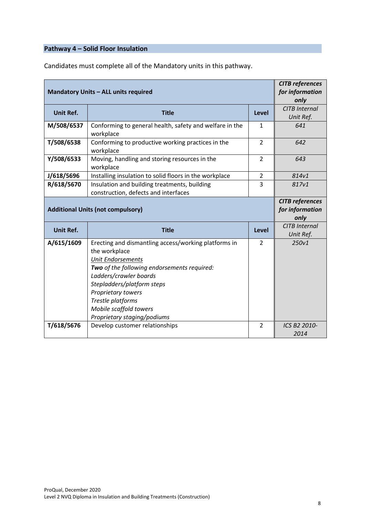# **Pathway 4 – Solid Floor Insulation**

|                  | <b>Mandatory Units - ALL units required</b>                                                                                                                                                                                                                                                                  |                | <b>CITB</b> references<br>for information<br>only |  |  |  |  |
|------------------|--------------------------------------------------------------------------------------------------------------------------------------------------------------------------------------------------------------------------------------------------------------------------------------------------------------|----------------|---------------------------------------------------|--|--|--|--|
| <b>Unit Ref.</b> | <b>Title</b><br>Level                                                                                                                                                                                                                                                                                        |                |                                                   |  |  |  |  |
| M/508/6537       | Conforming to general health, safety and welfare in the<br>workplace                                                                                                                                                                                                                                         | $\mathbf{1}$   | 641                                               |  |  |  |  |
| T/508/6538       | Conforming to productive working practices in the<br>workplace                                                                                                                                                                                                                                               | $\overline{2}$ | 642                                               |  |  |  |  |
| Y/508/6533       | Moving, handling and storing resources in the<br>workplace                                                                                                                                                                                                                                                   | $\overline{2}$ | 643                                               |  |  |  |  |
| J/618/5696       | Installing insulation to solid floors in the workplace                                                                                                                                                                                                                                                       | $\overline{2}$ | 814v1                                             |  |  |  |  |
| R/618/5670       | Insulation and building treatments, building<br>construction, defects and interfaces                                                                                                                                                                                                                         | 3              | 817v1                                             |  |  |  |  |
|                  | <b>Additional Units (not compulsory)</b>                                                                                                                                                                                                                                                                     |                | <b>CITB</b> references<br>for information         |  |  |  |  |
|                  |                                                                                                                                                                                                                                                                                                              |                | only                                              |  |  |  |  |
| <b>Unit Ref.</b> | <b>Title</b>                                                                                                                                                                                                                                                                                                 | <b>Level</b>   | <b>CITB Internal</b><br>Unit Ref.                 |  |  |  |  |
| A/615/1609       | Erecting and dismantling access/working platforms in<br>the workplace<br><b>Unit Endorsements</b><br>Two of the following endorsements required:<br>Ladders/crawler boards<br>Stepladders/platform steps<br>Proprietary towers<br>Trestle platforms<br>Mobile scaffold towers<br>Proprietary staging/podiums | $\overline{2}$ | 250v1                                             |  |  |  |  |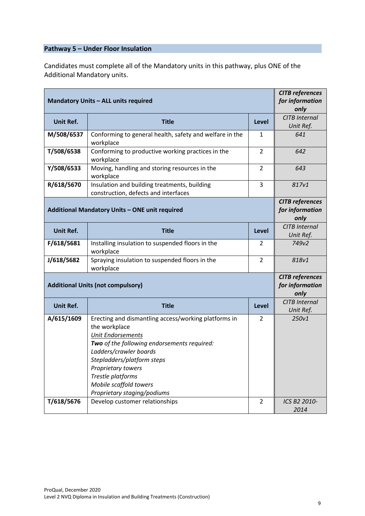#### **Pathway 5 – Under Floor Insulation**

Candidates must complete all of the Mandatory units in this pathway, plus ONE of the Additional Mandatory units.

| <b>Mandatory Units - ALL units required</b> | <b>CITB</b> references<br>for information                                                                                                                                                                                                                                                                    |                                   |                                                   |
|---------------------------------------------|--------------------------------------------------------------------------------------------------------------------------------------------------------------------------------------------------------------------------------------------------------------------------------------------------------------|-----------------------------------|---------------------------------------------------|
|                                             |                                                                                                                                                                                                                                                                                                              |                                   | only                                              |
| Unit Ref.                                   | <b>CITB Internal</b><br>Unit Ref.                                                                                                                                                                                                                                                                            |                                   |                                                   |
| M/508/6537                                  | Conforming to general health, safety and welfare in the<br>workplace                                                                                                                                                                                                                                         | 641                               |                                                   |
| T/508/6538                                  | Conforming to productive working practices in the<br>workplace                                                                                                                                                                                                                                               | 642                               |                                                   |
| Y/508/6533                                  | Moving, handling and storing resources in the<br>workplace                                                                                                                                                                                                                                                   | $\overline{2}$                    | 643                                               |
| R/618/5670                                  | Insulation and building treatments, building<br>construction, defects and interfaces                                                                                                                                                                                                                         | 3                                 | 817v1                                             |
|                                             | Additional Mandatory Units - ONE unit required                                                                                                                                                                                                                                                               |                                   | <b>CITB</b> references<br>for information<br>only |
| <b>Unit Ref.</b>                            | <b>Title</b>                                                                                                                                                                                                                                                                                                 | <b>CITB Internal</b><br>Unit Ref. |                                                   |
| F/618/5681                                  | Installing insulation to suspended floors in the<br>workplace                                                                                                                                                                                                                                                | $\overline{2}$                    | 749v2                                             |
| J/618/5682                                  | Spraying insulation to suspended floors in the<br>workplace                                                                                                                                                                                                                                                  | 818v1                             |                                                   |
|                                             | <b>Additional Units (not compulsory)</b>                                                                                                                                                                                                                                                                     |                                   | <b>CITB</b> references<br>for information<br>only |
| <b>Unit Ref.</b>                            | <b>Title</b>                                                                                                                                                                                                                                                                                                 | Level                             | CITB Internal<br>Unit Ref.                        |
| A/615/1609                                  | Erecting and dismantling access/working platforms in<br>the workplace<br><b>Unit Endorsements</b><br>Two of the following endorsements required:<br>Ladders/crawler boards<br>Stepladders/platform steps<br>Proprietary towers<br>Trestle platforms<br>Mobile scaffold towers<br>Proprietary staging/podiums | $\overline{2}$                    | 250v1                                             |
| T/618/5676                                  | Develop customer relationships                                                                                                                                                                                                                                                                               | $\overline{2}$                    | ICS B2 2010-<br>2014                              |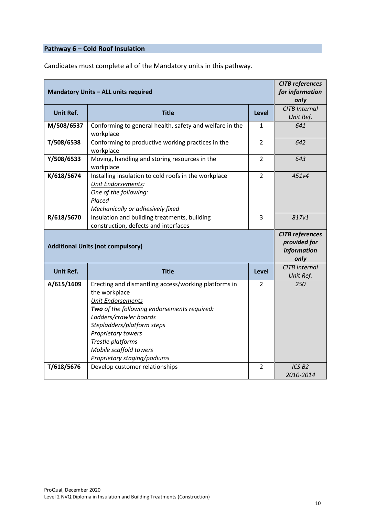# **Pathway 6 – Cold Roof Insulation**

| <b>Mandatory Units - ALL units required</b> | <b>CITB</b> references<br>for information<br>only                                                                                                                                                                                                                                                            |                                   |                                                               |
|---------------------------------------------|--------------------------------------------------------------------------------------------------------------------------------------------------------------------------------------------------------------------------------------------------------------------------------------------------------------|-----------------------------------|---------------------------------------------------------------|
| Unit Ref.                                   | <b>Title</b>                                                                                                                                                                                                                                                                                                 | <b>CITB Internal</b><br>Unit Ref. |                                                               |
| M/508/6537                                  | Conforming to general health, safety and welfare in the<br>workplace                                                                                                                                                                                                                                         | 641                               |                                                               |
| T/508/6538                                  | Conforming to productive working practices in the<br>workplace                                                                                                                                                                                                                                               | 642                               |                                                               |
| Y/508/6533                                  | Moving, handling and storing resources in the<br>workplace                                                                                                                                                                                                                                                   | $\overline{2}$                    | 643                                                           |
| K/618/5674                                  | Installing insulation to cold roofs in the workplace<br><b>Unit Endorsements:</b><br>One of the following:<br>Placed<br>Mechanically or adhesively fixed                                                                                                                                                     | 451v4                             |                                                               |
| R/618/5670                                  | Insulation and building treatments, building<br>construction, defects and interfaces                                                                                                                                                                                                                         | 817v1                             |                                                               |
|                                             |                                                                                                                                                                                                                                                                                                              |                                   |                                                               |
|                                             | <b>Additional Units (not compulsory)</b>                                                                                                                                                                                                                                                                     |                                   | <b>CITB</b> references<br>provided for<br>information<br>only |
| <b>Unit Ref.</b>                            | <b>Title</b>                                                                                                                                                                                                                                                                                                 | <b>Level</b>                      | <b>CITB Internal</b><br>Unit Ref.                             |
| A/615/1609                                  | Erecting and dismantling access/working platforms in<br>the workplace<br><b>Unit Endorsements</b><br>Two of the following endorsements required:<br>Ladders/crawler boards<br>Stepladders/platform steps<br>Proprietary towers<br>Trestle platforms<br>Mobile scaffold towers<br>Proprietary staging/podiums | 2                                 | 250                                                           |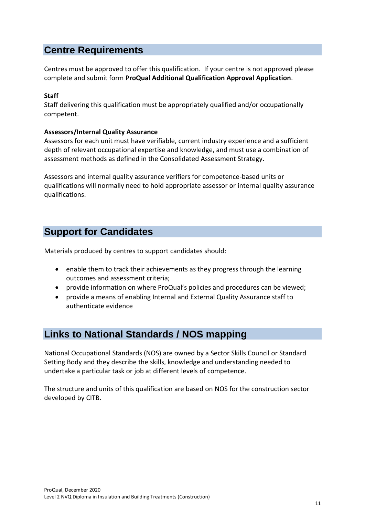## **Centre Requirements**

Centres must be approved to offer this qualification. If your centre is not approved please complete and submit form **ProQual Additional Qualification Approval Application**.

#### **Staff**

Staff delivering this qualification must be appropriately qualified and/or occupationally competent.

#### **Assessors/Internal Quality Assurance**

Assessors for each unit must have verifiable, current industry experience and a sufficient depth of relevant occupational expertise and knowledge, and must use a combination of assessment methods as defined in the Consolidated Assessment Strategy.

Assessors and internal quality assurance verifiers for competence-based units or qualifications will normally need to hold appropriate assessor or internal quality assurance qualifications.

## **Support for Candidates**

Materials produced by centres to support candidates should:

- enable them to track their achievements as they progress through the learning outcomes and assessment criteria;
- provide information on where ProQual's policies and procedures can be viewed;
- provide a means of enabling Internal and External Quality Assurance staff to authenticate evidence

## **Links to National Standards / NOS mapping**

National Occupational Standards (NOS) are owned by a Sector Skills Council or Standard Setting Body and they describe the skills, knowledge and understanding needed to undertake a particular task or job at different levels of competence.

The structure and units of this qualification are based on NOS for the construction sector developed by CITB.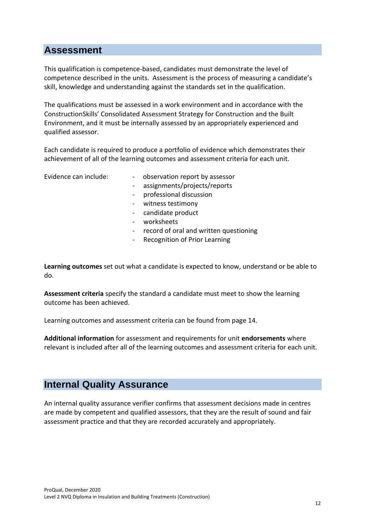### **Assessment**

This qualification is competence-based, candidates must demonstrate the level of competence described in the units. Assessment is the process of measuring a candidate's skill, knowledge and understanding against the standards set in the qualification.

The qualifications must be assessed in a work environment and in accordance with the ConstructionSkills' Consolidated Assessment Strategy for Construction and the Built Environment, and it must be internally assessed by an appropriately experienced and qualified assessor.

Each candidate is required to produce a portfolio of evidence which demonstrates their achievement of all of the learning outcomes and assessment criteria for each unit.

- Evidence can include:  $\qquad \qquad \qquad$  observation report by assessor
	- assignments/projects/reports
	- professional discussion
	- witness testimony
	- candidate product
	- worksheets
	- record of oral and written questioning
	- Recognition of Prior Learning

**Learning outcomes** set out what a candidate is expected to know, understand or be able to do.

**Assessment criteria** specify the standard a candidate must meet to show the learning outcome has been achieved.

Learning outcomes and assessment criteria can be found from page 14.

**Additional information** for assessment and requirements for unit **endorsements** where relevant is included after all of the learning outcomes and assessment criteria for each unit.

### **Internal Quality Assurance**

An internal quality assurance verifier confirms that assessment decisions made in centres are made by competent and qualified assessors, that they are the result of sound and fair assessment practice and that they are recorded accurately and appropriately.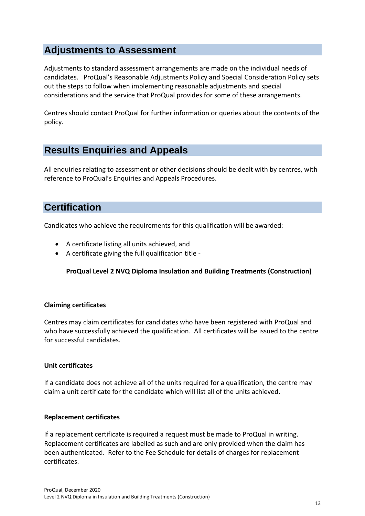## **Adjustments to Assessment**

Adjustments to standard assessment arrangements are made on the individual needs of candidates. ProQual's Reasonable Adjustments Policy and Special Consideration Policy sets out the steps to follow when implementing reasonable adjustments and special considerations and the service that ProQual provides for some of these arrangements.

Centres should contact ProQual for further information or queries about the contents of the policy.

# **Results Enquiries and Appeals**

All enquiries relating to assessment or other decisions should be dealt with by centres, with reference to ProQual's Enquiries and Appeals Procedures.

# **Certification**

Candidates who achieve the requirements for this qualification will be awarded:

- A certificate listing all units achieved, and
- A certificate giving the full qualification title -

#### **ProQual Level 2 NVQ Diploma Insulation and Building Treatments (Construction)**

#### **Claiming certificates**

Centres may claim certificates for candidates who have been registered with ProQual and who have successfully achieved the qualification. All certificates will be issued to the centre for successful candidates.

#### **Unit certificates**

If a candidate does not achieve all of the units required for a qualification, the centre may claim a unit certificate for the candidate which will list all of the units achieved.

#### **Replacement certificates**

If a replacement certificate is required a request must be made to ProQual in writing. Replacement certificates are labelled as such and are only provided when the claim has been authenticated. Refer to the Fee Schedule for details of charges for replacement certificates.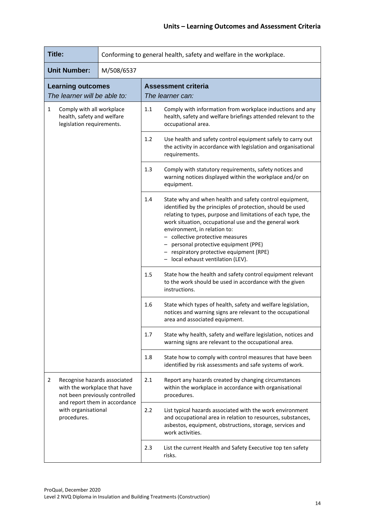| <b>Title:</b>                                                                                                                                                              | Conforming to general health, safety and welfare in the workplace. |                                                                                                                                                                                                                                                                                                                                                                                                                                                    |
|----------------------------------------------------------------------------------------------------------------------------------------------------------------------------|--------------------------------------------------------------------|----------------------------------------------------------------------------------------------------------------------------------------------------------------------------------------------------------------------------------------------------------------------------------------------------------------------------------------------------------------------------------------------------------------------------------------------------|
| <b>Unit Number:</b>                                                                                                                                                        | M/508/6537                                                         |                                                                                                                                                                                                                                                                                                                                                                                                                                                    |
| <b>Learning outcomes</b><br>The learner will be able to:                                                                                                                   |                                                                    | <b>Assessment criteria</b><br>The learner can:                                                                                                                                                                                                                                                                                                                                                                                                     |
| $\mathbf{1}$<br>Comply with all workplace<br>health, safety and welfare<br>legislation requirements.                                                                       |                                                                    | 1.1<br>Comply with information from workplace inductions and any<br>health, safety and welfare briefings attended relevant to the<br>occupational area.                                                                                                                                                                                                                                                                                            |
|                                                                                                                                                                            |                                                                    | 1.2<br>Use health and safety control equipment safely to carry out<br>the activity in accordance with legislation and organisational<br>requirements.                                                                                                                                                                                                                                                                                              |
|                                                                                                                                                                            |                                                                    | 1.3<br>Comply with statutory requirements, safety notices and<br>warning notices displayed within the workplace and/or on<br>equipment.                                                                                                                                                                                                                                                                                                            |
|                                                                                                                                                                            |                                                                    | 1.4<br>State why and when health and safety control equipment,<br>identified by the principles of protection, should be used<br>relating to types, purpose and limitations of each type, the<br>work situation, occupational use and the general work<br>environment, in relation to:<br>- collective protective measures<br>personal protective equipment (PPE)<br>- respiratory protective equipment (RPE)<br>- local exhaust ventilation (LEV). |
|                                                                                                                                                                            |                                                                    | 1.5<br>State how the health and safety control equipment relevant<br>to the work should be used in accordance with the given<br>instructions.                                                                                                                                                                                                                                                                                                      |
|                                                                                                                                                                            |                                                                    | State which types of health, safety and welfare legislation,<br>1.6<br>notices and warning signs are relevant to the occupational<br>area and associated equipment.                                                                                                                                                                                                                                                                                |
|                                                                                                                                                                            |                                                                    | 1.7<br>State why health, safety and welfare legislation, notices and<br>warning signs are relevant to the occupational area.                                                                                                                                                                                                                                                                                                                       |
|                                                                                                                                                                            |                                                                    | 1.8<br>State how to comply with control measures that have been<br>identified by risk assessments and safe systems of work.                                                                                                                                                                                                                                                                                                                        |
| Recognise hazards associated<br>2<br>with the workplace that have<br>not been previously controlled<br>and report them in accordance<br>with organisational<br>procedures. |                                                                    | 2.1<br>Report any hazards created by changing circumstances<br>within the workplace in accordance with organisational<br>procedures.                                                                                                                                                                                                                                                                                                               |
|                                                                                                                                                                            |                                                                    | 2.2<br>List typical hazards associated with the work environment<br>and occupational area in relation to resources, substances,<br>asbestos, equipment, obstructions, storage, services and<br>work activities.                                                                                                                                                                                                                                    |
|                                                                                                                                                                            |                                                                    | 2.3<br>List the current Health and Safety Executive top ten safety<br>risks.                                                                                                                                                                                                                                                                                                                                                                       |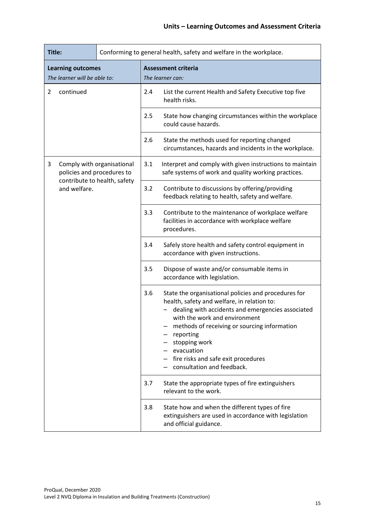|                                                               | Title:<br>Conforming to general health, safety and welfare in the workplace. |                              |                                                                                                                                                                                                                                                                                                                                                            |                                                                                                                      |
|---------------------------------------------------------------|------------------------------------------------------------------------------|------------------------------|------------------------------------------------------------------------------------------------------------------------------------------------------------------------------------------------------------------------------------------------------------------------------------------------------------------------------------------------------------|----------------------------------------------------------------------------------------------------------------------|
| <b>Learning outcomes</b><br>The learner will be able to:      |                                                                              |                              | <b>Assessment criteria</b><br>The learner can:                                                                                                                                                                                                                                                                                                             |                                                                                                                      |
| continued<br>$\overline{2}$                                   |                                                                              | 2.4                          | List the current Health and Safety Executive top five<br>health risks.                                                                                                                                                                                                                                                                                     |                                                                                                                      |
|                                                               |                                                                              | 2.5                          | State how changing circumstances within the workplace<br>could cause hazards.                                                                                                                                                                                                                                                                              |                                                                                                                      |
|                                                               |                                                                              | 2.6                          | State the methods used for reporting changed<br>circumstances, hazards and incidents in the workplace.                                                                                                                                                                                                                                                     |                                                                                                                      |
| Comply with organisational<br>3<br>policies and procedures to |                                                                              | 3.1                          | Interpret and comply with given instructions to maintain<br>safe systems of work and quality working practices.                                                                                                                                                                                                                                            |                                                                                                                      |
|                                                               | and welfare.                                                                 | contribute to health, safety | 3.2                                                                                                                                                                                                                                                                                                                                                        | Contribute to discussions by offering/providing<br>feedback relating to health, safety and welfare.                  |
|                                                               |                                                                              |                              | 3.3                                                                                                                                                                                                                                                                                                                                                        | Contribute to the maintenance of workplace welfare<br>facilities in accordance with workplace welfare<br>procedures. |
|                                                               |                                                                              |                              | 3.4                                                                                                                                                                                                                                                                                                                                                        | Safely store health and safety control equipment in<br>accordance with given instructions.                           |
|                                                               |                                                                              |                              | 3.5                                                                                                                                                                                                                                                                                                                                                        | Dispose of waste and/or consumable items in<br>accordance with legislation.                                          |
|                                                               |                                                                              | 3.6                          | State the organisational policies and procedures for<br>health, safety and welfare, in relation to:<br>dealing with accidents and emergencies associated<br>with the work and environment<br>methods of receiving or sourcing information<br>reporting<br>stopping work<br>evacuation<br>fire risks and safe exit procedures<br>consultation and feedback. |                                                                                                                      |
|                                                               |                                                                              |                              | 3.7                                                                                                                                                                                                                                                                                                                                                        | State the appropriate types of fire extinguishers<br>relevant to the work.                                           |
|                                                               |                                                                              | 3.8                          | State how and when the different types of fire<br>extinguishers are used in accordance with legislation<br>and official guidance.                                                                                                                                                                                                                          |                                                                                                                      |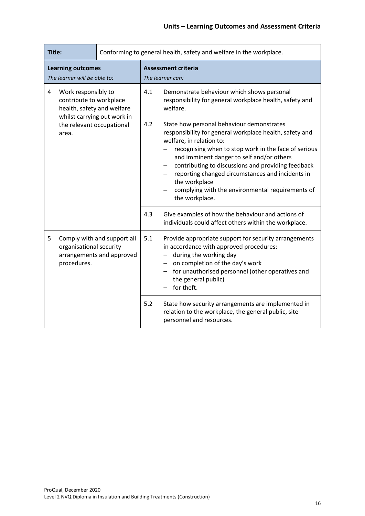| Title:                                                                                                                                                 |                                        | Conforming to general health, safety and welfare in the workplace. |                                                                                                                                                                                                                                                                                                                                                                                                                                        |                                                                                                                                                                                                                                                        |
|--------------------------------------------------------------------------------------------------------------------------------------------------------|----------------------------------------|--------------------------------------------------------------------|----------------------------------------------------------------------------------------------------------------------------------------------------------------------------------------------------------------------------------------------------------------------------------------------------------------------------------------------------------------------------------------------------------------------------------------|--------------------------------------------------------------------------------------------------------------------------------------------------------------------------------------------------------------------------------------------------------|
| <b>Learning outcomes</b><br>The learner will be able to:                                                                                               |                                        |                                                                    | <b>Assessment criteria</b><br>The learner can:                                                                                                                                                                                                                                                                                                                                                                                         |                                                                                                                                                                                                                                                        |
| 4<br>Work responsibly to<br>contribute to workplace<br>health, safety and welfare<br>whilst carrying out work in<br>the relevant occupational<br>area. |                                        | 4.1                                                                | Demonstrate behaviour which shows personal<br>responsibility for general workplace health, safety and<br>welfare.                                                                                                                                                                                                                                                                                                                      |                                                                                                                                                                                                                                                        |
|                                                                                                                                                        |                                        | 4.2                                                                | State how personal behaviour demonstrates<br>responsibility for general workplace health, safety and<br>welfare, in relation to:<br>recognising when to stop work in the face of serious<br>and imminent danger to self and/or others<br>contributing to discussions and providing feedback<br>reporting changed circumstances and incidents in<br>the workplace<br>complying with the environmental requirements of<br>the workplace. |                                                                                                                                                                                                                                                        |
|                                                                                                                                                        |                                        |                                                                    | 4.3                                                                                                                                                                                                                                                                                                                                                                                                                                    | Give examples of how the behaviour and actions of<br>individuals could affect others within the workplace.                                                                                                                                             |
| 5                                                                                                                                                      | organisational security<br>procedures. | Comply with and support all<br>arrangements and approved           | 5.1                                                                                                                                                                                                                                                                                                                                                                                                                                    | Provide appropriate support for security arrangements<br>in accordance with approved procedures:<br>during the working day<br>on completion of the day's work<br>for unauthorised personnel (other operatives and<br>the general public)<br>for theft. |
|                                                                                                                                                        |                                        | 5.2                                                                | State how security arrangements are implemented in<br>relation to the workplace, the general public, site<br>personnel and resources.                                                                                                                                                                                                                                                                                                  |                                                                                                                                                                                                                                                        |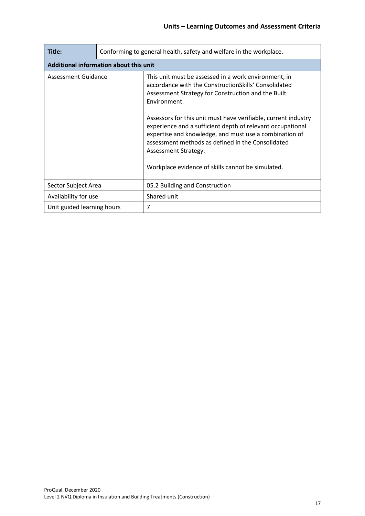| Title:                                 | Conforming to general health, safety and welfare in the workplace. |                                                                                                                                                                                                                                                                                                                                                                                                                                                                                                                |  |  |
|----------------------------------------|--------------------------------------------------------------------|----------------------------------------------------------------------------------------------------------------------------------------------------------------------------------------------------------------------------------------------------------------------------------------------------------------------------------------------------------------------------------------------------------------------------------------------------------------------------------------------------------------|--|--|
| Additional information about this unit |                                                                    |                                                                                                                                                                                                                                                                                                                                                                                                                                                                                                                |  |  |
| Assessment Guidance                    |                                                                    | This unit must be assessed in a work environment, in<br>accordance with the ConstructionSkills' Consolidated<br>Assessment Strategy for Construction and the Built<br>Environment.<br>Assessors for this unit must have verifiable, current industry<br>experience and a sufficient depth of relevant occupational<br>expertise and knowledge, and must use a combination of<br>assessment methods as defined in the Consolidated<br>Assessment Strategy.<br>Workplace evidence of skills cannot be simulated. |  |  |
| Sector Subject Area                    |                                                                    | 05.2 Building and Construction                                                                                                                                                                                                                                                                                                                                                                                                                                                                                 |  |  |
| Availability for use                   |                                                                    | Shared unit                                                                                                                                                                                                                                                                                                                                                                                                                                                                                                    |  |  |
| Unit guided learning hours             |                                                                    | 7                                                                                                                                                                                                                                                                                                                                                                                                                                                                                                              |  |  |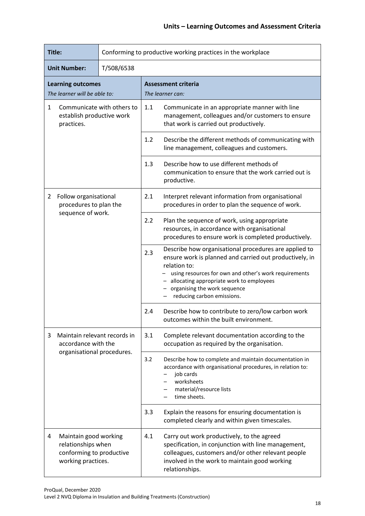| Title:                                                                                |                                                                                               | Conforming to productive working practices in the workplace |                                                                                                                                               |                                                                                                                                                                                                                                                                                                     |  |
|---------------------------------------------------------------------------------------|-----------------------------------------------------------------------------------------------|-------------------------------------------------------------|-----------------------------------------------------------------------------------------------------------------------------------------------|-----------------------------------------------------------------------------------------------------------------------------------------------------------------------------------------------------------------------------------------------------------------------------------------------------|--|
| <b>Unit Number:</b>                                                                   |                                                                                               | T/508/6538                                                  |                                                                                                                                               |                                                                                                                                                                                                                                                                                                     |  |
| <b>Learning outcomes</b><br>The learner will be able to:                              |                                                                                               |                                                             | <b>Assessment criteria</b><br>The learner can:                                                                                                |                                                                                                                                                                                                                                                                                                     |  |
| Communicate with others to<br>$\mathbf{1}$<br>establish productive work<br>practices. |                                                                                               | 1.1                                                         | Communicate in an appropriate manner with line<br>management, colleagues and/or customers to ensure<br>that work is carried out productively. |                                                                                                                                                                                                                                                                                                     |  |
|                                                                                       |                                                                                               | 1.2                                                         | Describe the different methods of communicating with<br>line management, colleagues and customers.                                            |                                                                                                                                                                                                                                                                                                     |  |
|                                                                                       |                                                                                               |                                                             | 1.3                                                                                                                                           | Describe how to use different methods of<br>communication to ensure that the work carried out is<br>productive.                                                                                                                                                                                     |  |
| 2                                                                                     | Follow organisational<br>procedures to plan the                                               |                                                             | 2.1                                                                                                                                           | Interpret relevant information from organisational<br>procedures in order to plan the sequence of work.                                                                                                                                                                                             |  |
|                                                                                       | sequence of work.                                                                             |                                                             | 2.2                                                                                                                                           | Plan the sequence of work, using appropriate<br>resources, in accordance with organisational<br>procedures to ensure work is completed productively.                                                                                                                                                |  |
|                                                                                       |                                                                                               |                                                             | 2.3                                                                                                                                           | Describe how organisational procedures are applied to<br>ensure work is planned and carried out productively, in<br>relation to:<br>using resources for own and other's work requirements<br>allocating appropriate work to employees<br>organising the work sequence<br>reducing carbon emissions. |  |
|                                                                                       |                                                                                               |                                                             | 2.4                                                                                                                                           | Describe how to contribute to zero/low carbon work<br>outcomes within the built environment.                                                                                                                                                                                                        |  |
| 3                                                                                     | Maintain relevant records in<br>accordance with the                                           |                                                             | 3.1                                                                                                                                           | Complete relevant documentation according to the<br>occupation as required by the organisation.                                                                                                                                                                                                     |  |
|                                                                                       | organisational procedures.                                                                    |                                                             | 3.2                                                                                                                                           | Describe how to complete and maintain documentation in<br>accordance with organisational procedures, in relation to:<br>job cards<br>worksheets<br>material/resource lists<br>time sheets.                                                                                                          |  |
|                                                                                       |                                                                                               |                                                             | 3.3                                                                                                                                           | Explain the reasons for ensuring documentation is<br>completed clearly and within given timescales.                                                                                                                                                                                                 |  |
| 4                                                                                     | Maintain good working<br>relationships when<br>conforming to productive<br>working practices. |                                                             | 4.1                                                                                                                                           | Carry out work productively, to the agreed<br>specification, in conjunction with line management,<br>colleagues, customers and/or other relevant people<br>involved in the work to maintain good working<br>relationships.                                                                          |  |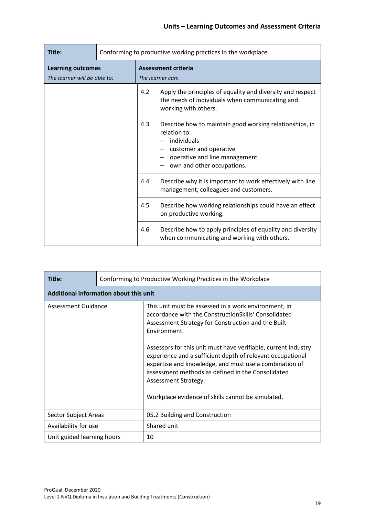| Title:                                                   | Conforming to productive working practices in the workplace |                                         |                                                                                                                                                                                 |
|----------------------------------------------------------|-------------------------------------------------------------|-----------------------------------------|---------------------------------------------------------------------------------------------------------------------------------------------------------------------------------|
| <b>Learning outcomes</b><br>The learner will be able to: |                                                             | Assessment criteria<br>The learner can: |                                                                                                                                                                                 |
|                                                          |                                                             | 4.2                                     | Apply the principles of equality and diversity and respect<br>the needs of individuals when communicating and<br>working with others.                                           |
|                                                          |                                                             | 4.3                                     | Describe how to maintain good working relationships, in<br>relation to:<br>individuals<br>customer and operative<br>operative and line management<br>own and other occupations. |
|                                                          |                                                             | 4.4                                     | Describe why it is important to work effectively with line<br>management, colleagues and customers.                                                                             |
|                                                          |                                                             | 4.5                                     | Describe how working relationships could have an effect<br>on productive working.                                                                                               |
|                                                          |                                                             | 4.6                                     | Describe how to apply principles of equality and diversity<br>when communicating and working with others.                                                                       |

| Title:                                                                                            | Conforming to Productive Working Practices in the Workplace |                                                                                                                                                                                                                                                                                                                                                                                                                                                                                                                |  |  |  |
|---------------------------------------------------------------------------------------------------|-------------------------------------------------------------|----------------------------------------------------------------------------------------------------------------------------------------------------------------------------------------------------------------------------------------------------------------------------------------------------------------------------------------------------------------------------------------------------------------------------------------------------------------------------------------------------------------|--|--|--|
|                                                                                                   | Additional information about this unit                      |                                                                                                                                                                                                                                                                                                                                                                                                                                                                                                                |  |  |  |
| Assessment Guidance<br>Sector Subject Areas<br>Availability for use<br>Unit guided learning hours |                                                             | This unit must be assessed in a work environment, in<br>accordance with the ConstructionSkills' Consolidated<br>Assessment Strategy for Construction and the Built<br>Environment.<br>Assessors for this unit must have verifiable, current industry<br>experience and a sufficient depth of relevant occupational<br>expertise and knowledge, and must use a combination of<br>assessment methods as defined in the Consolidated<br>Assessment Strategy.<br>Workplace evidence of skills cannot be simulated. |  |  |  |
|                                                                                                   |                                                             | 05.2 Building and Construction                                                                                                                                                                                                                                                                                                                                                                                                                                                                                 |  |  |  |
|                                                                                                   |                                                             | Shared unit                                                                                                                                                                                                                                                                                                                                                                                                                                                                                                    |  |  |  |
|                                                                                                   |                                                             | 10                                                                                                                                                                                                                                                                                                                                                                                                                                                                                                             |  |  |  |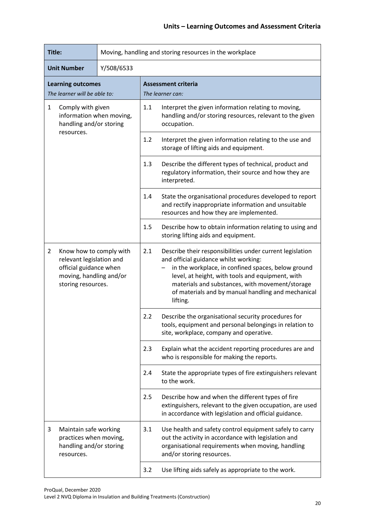| Title:                                                                                                                                           |                                                                                          | Moving, handling and storing resources in the workplace |                                                                                                                                                                                                                                                                                                                                   |                                                                                                                                                                                                  |  |
|--------------------------------------------------------------------------------------------------------------------------------------------------|------------------------------------------------------------------------------------------|---------------------------------------------------------|-----------------------------------------------------------------------------------------------------------------------------------------------------------------------------------------------------------------------------------------------------------------------------------------------------------------------------------|--------------------------------------------------------------------------------------------------------------------------------------------------------------------------------------------------|--|
| <b>Unit Number</b>                                                                                                                               |                                                                                          | Y/508/6533                                              |                                                                                                                                                                                                                                                                                                                                   |                                                                                                                                                                                                  |  |
| <b>Learning outcomes</b><br>The learner will be able to:                                                                                         |                                                                                          |                                                         | <b>Assessment criteria</b><br>The learner can:                                                                                                                                                                                                                                                                                    |                                                                                                                                                                                                  |  |
| $\mathbf{1}$<br>Comply with given<br>information when moving,<br>handling and/or storing                                                         |                                                                                          |                                                         | 1.1                                                                                                                                                                                                                                                                                                                               | Interpret the given information relating to moving,<br>handling and/or storing resources, relevant to the given<br>occupation.                                                                   |  |
|                                                                                                                                                  | resources.                                                                               |                                                         | 1.2                                                                                                                                                                                                                                                                                                                               | Interpret the given information relating to the use and<br>storage of lifting aids and equipment.                                                                                                |  |
|                                                                                                                                                  |                                                                                          |                                                         | 1.3                                                                                                                                                                                                                                                                                                                               | Describe the different types of technical, product and<br>regulatory information, their source and how they are<br>interpreted.                                                                  |  |
|                                                                                                                                                  |                                                                                          | 1.4                                                     | State the organisational procedures developed to report<br>and rectify inappropriate information and unsuitable<br>resources and how they are implemented.                                                                                                                                                                        |                                                                                                                                                                                                  |  |
|                                                                                                                                                  |                                                                                          | 1.5                                                     | Describe how to obtain information relating to using and<br>storing lifting aids and equipment.                                                                                                                                                                                                                                   |                                                                                                                                                                                                  |  |
| $\overline{2}$<br>Know how to comply with<br>relevant legislation and<br>official guidance when<br>moving, handling and/or<br>storing resources. |                                                                                          | 2.1                                                     | Describe their responsibilities under current legislation<br>and official guidance whilst working:<br>in the workplace, in confined spaces, below ground<br>level, at height, with tools and equipment, with<br>materials and substances, with movement/storage<br>of materials and by manual handling and mechanical<br>lifting. |                                                                                                                                                                                                  |  |
|                                                                                                                                                  |                                                                                          |                                                         | 2.2                                                                                                                                                                                                                                                                                                                               | Describe the organisational security procedures for<br>tools, equipment and personal belongings in relation to<br>site, workplace, company and operative.                                        |  |
|                                                                                                                                                  |                                                                                          |                                                         | 2.3                                                                                                                                                                                                                                                                                                                               | Explain what the accident reporting procedures are and<br>who is responsible for making the reports.                                                                                             |  |
|                                                                                                                                                  |                                                                                          |                                                         | 2.4                                                                                                                                                                                                                                                                                                                               | State the appropriate types of fire extinguishers relevant<br>to the work.                                                                                                                       |  |
|                                                                                                                                                  |                                                                                          |                                                         | 2.5                                                                                                                                                                                                                                                                                                                               | Describe how and when the different types of fire<br>extinguishers, relevant to the given occupation, are used<br>in accordance with legislation and official guidance.                          |  |
| 3                                                                                                                                                | Maintain safe working<br>practices when moving,<br>handling and/or storing<br>resources. |                                                         | 3.1                                                                                                                                                                                                                                                                                                                               | Use health and safety control equipment safely to carry<br>out the activity in accordance with legislation and<br>organisational requirements when moving, handling<br>and/or storing resources. |  |
|                                                                                                                                                  |                                                                                          | 3.2                                                     | Use lifting aids safely as appropriate to the work.                                                                                                                                                                                                                                                                               |                                                                                                                                                                                                  |  |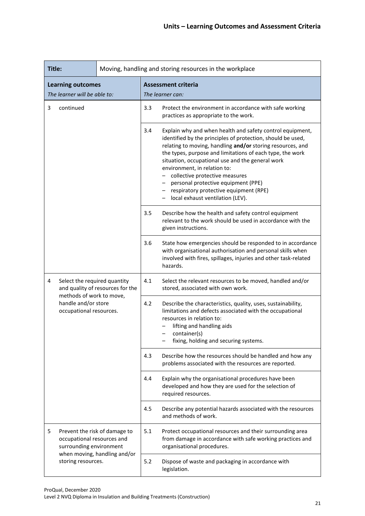| Title:                                                                |                                                                                        |     | Moving, handling and storing resources in the workplace                                                                                                                                                                                                                                                                                                                                                                                                                                              |                                                                                                                                                                                                                                             |  |  |
|-----------------------------------------------------------------------|----------------------------------------------------------------------------------------|-----|------------------------------------------------------------------------------------------------------------------------------------------------------------------------------------------------------------------------------------------------------------------------------------------------------------------------------------------------------------------------------------------------------------------------------------------------------------------------------------------------------|---------------------------------------------------------------------------------------------------------------------------------------------------------------------------------------------------------------------------------------------|--|--|
| <b>Learning outcomes</b><br>The learner will be able to:              |                                                                                        |     | <b>Assessment criteria</b><br>The learner can:                                                                                                                                                                                                                                                                                                                                                                                                                                                       |                                                                                                                                                                                                                                             |  |  |
| 3                                                                     | continued                                                                              |     | 3.3                                                                                                                                                                                                                                                                                                                                                                                                                                                                                                  | Protect the environment in accordance with safe working<br>practices as appropriate to the work.                                                                                                                                            |  |  |
|                                                                       |                                                                                        | 3.4 | Explain why and when health and safety control equipment,<br>identified by the principles of protection, should be used,<br>relating to moving, handling and/or storing resources, and<br>the types, purpose and limitations of each type, the work<br>situation, occupational use and the general work<br>environment, in relation to:<br>- collective protective measures<br>personal protective equipment (PPE)<br>- respiratory protective equipment (RPE)<br>- local exhaust ventilation (LEV). |                                                                                                                                                                                                                                             |  |  |
|                                                                       |                                                                                        | 3.5 | Describe how the health and safety control equipment<br>relevant to the work should be used in accordance with the<br>given instructions.                                                                                                                                                                                                                                                                                                                                                            |                                                                                                                                                                                                                                             |  |  |
|                                                                       |                                                                                        |     | 3.6                                                                                                                                                                                                                                                                                                                                                                                                                                                                                                  | State how emergencies should be responded to in accordance<br>with organisational authorisation and personal skills when<br>involved with fires, spillages, injuries and other task-related<br>hazards.                                     |  |  |
| 4<br>Select the required quantity<br>and quality of resources for the |                                                                                        | 4.1 | Select the relevant resources to be moved, handled and/or<br>stored, associated with own work.                                                                                                                                                                                                                                                                                                                                                                                                       |                                                                                                                                                                                                                                             |  |  |
|                                                                       | methods of work to move,<br>handle and/or store<br>occupational resources.             |     | 4.2                                                                                                                                                                                                                                                                                                                                                                                                                                                                                                  | Describe the characteristics, quality, uses, sustainability,<br>limitations and defects associated with the occupational<br>resources in relation to:<br>lifting and handling aids<br>container(s)<br>fixing, holding and securing systems. |  |  |
|                                                                       |                                                                                        |     | 4.3                                                                                                                                                                                                                                                                                                                                                                                                                                                                                                  | Describe how the resources should be handled and how any<br>problems associated with the resources are reported.                                                                                                                            |  |  |
|                                                                       |                                                                                        |     | 4.4                                                                                                                                                                                                                                                                                                                                                                                                                                                                                                  | Explain why the organisational procedures have been<br>developed and how they are used for the selection of<br>required resources.                                                                                                          |  |  |
|                                                                       |                                                                                        |     | 4.5                                                                                                                                                                                                                                                                                                                                                                                                                                                                                                  | Describe any potential hazards associated with the resources<br>and methods of work.                                                                                                                                                        |  |  |
| 5                                                                     | Prevent the risk of damage to<br>occupational resources and<br>surrounding environment |     | 5.1                                                                                                                                                                                                                                                                                                                                                                                                                                                                                                  | Protect occupational resources and their surrounding area<br>from damage in accordance with safe working practices and<br>organisational procedures.                                                                                        |  |  |
| when moving, handling and/or<br>storing resources.                    |                                                                                        | 5.2 | Dispose of waste and packaging in accordance with<br>legislation.                                                                                                                                                                                                                                                                                                                                                                                                                                    |                                                                                                                                                                                                                                             |  |  |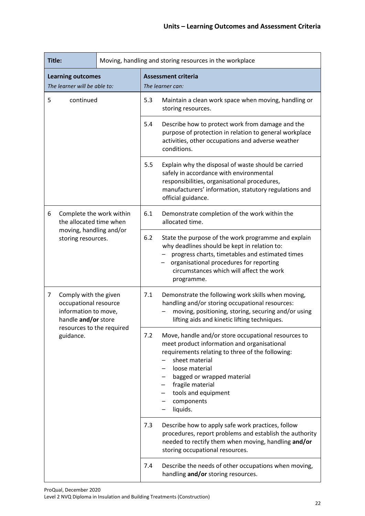| Title:                                                                                                          | Moving, handling and storing resources in the workplace |                                                                                                                                                                                                                                                                                                      |  |
|-----------------------------------------------------------------------------------------------------------------|---------------------------------------------------------|------------------------------------------------------------------------------------------------------------------------------------------------------------------------------------------------------------------------------------------------------------------------------------------------------|--|
| <b>Learning outcomes</b><br>The learner will be able to:                                                        |                                                         | <b>Assessment criteria</b><br>The learner can:                                                                                                                                                                                                                                                       |  |
| 5<br>continued                                                                                                  |                                                         | 5.3<br>Maintain a clean work space when moving, handling or<br>storing resources.                                                                                                                                                                                                                    |  |
|                                                                                                                 |                                                         | 5.4<br>Describe how to protect work from damage and the<br>purpose of protection in relation to general workplace<br>activities, other occupations and adverse weather<br>conditions.                                                                                                                |  |
|                                                                                                                 |                                                         | 5.5<br>Explain why the disposal of waste should be carried<br>safely in accordance with environmental<br>responsibilities, organisational procedures,<br>manufacturers' information, statutory regulations and<br>official guidance.                                                                 |  |
| Complete the work within<br>6<br>the allocated time when<br>moving, handling and/or<br>storing resources.       |                                                         | 6.1<br>Demonstrate completion of the work within the<br>allocated time.                                                                                                                                                                                                                              |  |
|                                                                                                                 |                                                         | 6.2<br>State the purpose of the work programme and explain<br>why deadlines should be kept in relation to:<br>progress charts, timetables and estimated times<br>organisational procedures for reporting<br>circumstances which will affect the work<br>programme.                                   |  |
| $\overline{7}$<br>Comply with the given<br>occupational resource<br>information to move,<br>handle and/or store |                                                         | 7.1<br>Demonstrate the following work skills when moving,<br>handling and/or storing occupational resources:<br>moving, positioning, storing, securing and/or using<br>lifting aids and kinetic lifting techniques.                                                                                  |  |
| guidance.                                                                                                       | resources to the required                               | Move, handle and/or store occupational resources to<br>7.2<br>meet product information and organisational<br>requirements relating to three of the following:<br>sheet material<br>loose material<br>bagged or wrapped material<br>fragile material<br>tools and equipment<br>components<br>liquids. |  |
|                                                                                                                 |                                                         | Describe how to apply safe work practices, follow<br>7.3<br>procedures, report problems and establish the authority<br>needed to rectify them when moving, handling and/or<br>storing occupational resources.                                                                                        |  |
|                                                                                                                 |                                                         | Describe the needs of other occupations when moving,<br>7.4<br>handling and/or storing resources.                                                                                                                                                                                                    |  |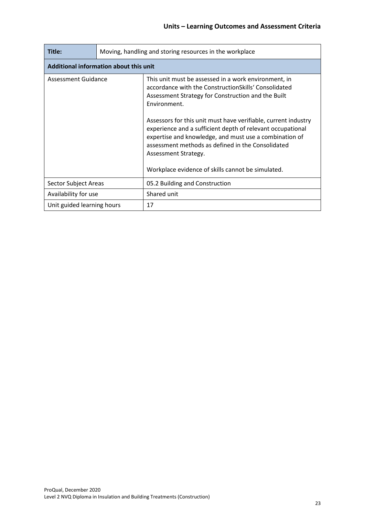| Title:                                 | Moving, handling and storing resources in the workplace |                                                                                                                                                                                                                                                                                                                                                                                                                                                                                                                |  |
|----------------------------------------|---------------------------------------------------------|----------------------------------------------------------------------------------------------------------------------------------------------------------------------------------------------------------------------------------------------------------------------------------------------------------------------------------------------------------------------------------------------------------------------------------------------------------------------------------------------------------------|--|
| Additional information about this unit |                                                         |                                                                                                                                                                                                                                                                                                                                                                                                                                                                                                                |  |
| Assessment Guidance                    |                                                         | This unit must be assessed in a work environment, in<br>accordance with the ConstructionSkills' Consolidated<br>Assessment Strategy for Construction and the Built<br>Environment.<br>Assessors for this unit must have verifiable, current industry<br>experience and a sufficient depth of relevant occupational<br>expertise and knowledge, and must use a combination of<br>assessment methods as defined in the Consolidated<br>Assessment Strategy.<br>Workplace evidence of skills cannot be simulated. |  |
| Sector Subject Areas                   |                                                         | 05.2 Building and Construction                                                                                                                                                                                                                                                                                                                                                                                                                                                                                 |  |
| Availability for use                   |                                                         | Shared unit                                                                                                                                                                                                                                                                                                                                                                                                                                                                                                    |  |
| Unit guided learning hours             |                                                         | 17                                                                                                                                                                                                                                                                                                                                                                                                                                                                                                             |  |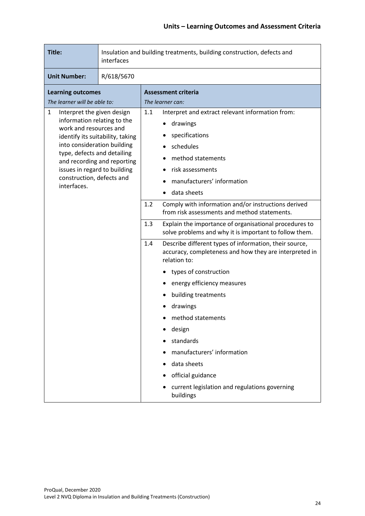| Title:                                                                                                                                                                                                                             | Insulation and building treatments, building construction, defects and<br>interfaces |                                                                                                                                                                                                                                                                                                                                                                                                                                                                                                                                                                                                                                                                                                                                                                                                                                                    |  |  |
|------------------------------------------------------------------------------------------------------------------------------------------------------------------------------------------------------------------------------------|--------------------------------------------------------------------------------------|----------------------------------------------------------------------------------------------------------------------------------------------------------------------------------------------------------------------------------------------------------------------------------------------------------------------------------------------------------------------------------------------------------------------------------------------------------------------------------------------------------------------------------------------------------------------------------------------------------------------------------------------------------------------------------------------------------------------------------------------------------------------------------------------------------------------------------------------------|--|--|
| <b>Unit Number:</b>                                                                                                                                                                                                                | R/618/5670                                                                           |                                                                                                                                                                                                                                                                                                                                                                                                                                                                                                                                                                                                                                                                                                                                                                                                                                                    |  |  |
| <b>Learning outcomes</b><br>The learner will be able to:                                                                                                                                                                           |                                                                                      | <b>Assessment criteria</b><br>The learner can:                                                                                                                                                                                                                                                                                                                                                                                                                                                                                                                                                                                                                                                                                                                                                                                                     |  |  |
| Interpret the given design<br>1<br>information relating to the<br>work and resources and<br>into consideration building<br>type, defects and detailing<br>issues in regard to building<br>construction, defects and<br>interfaces. | identify its suitability, taking<br>and recording and reporting                      | 1.1<br>Interpret and extract relevant information from:<br>drawings<br>specifications<br>schedules<br>method statements<br>risk assessments<br>manufacturers' information<br>data sheets<br>Comply with information and/or instructions derived<br>1.2<br>from risk assessments and method statements.<br>1.3<br>Explain the importance of organisational procedures to<br>solve problems and why it is important to follow them.<br>1.4<br>Describe different types of information, their source,<br>accuracy, completeness and how they are interpreted in<br>relation to:<br>types of construction<br>energy efficiency measures<br>building treatments<br>drawings<br>method statements<br>design<br>standards<br>manufacturers' information<br>data sheets<br>official guidance<br>current legislation and regulations governing<br>buildings |  |  |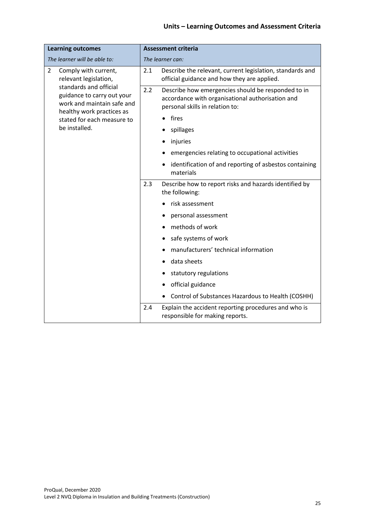#### **Units – Learning Outcomes and Assessment Criteria**

| <b>Learning outcomes</b>                                                           | <b>Assessment criteria</b>                                                                                                                       |  |  |
|------------------------------------------------------------------------------------|--------------------------------------------------------------------------------------------------------------------------------------------------|--|--|
| The learner will be able to:                                                       | The learner can:                                                                                                                                 |  |  |
| $\overline{2}$<br>Comply with current,<br>relevant legislation,                    | 2.1<br>Describe the relevant, current legislation, standards and<br>official guidance and how they are applied.                                  |  |  |
| standards and official<br>guidance to carry out your<br>work and maintain safe and | 2.2<br>Describe how emergencies should be responded to in<br>accordance with organisational authorisation and<br>personal skills in relation to: |  |  |
| healthy work practices as<br>stated for each measure to                            | • fires                                                                                                                                          |  |  |
| be installed.                                                                      | spillages                                                                                                                                        |  |  |
|                                                                                    | injuries                                                                                                                                         |  |  |
|                                                                                    | emergencies relating to occupational activities                                                                                                  |  |  |
|                                                                                    | identification of and reporting of asbestos containing<br>materials                                                                              |  |  |
|                                                                                    | 2.3<br>Describe how to report risks and hazards identified by<br>the following:                                                                  |  |  |
|                                                                                    | risk assessment                                                                                                                                  |  |  |
|                                                                                    | personal assessment                                                                                                                              |  |  |
|                                                                                    | methods of work                                                                                                                                  |  |  |
|                                                                                    | safe systems of work                                                                                                                             |  |  |
|                                                                                    | manufacturers' technical information                                                                                                             |  |  |
|                                                                                    | data sheets                                                                                                                                      |  |  |
|                                                                                    | statutory regulations                                                                                                                            |  |  |
|                                                                                    | official guidance                                                                                                                                |  |  |
|                                                                                    | Control of Substances Hazardous to Health (COSHH)                                                                                                |  |  |
|                                                                                    | Explain the accident reporting procedures and who is<br>2.4<br>responsible for making reports.                                                   |  |  |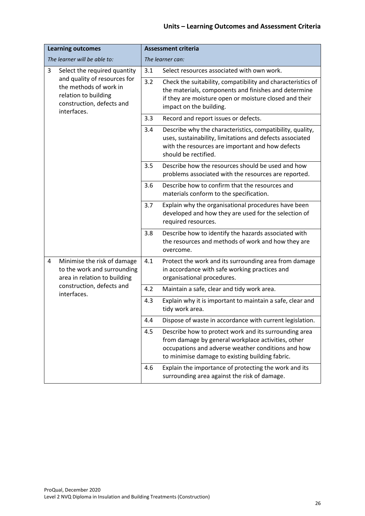#### **Units – Learning Outcomes and Assessment Criteria**

| <b>Learning outcomes</b>                                                                                                   |     | <b>Assessment criteria</b>                                                                                                                                                                                           |
|----------------------------------------------------------------------------------------------------------------------------|-----|----------------------------------------------------------------------------------------------------------------------------------------------------------------------------------------------------------------------|
| The learner will be able to:                                                                                               |     | The learner can:                                                                                                                                                                                                     |
| 3<br>Select the required quantity                                                                                          | 3.1 | Select resources associated with own work.                                                                                                                                                                           |
| and quality of resources for<br>the methods of work in<br>relation to building<br>construction, defects and<br>interfaces. | 3.2 | Check the suitability, compatibility and characteristics of<br>the materials, components and finishes and determine<br>if they are moisture open or moisture closed and their<br>impact on the building.             |
|                                                                                                                            | 3.3 | Record and report issues or defects.                                                                                                                                                                                 |
|                                                                                                                            | 3.4 | Describe why the characteristics, compatibility, quality,<br>uses, sustainability, limitations and defects associated<br>with the resources are important and how defects<br>should be rectified.                    |
|                                                                                                                            | 3.5 | Describe how the resources should be used and how<br>problems associated with the resources are reported.                                                                                                            |
|                                                                                                                            | 3.6 | Describe how to confirm that the resources and<br>materials conform to the specification.                                                                                                                            |
|                                                                                                                            | 3.7 | Explain why the organisational procedures have been<br>developed and how they are used for the selection of<br>required resources.                                                                                   |
|                                                                                                                            | 3.8 | Describe how to identify the hazards associated with<br>the resources and methods of work and how they are<br>overcome.                                                                                              |
| Minimise the risk of damage<br>4<br>to the work and surrounding<br>area in relation to building                            | 4.1 | Protect the work and its surrounding area from damage<br>in accordance with safe working practices and<br>organisational procedures.                                                                                 |
| construction, defects and<br>interfaces.                                                                                   | 4.2 | Maintain a safe, clear and tidy work area.                                                                                                                                                                           |
|                                                                                                                            | 4.3 | Explain why it is important to maintain a safe, clear and<br>tidy work area.                                                                                                                                         |
|                                                                                                                            | 4.4 | Dispose of waste in accordance with current legislation.                                                                                                                                                             |
|                                                                                                                            | 4.5 | Describe how to protect work and its surrounding area<br>from damage by general workplace activities, other<br>occupations and adverse weather conditions and how<br>to minimise damage to existing building fabric. |
|                                                                                                                            | 4.6 | Explain the importance of protecting the work and its<br>surrounding area against the risk of damage.                                                                                                                |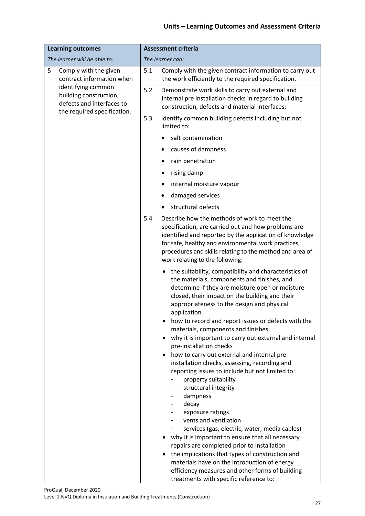#### **Units – Learning Outcomes and Assessment Criteria**

| <b>Learning outcomes</b>                                                                                 | <b>Assessment criteria</b>                                                                                                                                                                                                                                                                                                                                                                                                                                                                                                                                                                                                                                                                                                                                                                                                                                                                                                                                                                                                                                                               |  |
|----------------------------------------------------------------------------------------------------------|------------------------------------------------------------------------------------------------------------------------------------------------------------------------------------------------------------------------------------------------------------------------------------------------------------------------------------------------------------------------------------------------------------------------------------------------------------------------------------------------------------------------------------------------------------------------------------------------------------------------------------------------------------------------------------------------------------------------------------------------------------------------------------------------------------------------------------------------------------------------------------------------------------------------------------------------------------------------------------------------------------------------------------------------------------------------------------------|--|
| The learner will be able to:                                                                             | The learner can:                                                                                                                                                                                                                                                                                                                                                                                                                                                                                                                                                                                                                                                                                                                                                                                                                                                                                                                                                                                                                                                                         |  |
| 5<br>Comply with the given<br>contract information when                                                  | Comply with the given contract information to carry out<br>5.1<br>the work efficiently to the required specification.                                                                                                                                                                                                                                                                                                                                                                                                                                                                                                                                                                                                                                                                                                                                                                                                                                                                                                                                                                    |  |
| identifying common<br>building construction,<br>defects and interfaces to<br>the required specification. | 5.2<br>Demonstrate work skills to carry out external and<br>internal pre installation checks in regard to building<br>construction, defects and material interfaces:                                                                                                                                                                                                                                                                                                                                                                                                                                                                                                                                                                                                                                                                                                                                                                                                                                                                                                                     |  |
|                                                                                                          | Identify common building defects including but not<br>5.3<br>limited to:                                                                                                                                                                                                                                                                                                                                                                                                                                                                                                                                                                                                                                                                                                                                                                                                                                                                                                                                                                                                                 |  |
|                                                                                                          | salt contamination<br>$\bullet$                                                                                                                                                                                                                                                                                                                                                                                                                                                                                                                                                                                                                                                                                                                                                                                                                                                                                                                                                                                                                                                          |  |
|                                                                                                          | causes of dampness                                                                                                                                                                                                                                                                                                                                                                                                                                                                                                                                                                                                                                                                                                                                                                                                                                                                                                                                                                                                                                                                       |  |
|                                                                                                          | rain penetration                                                                                                                                                                                                                                                                                                                                                                                                                                                                                                                                                                                                                                                                                                                                                                                                                                                                                                                                                                                                                                                                         |  |
|                                                                                                          | rising damp                                                                                                                                                                                                                                                                                                                                                                                                                                                                                                                                                                                                                                                                                                                                                                                                                                                                                                                                                                                                                                                                              |  |
|                                                                                                          | internal moisture vapour                                                                                                                                                                                                                                                                                                                                                                                                                                                                                                                                                                                                                                                                                                                                                                                                                                                                                                                                                                                                                                                                 |  |
|                                                                                                          | damaged services                                                                                                                                                                                                                                                                                                                                                                                                                                                                                                                                                                                                                                                                                                                                                                                                                                                                                                                                                                                                                                                                         |  |
|                                                                                                          | structural defects                                                                                                                                                                                                                                                                                                                                                                                                                                                                                                                                                                                                                                                                                                                                                                                                                                                                                                                                                                                                                                                                       |  |
|                                                                                                          | Describe how the methods of work to meet the<br>5.4<br>specification, are carried out and how problems are<br>identified and reported by the application of knowledge<br>for safe, healthy and environmental work practices,<br>procedures and skills relating to the method and area of<br>work relating to the following:                                                                                                                                                                                                                                                                                                                                                                                                                                                                                                                                                                                                                                                                                                                                                              |  |
|                                                                                                          | • the suitability, compatibility and characteristics of<br>the materials, components and finishes, and<br>determine if they are moisture open or moisture<br>closed, their impact on the building and their<br>appropriateness to the design and physical<br>application<br>how to record and report issues or defects with the<br>materials, components and finishes<br>why it is important to carry out external and internal<br>pre-installation checks<br>how to carry out external and internal pre-<br>٠<br>installation checks, assessing, recording and<br>reporting issues to include but not limited to:<br>property suitability<br>structural integrity<br>dampness<br>decay<br>exposure ratings<br>vents and ventilation<br>services (gas, electric, water, media cables)<br>why it is important to ensure that all necessary<br>repairs are completed prior to installation<br>the implications that types of construction and<br>materials have on the introduction of energy<br>efficiency measures and other forms of building<br>treatments with specific reference to: |  |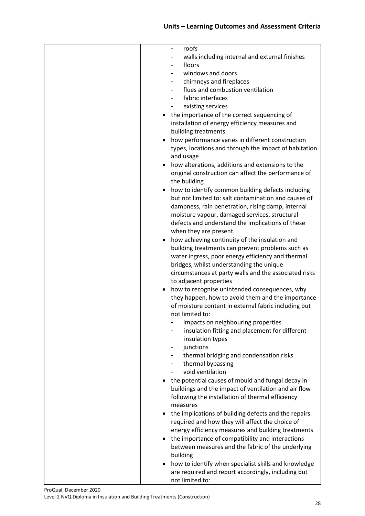| roofs<br>-                                            |
|-------------------------------------------------------|
| walls including internal and external finishes        |
| floors                                                |
| windows and doors                                     |
|                                                       |
| chimneys and fireplaces                               |
| flues and combustion ventilation                      |
| fabric interfaces                                     |
| existing services                                     |
| the importance of the correct sequencing of           |
| installation of energy efficiency measures and        |
|                                                       |
| building treatments                                   |
| how performance varies in different construction      |
| types, locations and through the impact of habitation |
| and usage                                             |
| how alterations, additions and extensions to the      |
|                                                       |
| original construction can affect the performance of   |
| the building                                          |
| how to identify common building defects including     |
| but not limited to: salt contamination and causes of  |
| dampness, rain penetration, rising damp, internal     |
| moisture vapour, damaged services, structural         |
|                                                       |
| defects and understand the implications of these      |
| when they are present                                 |
| how achieving continuity of the insulation and        |
| building treatments can prevent problems such as      |
| water ingress, poor energy efficiency and thermal     |
| bridges, whilst understanding the unique              |
|                                                       |
| circumstances at party walls and the associated risks |
| to adjacent properties                                |
| how to recognise unintended consequences, why         |
| they happen, how to avoid them and the importance     |
| of moisture content in external fabric including but  |
| not limited to:                                       |
| impacts on neighbouring properties                    |
|                                                       |
| insulation fitting and placement for different        |
| insulation types                                      |
| junctions                                             |
| thermal bridging and condensation risks               |
| thermal bypassing                                     |
| void ventilation                                      |
|                                                       |
| the potential causes of mould and fungal decay in     |
| buildings and the impact of ventilation and air flow  |
| following the installation of thermal efficiency      |
| measures                                              |
| the implications of building defects and the repairs  |
| required and how they will affect the choice of       |
|                                                       |
| energy efficiency measures and building treatments    |
| the importance of compatibility and interactions      |
| between measures and the fabric of the underlying     |
| building                                              |
| how to identify when specialist skills and knowledge  |
| are required and report accordingly, including but    |
|                                                       |
| not limited to:                                       |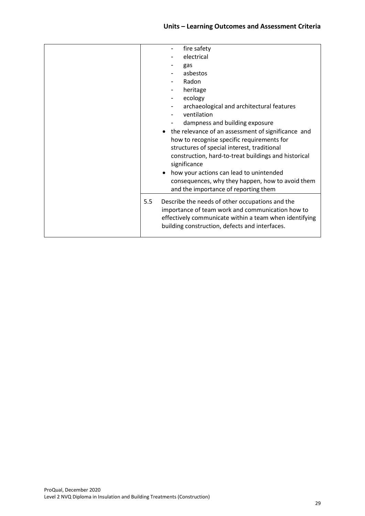|     | fire safety                                                                                                                                                                                                     |
|-----|-----------------------------------------------------------------------------------------------------------------------------------------------------------------------------------------------------------------|
|     | electrical                                                                                                                                                                                                      |
|     | gas                                                                                                                                                                                                             |
|     | asbestos                                                                                                                                                                                                        |
|     | Radon                                                                                                                                                                                                           |
|     | heritage                                                                                                                                                                                                        |
|     | ecology                                                                                                                                                                                                         |
|     | archaeological and architectural features                                                                                                                                                                       |
|     | ventilation                                                                                                                                                                                                     |
|     | dampness and building exposure                                                                                                                                                                                  |
|     | • the relevance of an assessment of significance and                                                                                                                                                            |
|     | how to recognise specific requirements for                                                                                                                                                                      |
|     | structures of special interest, traditional                                                                                                                                                                     |
|     | construction, hard-to-treat buildings and historical<br>significance                                                                                                                                            |
|     | how your actions can lead to unintended                                                                                                                                                                         |
|     | consequences, why they happen, how to avoid them<br>and the importance of reporting them                                                                                                                        |
|     |                                                                                                                                                                                                                 |
| 5.5 | Describe the needs of other occupations and the<br>importance of team work and communication how to<br>effectively communicate within a team when identifying<br>building construction, defects and interfaces. |
|     |                                                                                                                                                                                                                 |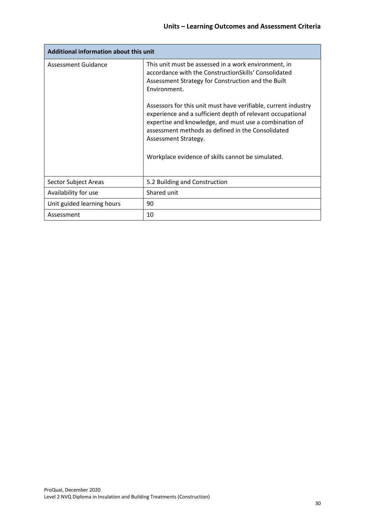| Additional information about this unit |                                                                                                                                                                                                                                                                                                                          |  |  |
|----------------------------------------|--------------------------------------------------------------------------------------------------------------------------------------------------------------------------------------------------------------------------------------------------------------------------------------------------------------------------|--|--|
| Assessment Guidance                    | This unit must be assessed in a work environment, in<br>accordance with the ConstructionSkills' Consolidated<br>Assessment Strategy for Construction and the Built<br>Environment.                                                                                                                                       |  |  |
|                                        | Assessors for this unit must have verifiable, current industry<br>experience and a sufficient depth of relevant occupational<br>expertise and knowledge, and must use a combination of<br>assessment methods as defined in the Consolidated<br>Assessment Strategy.<br>Workplace evidence of skills cannot be simulated. |  |  |
|                                        |                                                                                                                                                                                                                                                                                                                          |  |  |
| Sector Subject Areas                   | 5.2 Building and Construction                                                                                                                                                                                                                                                                                            |  |  |
| Availability for use                   | Shared unit                                                                                                                                                                                                                                                                                                              |  |  |
| Unit guided learning hours             | 90                                                                                                                                                                                                                                                                                                                       |  |  |
| Assessment                             | 10                                                                                                                                                                                                                                                                                                                       |  |  |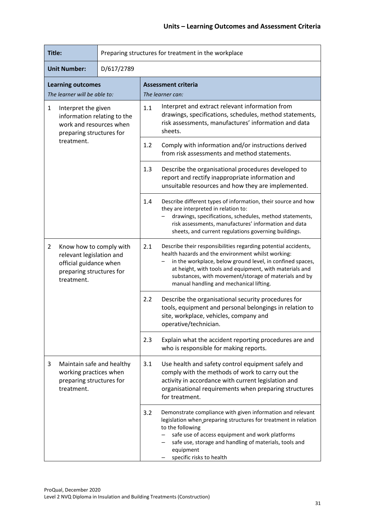| Title:<br>Preparing structures for treatment in the workplace                                                                             |            |                                                                                                                                                                                                                                                                                                                                                         |  |  |
|-------------------------------------------------------------------------------------------------------------------------------------------|------------|---------------------------------------------------------------------------------------------------------------------------------------------------------------------------------------------------------------------------------------------------------------------------------------------------------------------------------------------------------|--|--|
| <b>Unit Number:</b>                                                                                                                       | D/617/2789 |                                                                                                                                                                                                                                                                                                                                                         |  |  |
| <b>Learning outcomes</b><br>The learner will be able to:                                                                                  |            | <b>Assessment criteria</b><br>The learner can:                                                                                                                                                                                                                                                                                                          |  |  |
| 1<br>Interpret the given<br>information relating to the<br>work and resources when<br>preparing structures for                            |            | Interpret and extract relevant information from<br>1.1<br>drawings, specifications, schedules, method statements,<br>risk assessments, manufactures' information and data<br>sheets.                                                                                                                                                                    |  |  |
| treatment.                                                                                                                                |            | 1.2<br>Comply with information and/or instructions derived<br>from risk assessments and method statements.                                                                                                                                                                                                                                              |  |  |
|                                                                                                                                           |            | 1.3<br>Describe the organisational procedures developed to<br>report and rectify inappropriate information and<br>unsuitable resources and how they are implemented.                                                                                                                                                                                    |  |  |
|                                                                                                                                           |            | 1.4<br>Describe different types of information, their source and how<br>they are interpreted in relation to:<br>drawings, specifications, schedules, method statements,<br>risk assessments, manufactures' information and data<br>sheets, and current regulations governing buildings.                                                                 |  |  |
| $\overline{2}$<br>Know how to comply with<br>relevant legislation and<br>official guidance when<br>preparing structures for<br>treatment. |            | 2.1<br>Describe their responsibilities regarding potential accidents,<br>health hazards and the environment whilst working:<br>in the workplace, below ground level, in confined spaces,<br>at height, with tools and equipment, with materials and<br>substances, with movement/storage of materials and by<br>manual handling and mechanical lifting. |  |  |
|                                                                                                                                           |            | Describe the organisational security procedures for<br>2.2<br>tools, equipment and personal belongings in relation to<br>site, workplace, vehicles, company and<br>operative/technician.                                                                                                                                                                |  |  |
|                                                                                                                                           |            | 2.3<br>Explain what the accident reporting procedures are and<br>who is responsible for making reports.                                                                                                                                                                                                                                                 |  |  |
| Maintain safe and healthy<br>3<br>working practices when<br>preparing structures for<br>treatment.                                        |            | 3.1<br>Use health and safety control equipment safely and<br>comply with the methods of work to carry out the<br>activity in accordance with current legislation and<br>organisational requirements when preparing structures<br>for treatment.                                                                                                         |  |  |
|                                                                                                                                           |            | Demonstrate compliance with given information and relevant<br>3.2<br>legislation when preparing structures for treatment in relation<br>to the following<br>safe use of access equipment and work platforms<br>safe use, storage and handling of materials, tools and<br>equipment<br>specific risks to health                                          |  |  |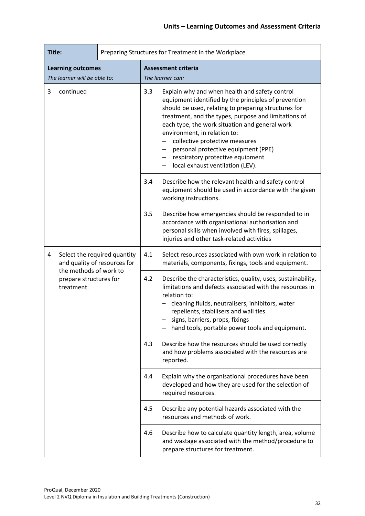| Title:                                                                                                    |           |                        | Preparing Structures for Treatment in the Workplace                                                                                   |                                                                                                                                                                                                                                                                                                                                                                                                                                                           |  |
|-----------------------------------------------------------------------------------------------------------|-----------|------------------------|---------------------------------------------------------------------------------------------------------------------------------------|-----------------------------------------------------------------------------------------------------------------------------------------------------------------------------------------------------------------------------------------------------------------------------------------------------------------------------------------------------------------------------------------------------------------------------------------------------------|--|
| <b>Learning outcomes</b>                                                                                  |           |                        | <b>Assessment criteria</b>                                                                                                            |                                                                                                                                                                                                                                                                                                                                                                                                                                                           |  |
| The learner will be able to:                                                                              |           | The learner can:       |                                                                                                                                       |                                                                                                                                                                                                                                                                                                                                                                                                                                                           |  |
| 3                                                                                                         | continued |                        | 3.3                                                                                                                                   | Explain why and when health and safety control<br>equipment identified by the principles of prevention<br>should be used, relating to preparing structures for<br>treatment, and the types, purpose and limitations of<br>each type, the work situation and general work<br>environment, in relation to:<br>collective protective measures<br>personal protective equipment (PPE)<br>respiratory protective equipment<br>local exhaust ventilation (LEV). |  |
|                                                                                                           |           | 3.4                    | Describe how the relevant health and safety control<br>equipment should be used in accordance with the given<br>working instructions. |                                                                                                                                                                                                                                                                                                                                                                                                                                                           |  |
|                                                                                                           |           |                        | 3.5                                                                                                                                   | Describe how emergencies should be responded to in<br>accordance with organisational authorisation and<br>personal skills when involved with fires, spillages,<br>injuries and other task-related activities                                                                                                                                                                                                                                              |  |
| Select the required quantity<br>4<br>and quality of resources for<br>the methods of work to<br>treatment. |           | 4.1                    | Select resources associated with own work in relation to<br>materials, components, fixings, tools and equipment.                      |                                                                                                                                                                                                                                                                                                                                                                                                                                                           |  |
|                                                                                                           |           | prepare structures for | 4.2                                                                                                                                   | Describe the characteristics, quality, uses, sustainability,<br>limitations and defects associated with the resources in<br>relation to:<br>cleaning fluids, neutralisers, inhibitors, water<br>repellents, stabilisers and wall ties<br>signs, barriers, props, fixings<br>hand tools, portable power tools and equipment.                                                                                                                               |  |
|                                                                                                           |           |                        | 4.3                                                                                                                                   | Describe how the resources should be used correctly<br>and how problems associated with the resources are<br>reported.                                                                                                                                                                                                                                                                                                                                    |  |
|                                                                                                           |           |                        | 4.4                                                                                                                                   | Explain why the organisational procedures have been<br>developed and how they are used for the selection of<br>required resources.                                                                                                                                                                                                                                                                                                                        |  |
|                                                                                                           |           | 4.5                    |                                                                                                                                       | Describe any potential hazards associated with the<br>resources and methods of work.                                                                                                                                                                                                                                                                                                                                                                      |  |
|                                                                                                           |           |                        | 4.6                                                                                                                                   | Describe how to calculate quantity length, area, volume<br>and wastage associated with the method/procedure to<br>prepare structures for treatment.                                                                                                                                                                                                                                                                                                       |  |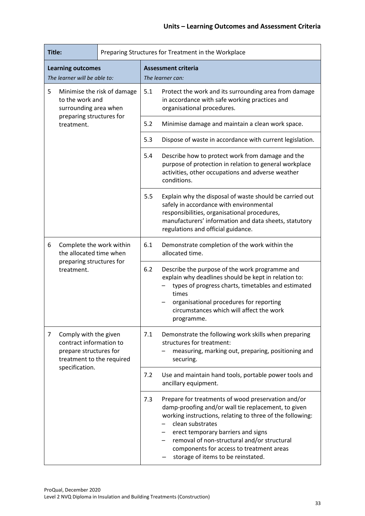| Title:                                                                                                       |                                        |                | Preparing Structures for Treatment in the Workplace                                                                                                                                                                                                                        |                                                                                                                                                                                                                                                                                                                                                                   |  |
|--------------------------------------------------------------------------------------------------------------|----------------------------------------|----------------|----------------------------------------------------------------------------------------------------------------------------------------------------------------------------------------------------------------------------------------------------------------------------|-------------------------------------------------------------------------------------------------------------------------------------------------------------------------------------------------------------------------------------------------------------------------------------------------------------------------------------------------------------------|--|
| <b>Learning outcomes</b>                                                                                     |                                        |                | <b>Assessment criteria</b>                                                                                                                                                                                                                                                 |                                                                                                                                                                                                                                                                                                                                                                   |  |
| The learner will be able to:                                                                                 |                                        |                | The learner can:                                                                                                                                                                                                                                                           |                                                                                                                                                                                                                                                                                                                                                                   |  |
| 5<br>Minimise the risk of damage<br>to the work and<br>surrounding area when                                 |                                        | 5.1            | Protect the work and its surrounding area from damage<br>in accordance with safe working practices and<br>organisational procedures.                                                                                                                                       |                                                                                                                                                                                                                                                                                                                                                                   |  |
|                                                                                                              | preparing structures for<br>treatment. |                | 5.2                                                                                                                                                                                                                                                                        | Minimise damage and maintain a clean work space.                                                                                                                                                                                                                                                                                                                  |  |
|                                                                                                              |                                        |                | 5.3                                                                                                                                                                                                                                                                        | Dispose of waste in accordance with current legislation.                                                                                                                                                                                                                                                                                                          |  |
|                                                                                                              |                                        |                | 5.4                                                                                                                                                                                                                                                                        | Describe how to protect work from damage and the<br>purpose of protection in relation to general workplace<br>activities, other occupations and adverse weather<br>conditions.                                                                                                                                                                                    |  |
|                                                                                                              |                                        | 5.5            | Explain why the disposal of waste should be carried out<br>safely in accordance with environmental<br>responsibilities, organisational procedures,<br>manufacturers' information and data sheets, statutory<br>regulations and official guidance.                          |                                                                                                                                                                                                                                                                                                                                                                   |  |
| 6<br>Complete the work within<br>the allocated time when<br>preparing structures for<br>treatment.           |                                        | 6.1            | Demonstrate completion of the work within the<br>allocated time.                                                                                                                                                                                                           |                                                                                                                                                                                                                                                                                                                                                                   |  |
|                                                                                                              |                                        | 6.2            | Describe the purpose of the work programme and<br>explain why deadlines should be kept in relation to:<br>types of progress charts, timetables and estimated<br>times<br>organisational procedures for reporting<br>circumstances which will affect the work<br>programme. |                                                                                                                                                                                                                                                                                                                                                                   |  |
| Comply with the given<br>7<br>contract information to<br>prepare structures for<br>treatment to the required |                                        | 7.1            | Demonstrate the following work skills when preparing<br>structures for treatment:<br>measuring, marking out, preparing, positioning and<br>securing.                                                                                                                       |                                                                                                                                                                                                                                                                                                                                                                   |  |
|                                                                                                              |                                        | specification. | 7.2                                                                                                                                                                                                                                                                        | Use and maintain hand tools, portable power tools and<br>ancillary equipment.                                                                                                                                                                                                                                                                                     |  |
|                                                                                                              |                                        |                | 7.3                                                                                                                                                                                                                                                                        | Prepare for treatments of wood preservation and/or<br>damp-proofing and/or wall tie replacement, to given<br>working instructions, relating to three of the following:<br>clean substrates<br>erect temporary barriers and signs<br>removal of non-structural and/or structural<br>components for access to treatment areas<br>storage of items to be reinstated. |  |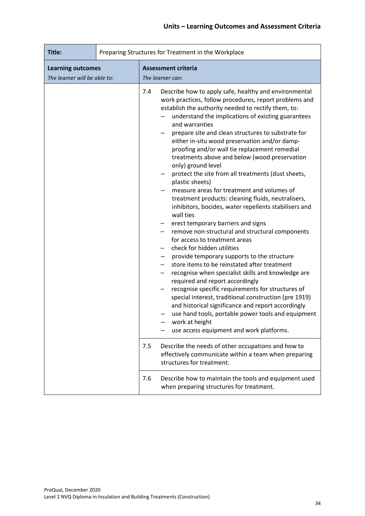| Title:                                                   | Preparing Structures for Treatment in the Workplace |                                                                                                                                                                                                                                                                                                                                                                                                                                                                                                                                                                                                                                                                                                                                                                                                                                                                                                                                                                                                                                                                                                                                                                                                                                                                                                                                                                                                                                                                                                                                   |  |
|----------------------------------------------------------|-----------------------------------------------------|-----------------------------------------------------------------------------------------------------------------------------------------------------------------------------------------------------------------------------------------------------------------------------------------------------------------------------------------------------------------------------------------------------------------------------------------------------------------------------------------------------------------------------------------------------------------------------------------------------------------------------------------------------------------------------------------------------------------------------------------------------------------------------------------------------------------------------------------------------------------------------------------------------------------------------------------------------------------------------------------------------------------------------------------------------------------------------------------------------------------------------------------------------------------------------------------------------------------------------------------------------------------------------------------------------------------------------------------------------------------------------------------------------------------------------------------------------------------------------------------------------------------------------------|--|
| <b>Learning outcomes</b><br>The learner will be able to: |                                                     | <b>Assessment criteria</b><br>The learner can:                                                                                                                                                                                                                                                                                                                                                                                                                                                                                                                                                                                                                                                                                                                                                                                                                                                                                                                                                                                                                                                                                                                                                                                                                                                                                                                                                                                                                                                                                    |  |
|                                                          |                                                     | 7.4<br>Describe how to apply safe, healthy and environmental<br>work practices, follow procedures, report problems and<br>establish the authority needed to rectify them, to:<br>understand the implications of existing guarantees<br>and warranties<br>prepare site and clean structures to substrate for<br>either in-situ wood preservation and/or damp-<br>proofing and/or wall tie replacement remedial<br>treatments above and below (wood preservation<br>only) ground level<br>protect the site from all treatments (dust sheets,<br>plastic sheets)<br>measure areas for treatment and volumes of<br>treatment products: cleaning fluids, neutralisers,<br>inhibitors, bocides, water repellents stabilisers and<br>wall ties<br>erect temporary barriers and signs<br>remove non-structural and structural components<br>for access to treatment areas<br>check for hidden utilities<br>provide temporary supports to the structure<br>store items to be reinstated after treatment<br>recognise when specialist skills and knowledge are<br>required and report accordingly<br>recognise specific requirements for structures of<br>special interest, traditional construction (pre 1919)<br>and historical significance and report accordingly<br>use hand tools, portable power tools and equipment<br>work at height<br>use access equipment and work platforms.<br>7.5<br>Describe the needs of other occupations and how to<br>effectively communicate within a team when preparing<br>structures for treatment. |  |
|                                                          |                                                     | 7.6<br>Describe how to maintain the tools and equipment used<br>when preparing structures for treatment.                                                                                                                                                                                                                                                                                                                                                                                                                                                                                                                                                                                                                                                                                                                                                                                                                                                                                                                                                                                                                                                                                                                                                                                                                                                                                                                                                                                                                          |  |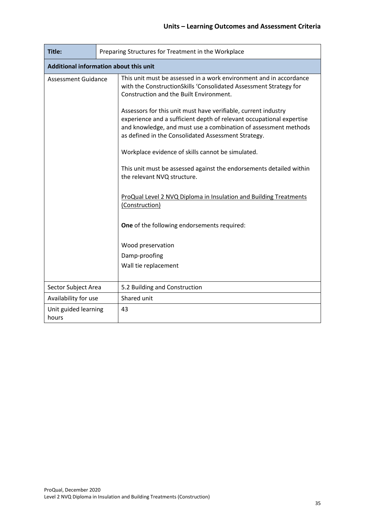| Title:                                        | Preparing Structures for Treatment in the Workplace |                                                                                                                                                                                                                                                                                                                                                                                                 |  |
|-----------------------------------------------|-----------------------------------------------------|-------------------------------------------------------------------------------------------------------------------------------------------------------------------------------------------------------------------------------------------------------------------------------------------------------------------------------------------------------------------------------------------------|--|
| <b>Additional information about this unit</b> |                                                     |                                                                                                                                                                                                                                                                                                                                                                                                 |  |
| <b>Assessment Guidance</b>                    |                                                     | This unit must be assessed in a work environment and in accordance<br>with the ConstructionSkills 'Consolidated Assessment Strategy for<br>Construction and the Built Environment.<br>Assessors for this unit must have verifiable, current industry<br>experience and a sufficient depth of relevant occupational expertise<br>and knowledge, and must use a combination of assessment methods |  |
|                                               |                                                     | as defined in the Consolidated Assessment Strategy.<br>Workplace evidence of skills cannot be simulated.                                                                                                                                                                                                                                                                                        |  |
|                                               |                                                     | This unit must be assessed against the endorsements detailed within<br>the relevant NVQ structure.                                                                                                                                                                                                                                                                                              |  |
|                                               |                                                     | ProQual Level 2 NVQ Diploma in Insulation and Building Treatments<br>(Construction)                                                                                                                                                                                                                                                                                                             |  |
|                                               |                                                     | One of the following endorsements required:                                                                                                                                                                                                                                                                                                                                                     |  |
|                                               |                                                     | Wood preservation                                                                                                                                                                                                                                                                                                                                                                               |  |
|                                               |                                                     | Damp-proofing                                                                                                                                                                                                                                                                                                                                                                                   |  |
|                                               |                                                     | Wall tie replacement                                                                                                                                                                                                                                                                                                                                                                            |  |
| Sector Subject Area                           |                                                     | 5.2 Building and Construction                                                                                                                                                                                                                                                                                                                                                                   |  |
| Availability for use                          |                                                     | Shared unit                                                                                                                                                                                                                                                                                                                                                                                     |  |
| Unit guided learning<br>hours                 |                                                     | 43                                                                                                                                                                                                                                                                                                                                                                                              |  |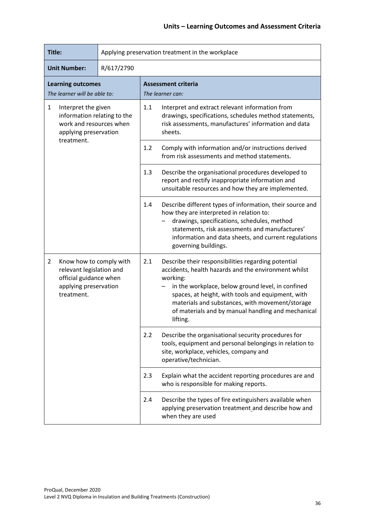| Title:                                                                                                                                 |            | Applying preservation treatment in the workplace |                                                                                                                                                                                                                                                                                                                                                        |  |
|----------------------------------------------------------------------------------------------------------------------------------------|------------|--------------------------------------------------|--------------------------------------------------------------------------------------------------------------------------------------------------------------------------------------------------------------------------------------------------------------------------------------------------------------------------------------------------------|--|
| <b>Unit Number:</b>                                                                                                                    | R/617/2790 |                                                  |                                                                                                                                                                                                                                                                                                                                                        |  |
| <b>Learning outcomes</b><br>The learner will be able to:                                                                               |            | <b>Assessment criteria</b><br>The learner can:   |                                                                                                                                                                                                                                                                                                                                                        |  |
| $\mathbf{1}$<br>Interpret the given<br>information relating to the<br>work and resources when<br>applying preservation<br>treatment.   |            | 1.1                                              | Interpret and extract relevant information from<br>drawings, specifications, schedules method statements,<br>risk assessments, manufactures' information and data<br>sheets.                                                                                                                                                                           |  |
|                                                                                                                                        |            | 1.2                                              | Comply with information and/or instructions derived<br>from risk assessments and method statements.                                                                                                                                                                                                                                                    |  |
|                                                                                                                                        |            | 1.3                                              | Describe the organisational procedures developed to<br>report and rectify inappropriate information and<br>unsuitable resources and how they are implemented.                                                                                                                                                                                          |  |
|                                                                                                                                        |            | 1.4                                              | Describe different types of information, their source and<br>how they are interpreted in relation to:<br>drawings, specifications, schedules, method<br>statements, risk assessments and manufactures'<br>information and data sheets, and current regulations<br>governing buildings.                                                                 |  |
| Know how to comply with<br>$\overline{2}$<br>relevant legislation and<br>official guidance when<br>applying preservation<br>treatment. |            | 2.1                                              | Describe their responsibilities regarding potential<br>accidents, health hazards and the environment whilst<br>working:<br>in the workplace, below ground level, in confined<br>spaces, at height, with tools and equipment, with<br>materials and substances, with movement/storage<br>of materials and by manual handling and mechanical<br>litting. |  |
|                                                                                                                                        |            | 2.2                                              | Describe the organisational security procedures for<br>tools, equipment and personal belongings in relation to<br>site, workplace, vehicles, company and<br>operative/technician.                                                                                                                                                                      |  |
|                                                                                                                                        |            | 2.3                                              | Explain what the accident reporting procedures are and<br>who is responsible for making reports.                                                                                                                                                                                                                                                       |  |
|                                                                                                                                        |            | 2.4                                              | Describe the types of fire extinguishers available when<br>applying preservation treatment and describe how and<br>when they are used                                                                                                                                                                                                                  |  |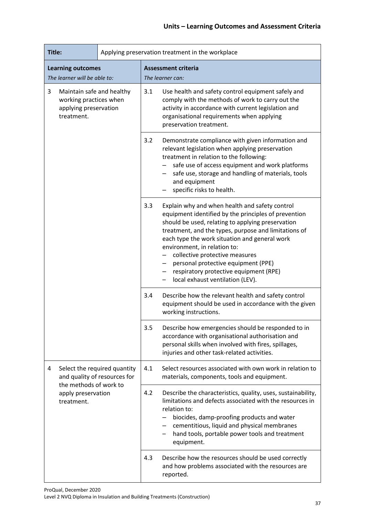| Title:                                                                                          |                                                              | Applying preservation treatment in the workplace |                                                                                                                                                                                                                                                                                                       |                                                                                                                                                                                                                                                                                                                                                                                                                                                             |  |
|-------------------------------------------------------------------------------------------------|--------------------------------------------------------------|--------------------------------------------------|-------------------------------------------------------------------------------------------------------------------------------------------------------------------------------------------------------------------------------------------------------------------------------------------------------|-------------------------------------------------------------------------------------------------------------------------------------------------------------------------------------------------------------------------------------------------------------------------------------------------------------------------------------------------------------------------------------------------------------------------------------------------------------|--|
|                                                                                                 | <b>Learning outcomes</b><br>The learner will be able to:     |                                                  |                                                                                                                                                                                                                                                                                                       | <b>Assessment criteria</b><br>The learner can:                                                                                                                                                                                                                                                                                                                                                                                                              |  |
| 3<br>Maintain safe and healthy<br>working practices when<br>applying preservation<br>treatment. |                                                              |                                                  | 3.1                                                                                                                                                                                                                                                                                                   | Use health and safety control equipment safely and<br>comply with the methods of work to carry out the<br>activity in accordance with current legislation and<br>organisational requirements when applying<br>preservation treatment.                                                                                                                                                                                                                       |  |
|                                                                                                 |                                                              |                                                  | 3.2                                                                                                                                                                                                                                                                                                   | Demonstrate compliance with given information and<br>relevant legislation when applying preservation<br>treatment in relation to the following:<br>safe use of access equipment and work platforms<br>safe use, storage and handling of materials, tools<br>and equipment<br>specific risks to health.                                                                                                                                                      |  |
|                                                                                                 |                                                              |                                                  | 3.3                                                                                                                                                                                                                                                                                                   | Explain why and when health and safety control<br>equipment identified by the principles of prevention<br>should be used, relating to applying preservation<br>treatment, and the types, purpose and limitations of<br>each type the work situation and general work<br>environment, in relation to:<br>collective protective measures<br>personal protective equipment (PPE)<br>respiratory protective equipment (RPE)<br>local exhaust ventilation (LEV). |  |
|                                                                                                 |                                                              |                                                  | 3.4                                                                                                                                                                                                                                                                                                   | Describe how the relevant health and safety control<br>equipment should be used in accordance with the given<br>working instructions.                                                                                                                                                                                                                                                                                                                       |  |
|                                                                                                 |                                                              | 3.5                                              | Describe how emergencies should be responded to in<br>accordance with organisational authorisation and<br>personal skills when involved with fires, spillages,<br>injuries and other task-related activities.                                                                                         |                                                                                                                                                                                                                                                                                                                                                                                                                                                             |  |
| 4                                                                                               | Select the required quantity<br>and quality of resources for |                                                  | 4.1                                                                                                                                                                                                                                                                                                   | Select resources associated with own work in relation to<br>materials, components, tools and equipment.                                                                                                                                                                                                                                                                                                                                                     |  |
|                                                                                                 | the methods of work to<br>apply preservation<br>treatment.   | 4.2                                              | Describe the characteristics, quality, uses, sustainability,<br>limitations and defects associated with the resources in<br>relation to:<br>biocides, damp-proofing products and water<br>cementitious, liquid and physical membranes<br>hand tools, portable power tools and treatment<br>equipment. |                                                                                                                                                                                                                                                                                                                                                                                                                                                             |  |
|                                                                                                 |                                                              |                                                  | 4.3                                                                                                                                                                                                                                                                                                   | Describe how the resources should be used correctly<br>and how problems associated with the resources are<br>reported.                                                                                                                                                                                                                                                                                                                                      |  |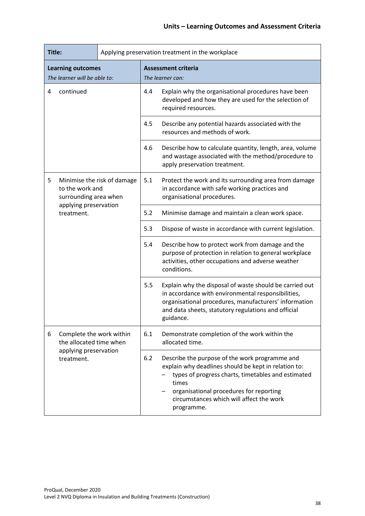| Title:                                                   |                                                                         |     | Applying preservation treatment in the workplace                                                                                   |                                                                                                                                                                                                                                                                            |  |  |
|----------------------------------------------------------|-------------------------------------------------------------------------|-----|------------------------------------------------------------------------------------------------------------------------------------|----------------------------------------------------------------------------------------------------------------------------------------------------------------------------------------------------------------------------------------------------------------------------|--|--|
| <b>Learning outcomes</b><br>The learner will be able to: |                                                                         |     | <b>Assessment criteria</b><br>The learner can:                                                                                     |                                                                                                                                                                                                                                                                            |  |  |
| continued<br>4                                           |                                                                         | 4.4 | Explain why the organisational procedures have been<br>developed and how they are used for the selection of<br>required resources. |                                                                                                                                                                                                                                                                            |  |  |
|                                                          |                                                                         | 4.5 | Describe any potential hazards associated with the<br>resources and methods of work.                                               |                                                                                                                                                                                                                                                                            |  |  |
|                                                          |                                                                         |     | 4.6                                                                                                                                | Describe how to calculate quantity, length, area, volume<br>and wastage associated with the method/procedure to<br>apply preservation treatment.                                                                                                                           |  |  |
| 5                                                        | Minimise the risk of damage<br>to the work and<br>surrounding area when |     | 5.1                                                                                                                                | Protect the work and its surrounding area from damage<br>in accordance with safe working practices and<br>organisational procedures.                                                                                                                                       |  |  |
|                                                          | applying preservation<br>treatment.                                     |     | 5.2                                                                                                                                | Minimise damage and maintain a clean work space.                                                                                                                                                                                                                           |  |  |
|                                                          |                                                                         |     | 5.3                                                                                                                                | Dispose of waste in accordance with current legislation.                                                                                                                                                                                                                   |  |  |
|                                                          |                                                                         |     | 5.4                                                                                                                                | Describe how to protect work from damage and the<br>purpose of protection in relation to general workplace<br>activities, other occupations and adverse weather<br>conditions.                                                                                             |  |  |
|                                                          |                                                                         |     | 5.5                                                                                                                                | Explain why the disposal of waste should be carried out<br>in accordance with environmental responsibilities,<br>organisational procedures, manufacturers' information<br>and data sheets, statutory regulations and official<br>guidance.                                 |  |  |
| 6                                                        | Complete the work within<br>the allocated time when                     |     | 6.1                                                                                                                                | Demonstrate completion of the work within the<br>allocated time.                                                                                                                                                                                                           |  |  |
|                                                          | applying preservation<br>treatment.                                     |     | 6.2                                                                                                                                | Describe the purpose of the work programme and<br>explain why deadlines should be kept in relation to:<br>types of progress charts, timetables and estimated<br>times<br>organisational procedures for reporting<br>circumstances which will affect the work<br>programme. |  |  |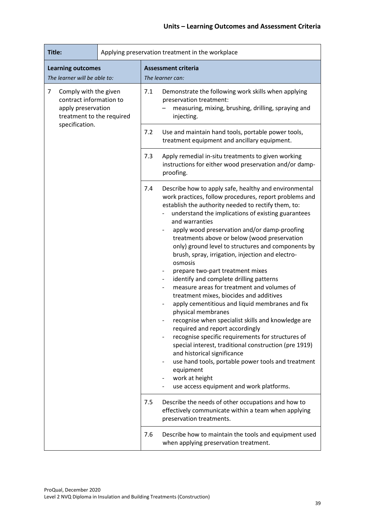| Title:                                                                                                   |  | Applying preservation treatment in the workplace                                                                                                                                                                                                                                                                                                                                                                                                                                                                                                                                                                                                                                                                                                                                                                                                                                                                                                                                                                                                                                                   |  |  |  |
|----------------------------------------------------------------------------------------------------------|--|----------------------------------------------------------------------------------------------------------------------------------------------------------------------------------------------------------------------------------------------------------------------------------------------------------------------------------------------------------------------------------------------------------------------------------------------------------------------------------------------------------------------------------------------------------------------------------------------------------------------------------------------------------------------------------------------------------------------------------------------------------------------------------------------------------------------------------------------------------------------------------------------------------------------------------------------------------------------------------------------------------------------------------------------------------------------------------------------------|--|--|--|
| <b>Learning outcomes</b><br>The learner will be able to:                                                 |  | <b>Assessment criteria</b><br>The learner can:                                                                                                                                                                                                                                                                                                                                                                                                                                                                                                                                                                                                                                                                                                                                                                                                                                                                                                                                                                                                                                                     |  |  |  |
| 7<br>Comply with the given<br>contract information to<br>apply preservation<br>treatment to the required |  | 7.1<br>Demonstrate the following work skills when applying<br>preservation treatment:<br>measuring, mixing, brushing, drilling, spraying and<br>injecting.                                                                                                                                                                                                                                                                                                                                                                                                                                                                                                                                                                                                                                                                                                                                                                                                                                                                                                                                         |  |  |  |
| specification.                                                                                           |  | 7.2<br>Use and maintain hand tools, portable power tools,<br>treatment equipment and ancillary equipment.                                                                                                                                                                                                                                                                                                                                                                                                                                                                                                                                                                                                                                                                                                                                                                                                                                                                                                                                                                                          |  |  |  |
|                                                                                                          |  | 7.3<br>Apply remedial in-situ treatments to given working<br>instructions for either wood preservation and/or damp-<br>proofing.                                                                                                                                                                                                                                                                                                                                                                                                                                                                                                                                                                                                                                                                                                                                                                                                                                                                                                                                                                   |  |  |  |
|                                                                                                          |  | 7.4<br>Describe how to apply safe, healthy and environmental<br>work practices, follow procedures, report problems and<br>establish the authority needed to rectify them, to:<br>understand the implications of existing guarantees<br>and warranties<br>apply wood preservation and/or damp-proofing<br>treatments above or below (wood preservation<br>only) ground level to structures and components by<br>brush, spray, irrigation, injection and electro-<br>osmosis<br>prepare two-part treatment mixes<br>identify and complete drilling patterns<br>measure areas for treatment and volumes of<br>treatment mixes, biocides and additives<br>apply cementitious and liquid membranes and fix<br>physical membranes<br>recognise when specialist skills and knowledge are<br>required and report accordingly<br>recognise specific requirements for structures of<br>special interest, traditional construction (pre 1919)<br>and historical significance<br>use hand tools, portable power tools and treatment<br>equipment<br>work at height<br>use access equipment and work platforms. |  |  |  |
|                                                                                                          |  | 7.5<br>Describe the needs of other occupations and how to<br>effectively communicate within a team when applying<br>preservation treatments.                                                                                                                                                                                                                                                                                                                                                                                                                                                                                                                                                                                                                                                                                                                                                                                                                                                                                                                                                       |  |  |  |
|                                                                                                          |  | 7.6<br>Describe how to maintain the tools and equipment used<br>when applying preservation treatment.                                                                                                                                                                                                                                                                                                                                                                                                                                                                                                                                                                                                                                                                                                                                                                                                                                                                                                                                                                                              |  |  |  |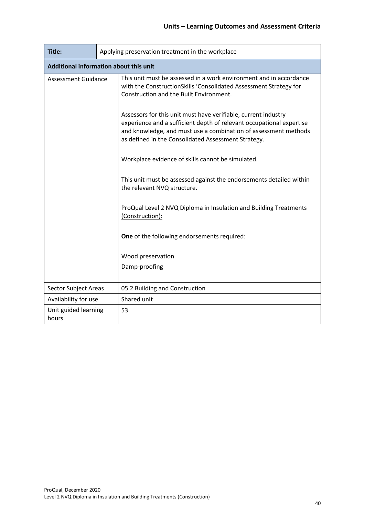| Title:                        |                                               | Applying preservation treatment in the workplace                                                                                                                                                                                                                 |  |  |  |  |
|-------------------------------|-----------------------------------------------|------------------------------------------------------------------------------------------------------------------------------------------------------------------------------------------------------------------------------------------------------------------|--|--|--|--|
|                               | <b>Additional information about this unit</b> |                                                                                                                                                                                                                                                                  |  |  |  |  |
| <b>Assessment Guidance</b>    |                                               | This unit must be assessed in a work environment and in accordance<br>with the ConstructionSkills 'Consolidated Assessment Strategy for<br>Construction and the Built Environment.                                                                               |  |  |  |  |
|                               |                                               | Assessors for this unit must have verifiable, current industry<br>experience and a sufficient depth of relevant occupational expertise<br>and knowledge, and must use a combination of assessment methods<br>as defined in the Consolidated Assessment Strategy. |  |  |  |  |
|                               |                                               | Workplace evidence of skills cannot be simulated.                                                                                                                                                                                                                |  |  |  |  |
|                               |                                               | This unit must be assessed against the endorsements detailed within<br>the relevant NVQ structure.                                                                                                                                                               |  |  |  |  |
|                               |                                               | ProQual Level 2 NVQ Diploma in Insulation and Building Treatments<br>(Construction):                                                                                                                                                                             |  |  |  |  |
|                               |                                               | One of the following endorsements required:                                                                                                                                                                                                                      |  |  |  |  |
|                               |                                               | Wood preservation                                                                                                                                                                                                                                                |  |  |  |  |
|                               |                                               | Damp-proofing                                                                                                                                                                                                                                                    |  |  |  |  |
| Sector Subject Areas          |                                               | 05.2 Building and Construction                                                                                                                                                                                                                                   |  |  |  |  |
| Availability for use          |                                               | Shared unit                                                                                                                                                                                                                                                      |  |  |  |  |
| Unit guided learning<br>hours |                                               | 53                                                                                                                                                                                                                                                               |  |  |  |  |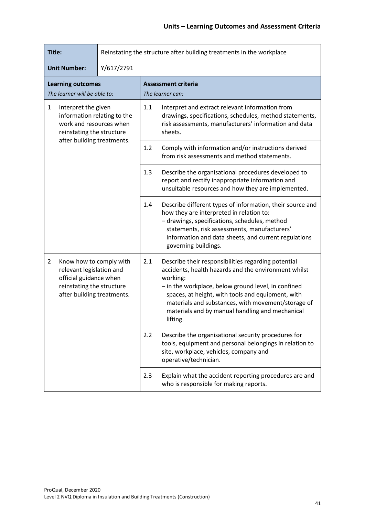| Title:                                                                                                                                        | Reinstating the structure after building treatments in the workplace |                                                                                                                                                                                                                                                                                                                                                                 |  |  |
|-----------------------------------------------------------------------------------------------------------------------------------------------|----------------------------------------------------------------------|-----------------------------------------------------------------------------------------------------------------------------------------------------------------------------------------------------------------------------------------------------------------------------------------------------------------------------------------------------------------|--|--|
| <b>Unit Number:</b>                                                                                                                           | Y/617/2791                                                           |                                                                                                                                                                                                                                                                                                                                                                 |  |  |
| <b>Learning outcomes</b><br>The learner will be able to:                                                                                      |                                                                      | <b>Assessment criteria</b><br>The learner can:                                                                                                                                                                                                                                                                                                                  |  |  |
| 1<br>Interpret the given<br>information relating to the<br>work and resources when<br>reinstating the structure                               |                                                                      | 1.1<br>Interpret and extract relevant information from<br>drawings, specifications, schedules, method statements,<br>risk assessments, manufacturers' information and data<br>sheets.                                                                                                                                                                           |  |  |
| after building treatments.                                                                                                                    |                                                                      | 1.2<br>Comply with information and/or instructions derived<br>from risk assessments and method statements.                                                                                                                                                                                                                                                      |  |  |
|                                                                                                                                               |                                                                      | 1.3<br>Describe the organisational procedures developed to<br>report and rectify inappropriate information and<br>unsuitable resources and how they are implemented.                                                                                                                                                                                            |  |  |
|                                                                                                                                               |                                                                      | 1.4<br>Describe different types of information, their source and<br>how they are interpreted in relation to:<br>- drawings, specifications, schedules, method<br>statements, risk assessments, manufacturers'<br>information and data sheets, and current regulations<br>governing buildings.                                                                   |  |  |
| 2<br>Know how to comply with<br>relevant legislation and<br>official guidance when<br>reinstating the structure<br>after building treatments. |                                                                      | 2.1<br>Describe their responsibilities regarding potential<br>accidents, health hazards and the environment whilst<br>working:<br>- in the workplace, below ground level, in confined<br>spaces, at height, with tools and equipment, with<br>materials and substances, with movement/storage of<br>materials and by manual handling and mechanical<br>lifting. |  |  |
|                                                                                                                                               |                                                                      | 2.2<br>Describe the organisational security procedures for<br>tools, equipment and personal belongings in relation to<br>site, workplace, vehicles, company and<br>operative/technician.                                                                                                                                                                        |  |  |
|                                                                                                                                               |                                                                      | Explain what the accident reporting procedures are and<br>2.3<br>who is responsible for making reports.                                                                                                                                                                                                                                                         |  |  |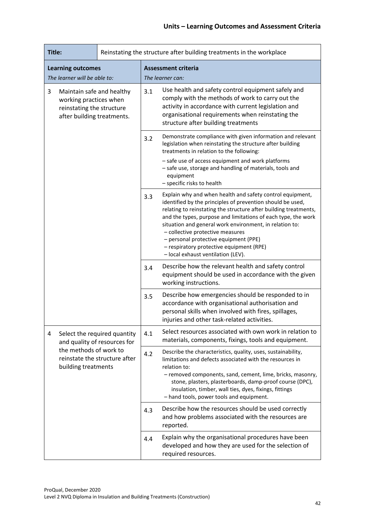| Title:                                                                                                                                              | Reinstating the structure after building treatments in the workplace           |                                                                                                                                                                                                                                                                                                                                                                                                                                                                                        |  |  |
|-----------------------------------------------------------------------------------------------------------------------------------------------------|--------------------------------------------------------------------------------|----------------------------------------------------------------------------------------------------------------------------------------------------------------------------------------------------------------------------------------------------------------------------------------------------------------------------------------------------------------------------------------------------------------------------------------------------------------------------------------|--|--|
| <b>Learning outcomes</b>                                                                                                                            |                                                                                | <b>Assessment criteria</b>                                                                                                                                                                                                                                                                                                                                                                                                                                                             |  |  |
| The learner will be able to:<br>Maintain safe and healthy<br>3<br>working practices when<br>reinstating the structure<br>after building treatments. |                                                                                | The learner can:<br>Use health and safety control equipment safely and<br>3.1<br>comply with the methods of work to carry out the<br>activity in accordance with current legislation and<br>organisational requirements when reinstating the<br>structure after building treatments                                                                                                                                                                                                    |  |  |
|                                                                                                                                                     |                                                                                | Demonstrate compliance with given information and relevant<br>3.2<br>legislation when reinstating the structure after building<br>treatments in relation to the following:<br>- safe use of access equipment and work platforms<br>- safe use, storage and handling of materials, tools and<br>equipment<br>- specific risks to health                                                                                                                                                 |  |  |
|                                                                                                                                                     | 3.3<br>3.4                                                                     | Explain why and when health and safety control equipment,<br>identified by the principles of prevention should be used,<br>relating to reinstating the structure after building treatments,<br>and the types, purpose and limitations of each type, the work<br>situation and general work environment, in relation to:<br>- collective protective measures<br>- personal protective equipment (PPE)<br>- respiratory protective equipment (RPE)<br>- local exhaust ventilation (LEV). |  |  |
|                                                                                                                                                     |                                                                                | Describe how the relevant health and safety control<br>equipment should be used in accordance with the given<br>working instructions.                                                                                                                                                                                                                                                                                                                                                  |  |  |
|                                                                                                                                                     |                                                                                | Describe how emergencies should be responded to in<br>3.5<br>accordance with organisational authorisation and<br>personal skills when involved with fires, spillages,<br>injuries and other task-related activities.                                                                                                                                                                                                                                                                   |  |  |
| 4                                                                                                                                                   | Select the required quantity<br>and quality of resources for                   | Select resources associated with own work in relation to<br>4.1<br>materials, components, fixings, tools and equipment.                                                                                                                                                                                                                                                                                                                                                                |  |  |
|                                                                                                                                                     | the methods of work to<br>reinstate the structure after<br>building treatments | Describe the characteristics, quality, uses, sustainability,<br>4.2<br>limitations and defects associated with the resources in<br>relation to:<br>- removed components, sand, cement, lime, bricks, masonry,<br>stone, plasters, plasterboards, damp-proof course (DPC),<br>insulation, timber, wall ties, dyes, fixings, fittings<br>- hand tools, power tools and equipment.                                                                                                        |  |  |
|                                                                                                                                                     |                                                                                | Describe how the resources should be used correctly<br>4.3<br>and how problems associated with the resources are<br>reported.                                                                                                                                                                                                                                                                                                                                                          |  |  |
|                                                                                                                                                     |                                                                                | Explain why the organisational procedures have been<br>4.4<br>developed and how they are used for the selection of<br>required resources.                                                                                                                                                                                                                                                                                                                                              |  |  |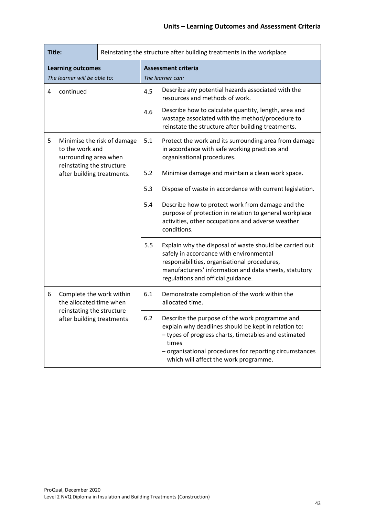| Title:                                                   |                                                                         | Reinstating the structure after building treatments in the workplace |                                                                                                                                                               |                                                                                                                                                                                                                                                                             |  |
|----------------------------------------------------------|-------------------------------------------------------------------------|----------------------------------------------------------------------|---------------------------------------------------------------------------------------------------------------------------------------------------------------|-----------------------------------------------------------------------------------------------------------------------------------------------------------------------------------------------------------------------------------------------------------------------------|--|
| <b>Learning outcomes</b><br>The learner will be able to: |                                                                         |                                                                      |                                                                                                                                                               | <b>Assessment criteria</b><br>The learner can:                                                                                                                                                                                                                              |  |
| continued<br>4                                           |                                                                         | 4.5                                                                  | Describe any potential hazards associated with the<br>resources and methods of work.                                                                          |                                                                                                                                                                                                                                                                             |  |
|                                                          |                                                                         | 4.6                                                                  | Describe how to calculate quantity, length, area and<br>wastage associated with the method/procedure to<br>reinstate the structure after building treatments. |                                                                                                                                                                                                                                                                             |  |
| 5                                                        | Minimise the risk of damage<br>to the work and<br>surrounding area when |                                                                      | 5.1                                                                                                                                                           | Protect the work and its surrounding area from damage<br>in accordance with safe working practices and<br>organisational procedures.                                                                                                                                        |  |
|                                                          | reinstating the structure<br>after building treatments.                 |                                                                      | 5.2                                                                                                                                                           | Minimise damage and maintain a clean work space.                                                                                                                                                                                                                            |  |
|                                                          |                                                                         |                                                                      | 5.3                                                                                                                                                           | Dispose of waste in accordance with current legislation.                                                                                                                                                                                                                    |  |
|                                                          |                                                                         |                                                                      | 5.4                                                                                                                                                           | Describe how to protect work from damage and the<br>purpose of protection in relation to general workplace<br>activities, other occupations and adverse weather<br>conditions.                                                                                              |  |
|                                                          |                                                                         |                                                                      | 5.5                                                                                                                                                           | Explain why the disposal of waste should be carried out<br>safely in accordance with environmental<br>responsibilities, organisational procedures,<br>manufacturers' information and data sheets, statutory<br>regulations and official guidance.                           |  |
| 6                                                        | Complete the work within<br>the allocated time when                     |                                                                      | 6.1                                                                                                                                                           | Demonstrate completion of the work within the<br>allocated time.                                                                                                                                                                                                            |  |
|                                                          | reinstating the structure<br>after building treatments                  |                                                                      | 6.2                                                                                                                                                           | Describe the purpose of the work programme and<br>explain why deadlines should be kept in relation to:<br>- types of progress charts, timetables and estimated<br>times<br>- organisational procedures for reporting circumstances<br>which will affect the work programme. |  |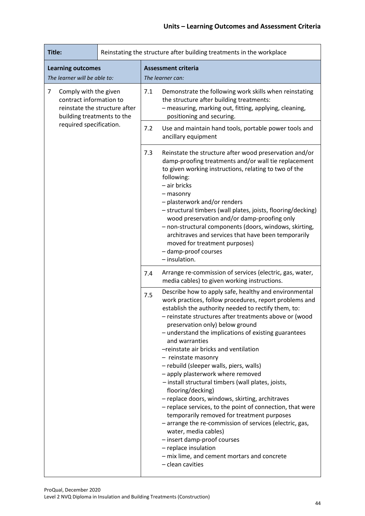| Title:                                                                              |                               | Reinstating the structure after building treatments in the workplace |                                                                                                                                                                                                                                                                                                                                                                                                                                                                                                                                                                                                                                                                                                                                                                                                                                                                                                                                                     |  |  |
|-------------------------------------------------------------------------------------|-------------------------------|----------------------------------------------------------------------|-----------------------------------------------------------------------------------------------------------------------------------------------------------------------------------------------------------------------------------------------------------------------------------------------------------------------------------------------------------------------------------------------------------------------------------------------------------------------------------------------------------------------------------------------------------------------------------------------------------------------------------------------------------------------------------------------------------------------------------------------------------------------------------------------------------------------------------------------------------------------------------------------------------------------------------------------------|--|--|
| <b>Learning outcomes</b><br>The learner will be able to:                            |                               |                                                                      | <b>Assessment criteria</b><br>The learner can:                                                                                                                                                                                                                                                                                                                                                                                                                                                                                                                                                                                                                                                                                                                                                                                                                                                                                                      |  |  |
| 7<br>Comply with the given<br>contract information to<br>building treatments to the | reinstate the structure after | 7.1                                                                  | Demonstrate the following work skills when reinstating<br>the structure after building treatments:<br>- measuring, marking out, fitting, applying, cleaning,<br>positioning and securing.                                                                                                                                                                                                                                                                                                                                                                                                                                                                                                                                                                                                                                                                                                                                                           |  |  |
| required specification.                                                             |                               | 7.2                                                                  | Use and maintain hand tools, portable power tools and<br>ancillary equipment                                                                                                                                                                                                                                                                                                                                                                                                                                                                                                                                                                                                                                                                                                                                                                                                                                                                        |  |  |
|                                                                                     |                               | 7.3                                                                  | Reinstate the structure after wood preservation and/or<br>damp-proofing treatments and/or wall tie replacement<br>to given working instructions, relating to two of the<br>following:<br>- air bricks<br>- masonry<br>- plasterwork and/or renders<br>- structural timbers (wall plates, joists, flooring/decking)<br>wood preservation and/or damp-proofing only<br>- non-structural components (doors, windows, skirting,<br>architraves and services that have been temporarily<br>moved for treatment purposes)<br>- damp-proof courses<br>- insulation.                                                                                                                                                                                                                                                                                                                                                                                        |  |  |
|                                                                                     |                               | 7.4                                                                  | Arrange re-commission of services (electric, gas, water,<br>media cables) to given working instructions.                                                                                                                                                                                                                                                                                                                                                                                                                                                                                                                                                                                                                                                                                                                                                                                                                                            |  |  |
|                                                                                     |                               | 7.5                                                                  | Describe how to apply safe, healthy and environmental<br>work practices, follow procedures, report problems and<br>establish the authority needed to rectify them, to:<br>- reinstate structures after treatments above or (wood<br>preservation only) below ground<br>- understand the implications of existing guarantees<br>and warranties<br>-reinstate air bricks and ventilation<br>- reinstate masonry<br>- rebuild (sleeper walls, piers, walls)<br>- apply plasterwork where removed<br>- install structural timbers (wall plates, joists,<br>flooring/decking)<br>- replace doors, windows, skirting, architraves<br>- replace services, to the point of connection, that were<br>temporarily removed for treatment purposes<br>- arrange the re-commission of services (electric, gas,<br>water, media cables)<br>- insert damp-proof courses<br>- replace insulation<br>- mix lime, and cement mortars and concrete<br>- clean cavities |  |  |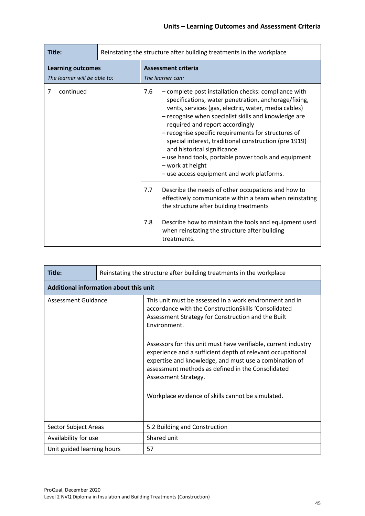| Title:                                                   | Reinstating the structure after building treatments in the workplace |                                                                                                                                                                                                                                                                                                                                                                                                                                                                                                                                                 |  |  |
|----------------------------------------------------------|----------------------------------------------------------------------|-------------------------------------------------------------------------------------------------------------------------------------------------------------------------------------------------------------------------------------------------------------------------------------------------------------------------------------------------------------------------------------------------------------------------------------------------------------------------------------------------------------------------------------------------|--|--|
| <b>Learning outcomes</b><br>The learner will be able to: |                                                                      | <b>Assessment criteria</b><br>The learner can:                                                                                                                                                                                                                                                                                                                                                                                                                                                                                                  |  |  |
| continued<br>7                                           |                                                                      | - complete post installation checks: compliance with<br>7.6<br>specifications, water penetration, anchorage/fixing,<br>vents, services (gas, electric, water, media cables)<br>- recognise when specialist skills and knowledge are<br>required and report accordingly<br>- recognise specific requirements for structures of<br>special interest, traditional construction (pre 1919)<br>and historical significance<br>- use hand tools, portable power tools and equipment<br>- work at height<br>- use access equipment and work platforms. |  |  |
|                                                          |                                                                      | 7.7<br>Describe the needs of other occupations and how to<br>effectively communicate within a team when reinstating<br>the structure after building treatments                                                                                                                                                                                                                                                                                                                                                                                  |  |  |
|                                                          | 7.8                                                                  | Describe how to maintain the tools and equipment used<br>when reinstating the structure after building<br>treatments.                                                                                                                                                                                                                                                                                                                                                                                                                           |  |  |

| Title:                                                                                            | Reinstating the structure after building treatments in the workplace |                                                                                                                                                                                                                                                                     |  |  |
|---------------------------------------------------------------------------------------------------|----------------------------------------------------------------------|---------------------------------------------------------------------------------------------------------------------------------------------------------------------------------------------------------------------------------------------------------------------|--|--|
| Additional information about this unit                                                            |                                                                      |                                                                                                                                                                                                                                                                     |  |  |
| Assessment Guidance<br>Sector Subject Areas<br>Availability for use<br>Unit guided learning hours |                                                                      | This unit must be assessed in a work environment and in<br>accordance with the ConstructionSkills 'Consolidated<br>Assessment Strategy for Construction and the Built<br>Environment.                                                                               |  |  |
|                                                                                                   |                                                                      | Assessors for this unit must have verifiable, current industry<br>experience and a sufficient depth of relevant occupational<br>expertise and knowledge, and must use a combination of<br>assessment methods as defined in the Consolidated<br>Assessment Strategy. |  |  |
|                                                                                                   |                                                                      | Workplace evidence of skills cannot be simulated.                                                                                                                                                                                                                   |  |  |
|                                                                                                   |                                                                      | 5.2 Building and Construction                                                                                                                                                                                                                                       |  |  |
|                                                                                                   |                                                                      | Shared unit                                                                                                                                                                                                                                                         |  |  |
|                                                                                                   |                                                                      | 57                                                                                                                                                                                                                                                                  |  |  |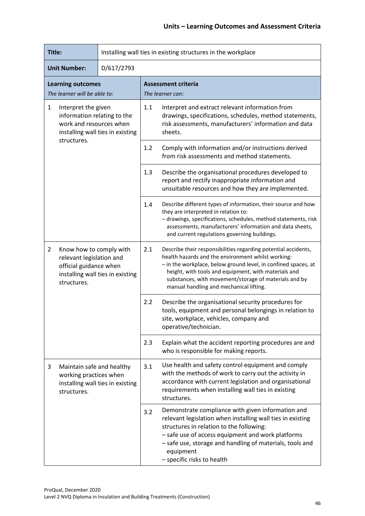| Title:                                                                                                                            |                                                                                                                                  | Installing wall ties in existing structures in the workplace |                                                                                                                                                                                                                                                                                                                         |                                                                                                                                                                                                                                                                                                                                                    |  |
|-----------------------------------------------------------------------------------------------------------------------------------|----------------------------------------------------------------------------------------------------------------------------------|--------------------------------------------------------------|-------------------------------------------------------------------------------------------------------------------------------------------------------------------------------------------------------------------------------------------------------------------------------------------------------------------------|----------------------------------------------------------------------------------------------------------------------------------------------------------------------------------------------------------------------------------------------------------------------------------------------------------------------------------------------------|--|
|                                                                                                                                   | <b>Unit Number:</b>                                                                                                              | D/617/2793                                                   |                                                                                                                                                                                                                                                                                                                         |                                                                                                                                                                                                                                                                                                                                                    |  |
|                                                                                                                                   | <b>Learning outcomes</b><br>The learner will be able to:                                                                         |                                                              |                                                                                                                                                                                                                                                                                                                         | <b>Assessment criteria</b><br>The learner can:                                                                                                                                                                                                                                                                                                     |  |
| $\mathbf{1}$<br>Interpret the given<br>information relating to the<br>work and resources when<br>installing wall ties in existing |                                                                                                                                  |                                                              | 1.1                                                                                                                                                                                                                                                                                                                     | Interpret and extract relevant information from<br>drawings, specifications, schedules, method statements,<br>risk assessments, manufacturers' information and data<br>sheets.                                                                                                                                                                     |  |
|                                                                                                                                   | structures.                                                                                                                      |                                                              | 1.2                                                                                                                                                                                                                                                                                                                     | Comply with information and/or instructions derived<br>from risk assessments and method statements.                                                                                                                                                                                                                                                |  |
|                                                                                                                                   |                                                                                                                                  |                                                              | 1.3                                                                                                                                                                                                                                                                                                                     | Describe the organisational procedures developed to<br>report and rectify inappropriate information and<br>unsuitable resources and how they are implemented.                                                                                                                                                                                      |  |
|                                                                                                                                   |                                                                                                                                  | 1.4                                                          | Describe different types of information, their source and how<br>they are interpreted in relation to:<br>- drawings, specifications, schedules, method statements, risk<br>assessments, manufacturers' information and data sheets,<br>and current regulations governing buildings.                                     |                                                                                                                                                                                                                                                                                                                                                    |  |
| $\overline{2}$                                                                                                                    | Know how to comply with<br>relevant legislation and<br>official guidance when<br>installing wall ties in existing<br>structures. |                                                              | 2.1                                                                                                                                                                                                                                                                                                                     | Describe their responsibilities regarding potential accidents,<br>health hazards and the environment whilst working:<br>- in the workplace, below ground level, in confined spaces, at<br>height, with tools and equipment, with materials and<br>substances, with movement/storage of materials and by<br>manual handling and mechanical lifting. |  |
|                                                                                                                                   |                                                                                                                                  |                                                              | 2.2                                                                                                                                                                                                                                                                                                                     | Describe the organisational security procedures for<br>tools, equipment and personal belongings in relation to<br>site, workplace, vehicles, company and<br>operative/technician.                                                                                                                                                                  |  |
|                                                                                                                                   |                                                                                                                                  |                                                              | 2.3                                                                                                                                                                                                                                                                                                                     | Explain what the accident reporting procedures are and<br>who is responsible for making reports.                                                                                                                                                                                                                                                   |  |
| 3<br>Maintain safe and healthy<br>working practices when<br>installing wall ties in existing<br>structures.                       |                                                                                                                                  | 3.1                                                          | Use health and safety control equipment and comply<br>with the methods of work to carry out the activity in<br>accordance with current legislation and organisational<br>requirements when installing wall ties in existing<br>structures.                                                                              |                                                                                                                                                                                                                                                                                                                                                    |  |
|                                                                                                                                   |                                                                                                                                  | 3.2                                                          | Demonstrate compliance with given information and<br>relevant legislation when installing wall ties in existing<br>structures in relation to the following:<br>- safe use of access equipment and work platforms<br>- safe use, storage and handling of materials, tools and<br>equipment<br>- specific risks to health |                                                                                                                                                                                                                                                                                                                                                    |  |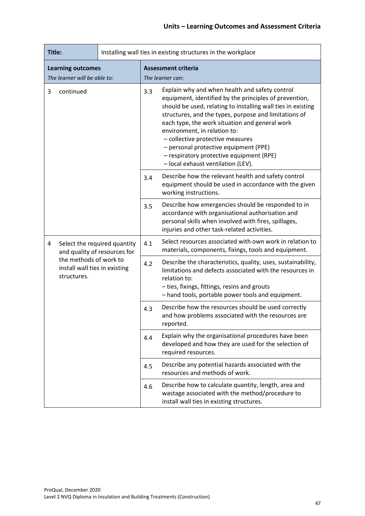| Title:                                                   |                                                              | Installing wall ties in existing structures in the workplace |                                                                                                                                                                                                                                                                                                                                                                                                                                                                                    |  |  |
|----------------------------------------------------------|--------------------------------------------------------------|--------------------------------------------------------------|------------------------------------------------------------------------------------------------------------------------------------------------------------------------------------------------------------------------------------------------------------------------------------------------------------------------------------------------------------------------------------------------------------------------------------------------------------------------------------|--|--|
| <b>Learning outcomes</b><br>The learner will be able to: |                                                              |                                                              | <b>Assessment criteria</b><br>The learner can:                                                                                                                                                                                                                                                                                                                                                                                                                                     |  |  |
| 3<br>continued                                           |                                                              | 3.3                                                          | Explain why and when health and safety control<br>equipment, identified by the principles of prevention,<br>should be used, relating to installing wall ties in existing<br>structures, and the types, purpose and limitations of<br>each type, the work situation and general work<br>environment, in relation to:<br>- collective protective measures<br>- personal protective equipment (PPE)<br>- respiratory protective equipment (RPE)<br>- local exhaust ventilation (LEV). |  |  |
|                                                          |                                                              | 3.4                                                          | Describe how the relevant health and safety control<br>equipment should be used in accordance with the given<br>working instructions.                                                                                                                                                                                                                                                                                                                                              |  |  |
|                                                          |                                                              | 3.5                                                          | Describe how emergencies should be responded to in<br>accordance with organisational authorisation and<br>personal skills when involved with fires, spillages,<br>injuries and other task-related activities.                                                                                                                                                                                                                                                                      |  |  |
| 4                                                        | Select the required quantity<br>and quality of resources for | 4.1                                                          | Select resources associated with own work in relation to<br>materials, components, fixings, tools and equipment.                                                                                                                                                                                                                                                                                                                                                                   |  |  |
| structures.                                              | the methods of work to<br>install wall ties in existing      | 4.2                                                          | Describe the characteristics, quality, uses, sustainability,<br>limitations and defects associated with the resources in<br>relation to:<br>- ties, fixings, fittings, resins and grouts<br>- hand tools, portable power tools and equipment.                                                                                                                                                                                                                                      |  |  |
|                                                          |                                                              | 4.3                                                          | Describe how the resources should be used correctly<br>and how problems associated with the resources are<br>reported.                                                                                                                                                                                                                                                                                                                                                             |  |  |
|                                                          |                                                              | 4.4                                                          | Explain why the organisational procedures have been<br>developed and how they are used for the selection of<br>required resources.                                                                                                                                                                                                                                                                                                                                                 |  |  |
|                                                          |                                                              | 4.5                                                          | Describe any potential hazards associated with the<br>resources and methods of work.                                                                                                                                                                                                                                                                                                                                                                                               |  |  |
|                                                          |                                                              | 4.6                                                          | Describe how to calculate quantity, length, area and<br>wastage associated with the method/procedure to<br>install wall ties in existing structures.                                                                                                                                                                                                                                                                                                                               |  |  |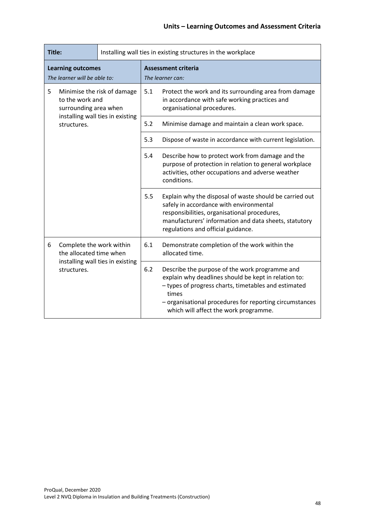| Title:                                                                       |                                                     | Installing wall ties in existing structures in the workplace |                                                                                                                                                                                |                                                                                                                                                                                                                                                                             |  |
|------------------------------------------------------------------------------|-----------------------------------------------------|--------------------------------------------------------------|--------------------------------------------------------------------------------------------------------------------------------------------------------------------------------|-----------------------------------------------------------------------------------------------------------------------------------------------------------------------------------------------------------------------------------------------------------------------------|--|
| <b>Learning outcomes</b><br>The learner will be able to:                     |                                                     |                                                              | <b>Assessment criteria</b><br>The learner can:                                                                                                                                 |                                                                                                                                                                                                                                                                             |  |
| 5<br>Minimise the risk of damage<br>to the work and<br>surrounding area when |                                                     | 5.1                                                          | Protect the work and its surrounding area from damage<br>in accordance with safe working practices and<br>organisational procedures.                                           |                                                                                                                                                                                                                                                                             |  |
|                                                                              | installing wall ties in existing<br>structures.     | 5.2                                                          | Minimise damage and maintain a clean work space.                                                                                                                               |                                                                                                                                                                                                                                                                             |  |
|                                                                              |                                                     | 5.3                                                          | Dispose of waste in accordance with current legislation.                                                                                                                       |                                                                                                                                                                                                                                                                             |  |
|                                                                              |                                                     | 5.4                                                          | Describe how to protect work from damage and the<br>purpose of protection in relation to general workplace<br>activities, other occupations and adverse weather<br>conditions. |                                                                                                                                                                                                                                                                             |  |
|                                                                              |                                                     |                                                              | 5.5                                                                                                                                                                            | Explain why the disposal of waste should be carried out<br>safely in accordance with environmental<br>responsibilities, organisational procedures,<br>manufacturers' information and data sheets, statutory<br>regulations and official guidance.                           |  |
| 6                                                                            | Complete the work within<br>the allocated time when |                                                              | 6.1                                                                                                                                                                            | Demonstrate completion of the work within the<br>allocated time.                                                                                                                                                                                                            |  |
|                                                                              | structures.                                         | installing wall ties in existing                             | 6.2                                                                                                                                                                            | Describe the purpose of the work programme and<br>explain why deadlines should be kept in relation to:<br>- types of progress charts, timetables and estimated<br>times<br>- organisational procedures for reporting circumstances<br>which will affect the work programme. |  |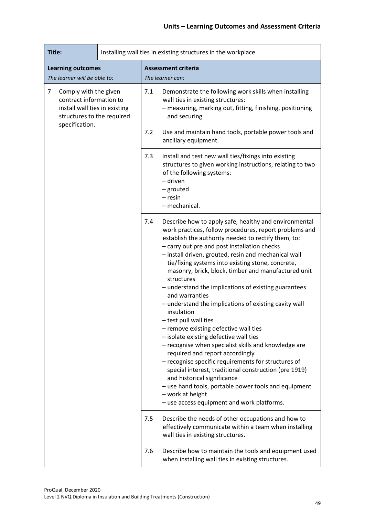| Title:                                                                                                                                 | Installing wall ties in existing structures in the workplace                                                                                                                    |                                                                                                                                                                                                                                                                                                                                                                                                                                                                                                                                                                                                                                                                                                                                                                                                                                                                                                                                                                                                                                                  |  |  |
|----------------------------------------------------------------------------------------------------------------------------------------|---------------------------------------------------------------------------------------------------------------------------------------------------------------------------------|--------------------------------------------------------------------------------------------------------------------------------------------------------------------------------------------------------------------------------------------------------------------------------------------------------------------------------------------------------------------------------------------------------------------------------------------------------------------------------------------------------------------------------------------------------------------------------------------------------------------------------------------------------------------------------------------------------------------------------------------------------------------------------------------------------------------------------------------------------------------------------------------------------------------------------------------------------------------------------------------------------------------------------------------------|--|--|
| <b>Learning outcomes</b><br>The learner will be able to:                                                                               |                                                                                                                                                                                 | <b>Assessment criteria</b><br>The learner can:                                                                                                                                                                                                                                                                                                                                                                                                                                                                                                                                                                                                                                                                                                                                                                                                                                                                                                                                                                                                   |  |  |
| 7<br>Comply with the given<br>contract information to<br>install wall ties in existing<br>structures to the required<br>specification. | 7.1<br>Demonstrate the following work skills when installing<br>wall ties in existing structures:<br>- measuring, marking out, fitting, finishing, positioning<br>and securing. |                                                                                                                                                                                                                                                                                                                                                                                                                                                                                                                                                                                                                                                                                                                                                                                                                                                                                                                                                                                                                                                  |  |  |
|                                                                                                                                        |                                                                                                                                                                                 | 7.2<br>Use and maintain hand tools, portable power tools and<br>ancillary equipment.                                                                                                                                                                                                                                                                                                                                                                                                                                                                                                                                                                                                                                                                                                                                                                                                                                                                                                                                                             |  |  |
|                                                                                                                                        |                                                                                                                                                                                 | 7.3<br>Install and test new wall ties/fixings into existing<br>structures to given working instructions, relating to two<br>of the following systems:<br>– driven<br>- grouted<br>- resin<br>- mechanical.                                                                                                                                                                                                                                                                                                                                                                                                                                                                                                                                                                                                                                                                                                                                                                                                                                       |  |  |
|                                                                                                                                        |                                                                                                                                                                                 | 7.4<br>Describe how to apply safe, healthy and environmental<br>work practices, follow procedures, report problems and<br>establish the authority needed to rectify them, to:<br>- carry out pre and post installation checks<br>- install driven, grouted, resin and mechanical wall<br>tie/fixing systems into existing stone, concrete,<br>masonry, brick, block, timber and manufactured unit<br>structures<br>- understand the implications of existing guarantees<br>and warranties<br>- understand the implications of existing cavity wall<br>insulation<br>- test pull wall ties<br>- remove existing defective wall ties<br>- isolate existing defective wall ties<br>- recognise when specialist skills and knowledge are<br>required and report accordingly<br>- recognise specific requirements for structures of<br>special interest, traditional construction (pre 1919)<br>and historical significance<br>- use hand tools, portable power tools and equipment<br>- work at height<br>- use access equipment and work platforms. |  |  |
|                                                                                                                                        |                                                                                                                                                                                 | 7.5<br>Describe the needs of other occupations and how to<br>effectively communicate within a team when installing<br>wall ties in existing structures.                                                                                                                                                                                                                                                                                                                                                                                                                                                                                                                                                                                                                                                                                                                                                                                                                                                                                          |  |  |
|                                                                                                                                        |                                                                                                                                                                                 | 7.6<br>Describe how to maintain the tools and equipment used<br>when installing wall ties in existing structures.                                                                                                                                                                                                                                                                                                                                                                                                                                                                                                                                                                                                                                                                                                                                                                                                                                                                                                                                |  |  |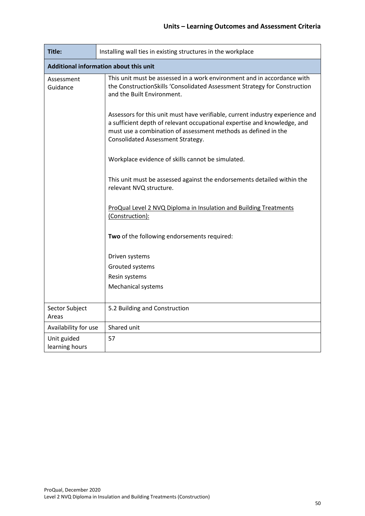| Title:                                                                                                                                                                                                       | Installing wall ties in existing structures in the workplace                                                                                                                                                                                                     |  |  |
|--------------------------------------------------------------------------------------------------------------------------------------------------------------------------------------------------------------|------------------------------------------------------------------------------------------------------------------------------------------------------------------------------------------------------------------------------------------------------------------|--|--|
| Additional information about this unit                                                                                                                                                                       |                                                                                                                                                                                                                                                                  |  |  |
| This unit must be assessed in a work environment and in accordance with<br>Assessment<br>the ConstructionSkills 'Consolidated Assessment Strategy for Construction<br>Guidance<br>and the Built Environment. |                                                                                                                                                                                                                                                                  |  |  |
|                                                                                                                                                                                                              | Assessors for this unit must have verifiable, current industry experience and<br>a sufficient depth of relevant occupational expertise and knowledge, and<br>must use a combination of assessment methods as defined in the<br>Consolidated Assessment Strategy. |  |  |
|                                                                                                                                                                                                              | Workplace evidence of skills cannot be simulated.                                                                                                                                                                                                                |  |  |
|                                                                                                                                                                                                              | This unit must be assessed against the endorsements detailed within the<br>relevant NVQ structure.                                                                                                                                                               |  |  |
|                                                                                                                                                                                                              | ProQual Level 2 NVQ Diploma in Insulation and Building Treatments<br>(Construction):                                                                                                                                                                             |  |  |
|                                                                                                                                                                                                              | Two of the following endorsements required:                                                                                                                                                                                                                      |  |  |
|                                                                                                                                                                                                              | Driven systems                                                                                                                                                                                                                                                   |  |  |
|                                                                                                                                                                                                              | Grouted systems                                                                                                                                                                                                                                                  |  |  |
|                                                                                                                                                                                                              | Resin systems                                                                                                                                                                                                                                                    |  |  |
|                                                                                                                                                                                                              | <b>Mechanical systems</b>                                                                                                                                                                                                                                        |  |  |
| Sector Subject<br>Areas                                                                                                                                                                                      | 5.2 Building and Construction                                                                                                                                                                                                                                    |  |  |
| Availability for use                                                                                                                                                                                         | Shared unit                                                                                                                                                                                                                                                      |  |  |
| Unit guided<br>learning hours                                                                                                                                                                                | 57                                                                                                                                                                                                                                                               |  |  |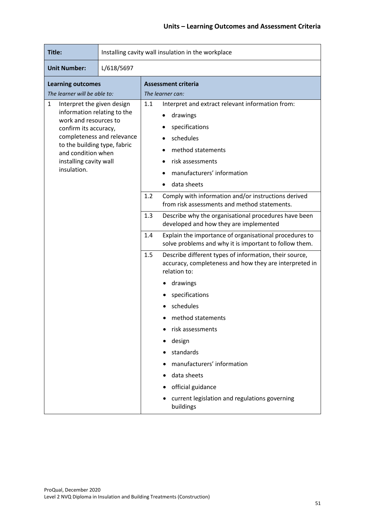| Title:                                                                                                                                                                                                                                        | Installing cavity wall insulation in the workplace |     |                                                                                                                                                                                   |  |
|-----------------------------------------------------------------------------------------------------------------------------------------------------------------------------------------------------------------------------------------------|----------------------------------------------------|-----|-----------------------------------------------------------------------------------------------------------------------------------------------------------------------------------|--|
| L/618/5697<br><b>Unit Number:</b>                                                                                                                                                                                                             |                                                    |     |                                                                                                                                                                                   |  |
| <b>Learning outcomes</b><br>The learner will be able to:                                                                                                                                                                                      |                                                    |     | <b>Assessment criteria</b><br>The learner can:                                                                                                                                    |  |
| Interpret the given design<br>1<br>information relating to the<br>work and resources to<br>confirm its accuracy,<br>completeness and relevance<br>to the building type, fabric<br>and condition when<br>installing cavity wall<br>insulation. |                                                    | 1.1 | Interpret and extract relevant information from:<br>drawings<br>specifications<br>schedules<br>method statements<br>risk assessments<br>manufacturers' information<br>data sheets |  |
|                                                                                                                                                                                                                                               |                                                    | 1.2 | Comply with information and/or instructions derived<br>from risk assessments and method statements.                                                                               |  |
|                                                                                                                                                                                                                                               |                                                    | 1.3 | Describe why the organisational procedures have been<br>developed and how they are implemented                                                                                    |  |
|                                                                                                                                                                                                                                               |                                                    | 1.4 | Explain the importance of organisational procedures to<br>solve problems and why it is important to follow them.                                                                  |  |
|                                                                                                                                                                                                                                               |                                                    | 1.5 | Describe different types of information, their source,<br>accuracy, completeness and how they are interpreted in<br>relation to:                                                  |  |
|                                                                                                                                                                                                                                               |                                                    |     | drawings                                                                                                                                                                          |  |
|                                                                                                                                                                                                                                               |                                                    |     | specifications                                                                                                                                                                    |  |
|                                                                                                                                                                                                                                               |                                                    |     | schedules                                                                                                                                                                         |  |
|                                                                                                                                                                                                                                               |                                                    |     | method statements                                                                                                                                                                 |  |
|                                                                                                                                                                                                                                               |                                                    |     | risk assessments                                                                                                                                                                  |  |
|                                                                                                                                                                                                                                               |                                                    |     | design                                                                                                                                                                            |  |
|                                                                                                                                                                                                                                               |                                                    |     | standards                                                                                                                                                                         |  |
|                                                                                                                                                                                                                                               |                                                    |     | manufacturers' information                                                                                                                                                        |  |
|                                                                                                                                                                                                                                               |                                                    |     | data sheets                                                                                                                                                                       |  |
|                                                                                                                                                                                                                                               |                                                    |     | official guidance                                                                                                                                                                 |  |
|                                                                                                                                                                                                                                               |                                                    |     | current legislation and regulations governing<br>buildings                                                                                                                        |  |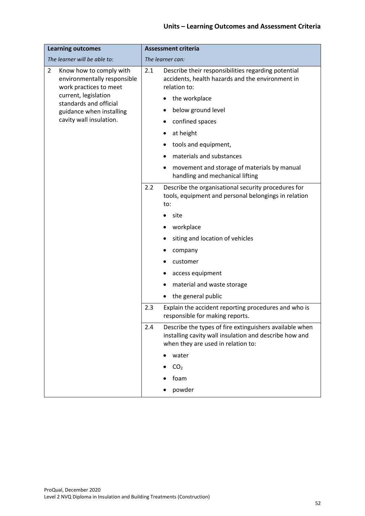| <b>Learning outcomes</b>                                                                                                                             | <b>Assessment criteria</b>                                                                                                                                     |  |
|------------------------------------------------------------------------------------------------------------------------------------------------------|----------------------------------------------------------------------------------------------------------------------------------------------------------------|--|
| The learner will be able to:                                                                                                                         | The learner can:                                                                                                                                               |  |
| $\overline{2}$<br>Know how to comply with<br>environmentally responsible<br>work practices to meet<br>current, legislation<br>standards and official | Describe their responsibilities regarding potential<br>2.1<br>accidents, health hazards and the environment in<br>relation to:                                 |  |
|                                                                                                                                                      | the workplace                                                                                                                                                  |  |
| guidance when installing                                                                                                                             | below ground level                                                                                                                                             |  |
| cavity wall insulation.                                                                                                                              | confined spaces                                                                                                                                                |  |
|                                                                                                                                                      | at height                                                                                                                                                      |  |
|                                                                                                                                                      | tools and equipment,                                                                                                                                           |  |
|                                                                                                                                                      | materials and substances                                                                                                                                       |  |
|                                                                                                                                                      | movement and storage of materials by manual<br>handling and mechanical lifting                                                                                 |  |
|                                                                                                                                                      | 2.2<br>Describe the organisational security procedures for<br>tools, equipment and personal belongings in relation<br>to:                                      |  |
|                                                                                                                                                      | site                                                                                                                                                           |  |
|                                                                                                                                                      | workplace                                                                                                                                                      |  |
|                                                                                                                                                      | siting and location of vehicles                                                                                                                                |  |
|                                                                                                                                                      | company                                                                                                                                                        |  |
|                                                                                                                                                      | customer                                                                                                                                                       |  |
|                                                                                                                                                      | access equipment                                                                                                                                               |  |
|                                                                                                                                                      | material and waste storage                                                                                                                                     |  |
|                                                                                                                                                      | the general public                                                                                                                                             |  |
|                                                                                                                                                      | 2.3<br>Explain the accident reporting procedures and who is<br>responsible for making reports.                                                                 |  |
|                                                                                                                                                      | Describe the types of fire extinguishers available when<br>2.4<br>installing cavity wall insulation and describe how and<br>when they are used in relation to: |  |
|                                                                                                                                                      | water                                                                                                                                                          |  |
|                                                                                                                                                      | CO <sub>2</sub>                                                                                                                                                |  |
|                                                                                                                                                      | foam                                                                                                                                                           |  |
|                                                                                                                                                      | powder                                                                                                                                                         |  |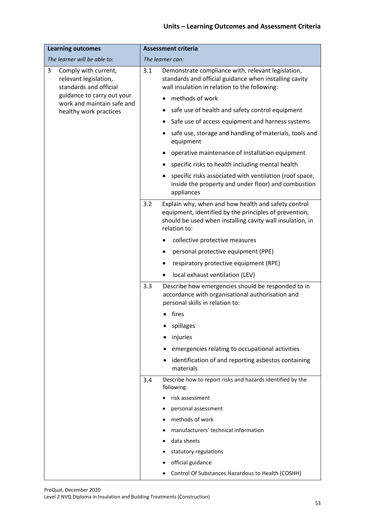| <b>Learning outcomes</b>                                                     | <b>Assessment criteria</b>                                                                                                                                                                        |  |  |
|------------------------------------------------------------------------------|---------------------------------------------------------------------------------------------------------------------------------------------------------------------------------------------------|--|--|
| The learner will be able to:                                                 | The learner can:                                                                                                                                                                                  |  |  |
| 3<br>Comply with current,<br>relevant legislation,<br>standards and official | Demonstrate compliance with, relevant legislation,<br>3.1<br>standards and official guidance when installing cavity<br>wall insulation in relation to the following:                              |  |  |
| guidance to carry out your<br>work and maintain safe and                     | methods of work                                                                                                                                                                                   |  |  |
| healthy work practices                                                       | safe use of health and safety control equipment                                                                                                                                                   |  |  |
|                                                                              | Safe use of access equipment and harness systems                                                                                                                                                  |  |  |
|                                                                              | safe use, storage and handling of materials, tools and<br>equipment                                                                                                                               |  |  |
|                                                                              | operative maintenance of installation equipment                                                                                                                                                   |  |  |
|                                                                              | specific risks to health including mental health                                                                                                                                                  |  |  |
|                                                                              | specific risks associated with ventilation (roof space,<br>inside the property and under floor) and combustion<br>appliances                                                                      |  |  |
|                                                                              | Explain why, when and how health and safety control<br>3.2<br>equipment, identified by the principles of prevention,<br>should be used when installing cavity wall insulation, in<br>relation to: |  |  |
|                                                                              | collective protective measures<br>$\bullet$                                                                                                                                                       |  |  |
|                                                                              | personal protective equipment (PPE)                                                                                                                                                               |  |  |
|                                                                              | respiratory protective equipment (RPE)                                                                                                                                                            |  |  |
|                                                                              | local exhaust ventilation (LEV)                                                                                                                                                                   |  |  |
|                                                                              | 3.3<br>Describe how emergencies should be responded to in<br>accordance with organisational authorisation and<br>personal skills in relation to:                                                  |  |  |
|                                                                              | fires                                                                                                                                                                                             |  |  |
|                                                                              | spillages                                                                                                                                                                                         |  |  |
|                                                                              | injuries                                                                                                                                                                                          |  |  |
|                                                                              | emergencies relating to occupational activities                                                                                                                                                   |  |  |
|                                                                              | identification of and reporting asbestos containing<br>materials                                                                                                                                  |  |  |
|                                                                              | Describe how to report risks and hazards identified by the<br>3.4<br>following:                                                                                                                   |  |  |
|                                                                              | risk assessment                                                                                                                                                                                   |  |  |
|                                                                              | personal assessment                                                                                                                                                                               |  |  |
|                                                                              | methods of work                                                                                                                                                                                   |  |  |
|                                                                              | manufacturers' technical information                                                                                                                                                              |  |  |
|                                                                              | data sheets                                                                                                                                                                                       |  |  |
|                                                                              | statutory regulations                                                                                                                                                                             |  |  |
|                                                                              | official guidance                                                                                                                                                                                 |  |  |
|                                                                              | Control Of Substances Hazardous to Health (COSHH)                                                                                                                                                 |  |  |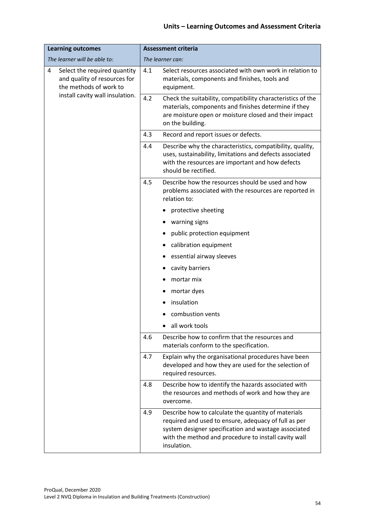| <b>Learning outcomes</b>                                                                    |     | <b>Assessment criteria</b>                                                                                                                                                                                                                 |  |  |
|---------------------------------------------------------------------------------------------|-----|--------------------------------------------------------------------------------------------------------------------------------------------------------------------------------------------------------------------------------------------|--|--|
| The learner will be able to:                                                                |     | The learner can:                                                                                                                                                                                                                           |  |  |
| Select the required quantity<br>4<br>and quality of resources for<br>the methods of work to | 4.1 | Select resources associated with own work in relation to<br>materials, components and finishes, tools and<br>equipment.                                                                                                                    |  |  |
| install cavity wall insulation.                                                             | 4.2 | Check the suitability, compatibility characteristics of the<br>materials, components and finishes determine if they<br>are moisture open or moisture closed and their impact<br>on the building.                                           |  |  |
|                                                                                             | 4.3 | Record and report issues or defects.                                                                                                                                                                                                       |  |  |
|                                                                                             | 4.4 | Describe why the characteristics, compatibility, quality,<br>uses, sustainability, limitations and defects associated<br>with the resources are important and how defects<br>should be rectified.                                          |  |  |
|                                                                                             | 4.5 | Describe how the resources should be used and how<br>problems associated with the resources are reported in<br>relation to:                                                                                                                |  |  |
|                                                                                             |     | protective sheeting                                                                                                                                                                                                                        |  |  |
|                                                                                             |     | warning signs                                                                                                                                                                                                                              |  |  |
|                                                                                             |     | public protection equipment                                                                                                                                                                                                                |  |  |
|                                                                                             |     | calibration equipment                                                                                                                                                                                                                      |  |  |
|                                                                                             |     | essential airway sleeves                                                                                                                                                                                                                   |  |  |
|                                                                                             |     | cavity barriers                                                                                                                                                                                                                            |  |  |
|                                                                                             |     | mortar mix                                                                                                                                                                                                                                 |  |  |
|                                                                                             |     | mortar dyes                                                                                                                                                                                                                                |  |  |
|                                                                                             |     | insulation                                                                                                                                                                                                                                 |  |  |
|                                                                                             |     | combustion vents                                                                                                                                                                                                                           |  |  |
|                                                                                             |     | all work tools                                                                                                                                                                                                                             |  |  |
|                                                                                             | 4.6 | Describe how to confirm that the resources and<br>materials conform to the specification.                                                                                                                                                  |  |  |
|                                                                                             | 4.7 | Explain why the organisational procedures have been<br>developed and how they are used for the selection of<br>required resources.                                                                                                         |  |  |
|                                                                                             | 4.8 | Describe how to identify the hazards associated with<br>the resources and methods of work and how they are<br>overcome.                                                                                                                    |  |  |
|                                                                                             | 4.9 | Describe how to calculate the quantity of materials<br>required and used to ensure, adequacy of full as per<br>system designer specification and wastage associated<br>with the method and procedure to install cavity wall<br>insulation. |  |  |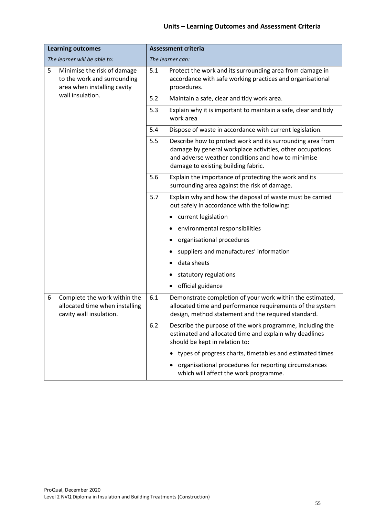| <b>Learning outcomes</b>                                                                       | <b>Assessment criteria</b>                                                                                                                                                                                                  |  |  |
|------------------------------------------------------------------------------------------------|-----------------------------------------------------------------------------------------------------------------------------------------------------------------------------------------------------------------------------|--|--|
| The learner will be able to:                                                                   | The learner can:                                                                                                                                                                                                            |  |  |
| 5<br>Minimise the risk of damage<br>to the work and surrounding<br>area when installing cavity | 5.1<br>Protect the work and its surrounding area from damage in<br>accordance with safe working practices and organisational<br>procedures.                                                                                 |  |  |
| wall insulation.                                                                               | 5.2<br>Maintain a safe, clear and tidy work area.                                                                                                                                                                           |  |  |
|                                                                                                | 5.3<br>Explain why it is important to maintain a safe, clear and tidy<br>work area                                                                                                                                          |  |  |
|                                                                                                | 5.4<br>Dispose of waste in accordance with current legislation.                                                                                                                                                             |  |  |
|                                                                                                | Describe how to protect work and its surrounding area from<br>5.5<br>damage by general workplace activities, other occupations<br>and adverse weather conditions and how to minimise<br>damage to existing building fabric. |  |  |
|                                                                                                | 5.6<br>Explain the importance of protecting the work and its<br>surrounding area against the risk of damage.                                                                                                                |  |  |
|                                                                                                | 5.7<br>Explain why and how the disposal of waste must be carried<br>out safely in accordance with the following:                                                                                                            |  |  |
|                                                                                                | current legislation                                                                                                                                                                                                         |  |  |
|                                                                                                | environmental responsibilities                                                                                                                                                                                              |  |  |
|                                                                                                | organisational procedures                                                                                                                                                                                                   |  |  |
|                                                                                                | suppliers and manufactures' information                                                                                                                                                                                     |  |  |
|                                                                                                | data sheets                                                                                                                                                                                                                 |  |  |
|                                                                                                | statutory regulations                                                                                                                                                                                                       |  |  |
|                                                                                                | official guidance                                                                                                                                                                                                           |  |  |
| Complete the work within the<br>6<br>allocated time when installing<br>cavity wall insulation. | 6.1<br>Demonstrate completion of your work within the estimated,<br>allocated time and performance requirements of the system<br>design, method statement and the required standard.                                        |  |  |
|                                                                                                | 6.2<br>Describe the purpose of the work programme, including the<br>estimated and allocated time and explain why deadlines<br>should be kept in relation to:                                                                |  |  |
|                                                                                                | types of progress charts, timetables and estimated times                                                                                                                                                                    |  |  |
|                                                                                                | organisational procedures for reporting circumstances<br>which will affect the work programme.                                                                                                                              |  |  |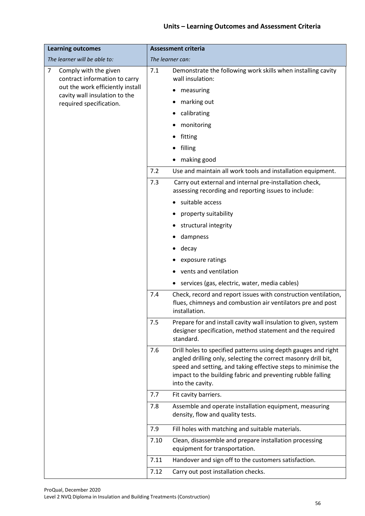| <b>Learning outcomes</b>                                                 | <b>Assessment criteria</b>                                                                                                                                                                                                                                                                  |  |  |
|--------------------------------------------------------------------------|---------------------------------------------------------------------------------------------------------------------------------------------------------------------------------------------------------------------------------------------------------------------------------------------|--|--|
| The learner will be able to:                                             | The learner can:                                                                                                                                                                                                                                                                            |  |  |
| $\overline{7}$<br>Comply with the given<br>contract information to carry | Demonstrate the following work skills when installing cavity<br>7.1<br>wall insulation:                                                                                                                                                                                                     |  |  |
| out the work efficiently install<br>cavity wall insulation to the        | measuring                                                                                                                                                                                                                                                                                   |  |  |
| required specification.                                                  | marking out                                                                                                                                                                                                                                                                                 |  |  |
|                                                                          | calibrating                                                                                                                                                                                                                                                                                 |  |  |
|                                                                          | monitoring                                                                                                                                                                                                                                                                                  |  |  |
|                                                                          | fitting                                                                                                                                                                                                                                                                                     |  |  |
|                                                                          | filling                                                                                                                                                                                                                                                                                     |  |  |
|                                                                          | making good                                                                                                                                                                                                                                                                                 |  |  |
|                                                                          | 7.2<br>Use and maintain all work tools and installation equipment.                                                                                                                                                                                                                          |  |  |
|                                                                          | 7.3<br>Carry out external and internal pre-installation check,<br>assessing recording and reporting issues to include:                                                                                                                                                                      |  |  |
|                                                                          | suitable access                                                                                                                                                                                                                                                                             |  |  |
|                                                                          | property suitability                                                                                                                                                                                                                                                                        |  |  |
|                                                                          | structural integrity                                                                                                                                                                                                                                                                        |  |  |
|                                                                          | dampness                                                                                                                                                                                                                                                                                    |  |  |
|                                                                          | decay                                                                                                                                                                                                                                                                                       |  |  |
|                                                                          | exposure ratings                                                                                                                                                                                                                                                                            |  |  |
|                                                                          | vents and ventilation                                                                                                                                                                                                                                                                       |  |  |
|                                                                          | services (gas, electric, water, media cables)                                                                                                                                                                                                                                               |  |  |
|                                                                          | 7.4<br>Check, record and report issues with construction ventilation,<br>flues, chimneys and combustion air ventilators pre and post<br>installation.                                                                                                                                       |  |  |
|                                                                          | 7.5<br>Prepare for and install cavity wall insulation to given, system<br>designer specification, method statement and the required<br>standard.                                                                                                                                            |  |  |
|                                                                          | Drill holes to specified patterns using depth gauges and right<br>7.6<br>angled drilling only, selecting the correct masonry drill bit,<br>speed and setting, and taking effective steps to minimise the<br>impact to the building fabric and preventing rubble falling<br>into the cavity. |  |  |
|                                                                          | 7.7<br>Fit cavity barriers.                                                                                                                                                                                                                                                                 |  |  |
|                                                                          | 7.8<br>Assemble and operate installation equipment, measuring<br>density, flow and quality tests.                                                                                                                                                                                           |  |  |
|                                                                          | 7.9<br>Fill holes with matching and suitable materials.                                                                                                                                                                                                                                     |  |  |
|                                                                          | 7.10<br>Clean, disassemble and prepare installation processing<br>equipment for transportation.                                                                                                                                                                                             |  |  |
|                                                                          | Handover and sign off to the customers satisfaction.<br>7.11                                                                                                                                                                                                                                |  |  |
|                                                                          | 7.12<br>Carry out post installation checks.                                                                                                                                                                                                                                                 |  |  |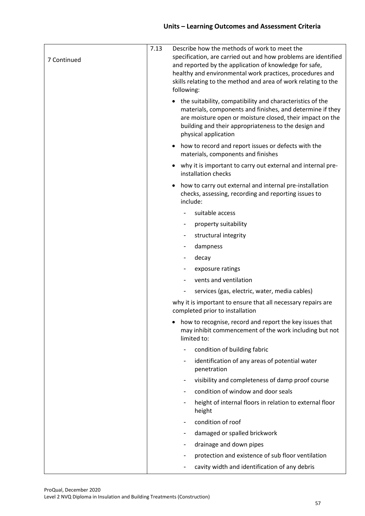| 7 Continued | 7.13 | Describe how the methods of work to meet the<br>specification, are carried out and how problems are identified<br>and reported by the application of knowledge for safe,<br>healthy and environmental work practices, procedures and<br>skills relating to the method and area of work relating to the<br>following: |
|-------------|------|----------------------------------------------------------------------------------------------------------------------------------------------------------------------------------------------------------------------------------------------------------------------------------------------------------------------|
|             |      | • the suitability, compatibility and characteristics of the<br>materials, components and finishes, and determine if they<br>are moisture open or moisture closed, their impact on the<br>building and their appropriateness to the design and<br>physical application                                                |
|             |      | how to record and report issues or defects with the<br>$\bullet$<br>materials, components and finishes                                                                                                                                                                                                               |
|             |      | why it is important to carry out external and internal pre-<br>installation checks                                                                                                                                                                                                                                   |
|             |      | how to carry out external and internal pre-installation<br>checks, assessing, recording and reporting issues to<br>include:                                                                                                                                                                                          |
|             |      | suitable access                                                                                                                                                                                                                                                                                                      |
|             |      | property suitability<br>-                                                                                                                                                                                                                                                                                            |
|             |      | structural integrity<br>۰.                                                                                                                                                                                                                                                                                           |
|             |      | dampness                                                                                                                                                                                                                                                                                                             |
|             |      | decay<br>-                                                                                                                                                                                                                                                                                                           |
|             |      | exposure ratings                                                                                                                                                                                                                                                                                                     |
|             |      | vents and ventilation                                                                                                                                                                                                                                                                                                |
|             |      | services (gas, electric, water, media cables)<br>-                                                                                                                                                                                                                                                                   |
|             |      | why it is important to ensure that all necessary repairs are<br>completed prior to installation                                                                                                                                                                                                                      |
|             |      | how to recognise, record and report the key issues that<br>may inhibit commencement of the work including but not<br>limited to:                                                                                                                                                                                     |
|             |      | condition of building fabric<br>-                                                                                                                                                                                                                                                                                    |
|             |      | identification of any areas of potential water<br>-<br>penetration                                                                                                                                                                                                                                                   |
|             |      | visibility and completeness of damp proof course<br>-                                                                                                                                                                                                                                                                |
|             |      | condition of window and door seals                                                                                                                                                                                                                                                                                   |
|             |      | height of internal floors in relation to external floor<br>height                                                                                                                                                                                                                                                    |
|             |      | condition of roof<br>-                                                                                                                                                                                                                                                                                               |
|             |      | damaged or spalled brickwork<br>-                                                                                                                                                                                                                                                                                    |
|             |      | drainage and down pipes<br>-                                                                                                                                                                                                                                                                                         |
|             |      | protection and existence of sub floor ventilation                                                                                                                                                                                                                                                                    |
|             |      | cavity width and identification of any debris                                                                                                                                                                                                                                                                        |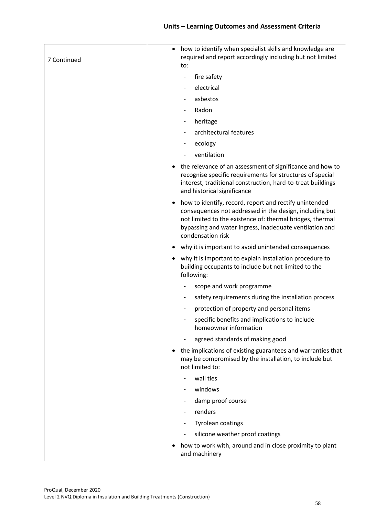| 7 Continued | how to identify when specialist skills and knowledge are<br>required and report accordingly including but not limited<br>to:                                                                                                                                   |
|-------------|----------------------------------------------------------------------------------------------------------------------------------------------------------------------------------------------------------------------------------------------------------------|
|             | fire safety<br>$\overline{\phantom{a}}$                                                                                                                                                                                                                        |
|             | electrical                                                                                                                                                                                                                                                     |
|             | asbestos                                                                                                                                                                                                                                                       |
|             | Radon                                                                                                                                                                                                                                                          |
|             | heritage                                                                                                                                                                                                                                                       |
|             | architectural features                                                                                                                                                                                                                                         |
|             | ecology                                                                                                                                                                                                                                                        |
|             | ventilation                                                                                                                                                                                                                                                    |
|             | the relevance of an assessment of significance and how to<br>recognise specific requirements for structures of special<br>interest, traditional construction, hard-to-treat buildings<br>and historical significance                                           |
|             | how to identify, record, report and rectify unintended<br>consequences not addressed in the design, including but<br>not limited to the existence of: thermal bridges, thermal<br>bypassing and water ingress, inadequate ventilation and<br>condensation risk |
|             | why it is important to avoid unintended consequences                                                                                                                                                                                                           |
|             | why it is important to explain installation procedure to<br>building occupants to include but not limited to the<br>following:                                                                                                                                 |
|             | scope and work programme                                                                                                                                                                                                                                       |
|             | safety requirements during the installation process                                                                                                                                                                                                            |
|             | protection of property and personal items                                                                                                                                                                                                                      |
|             | specific benefits and implications to include<br>homeowner information                                                                                                                                                                                         |
|             | agreed standards of making good                                                                                                                                                                                                                                |
|             | the implications of existing guarantees and warranties that<br>may be compromised by the installation, to include but<br>not limited to:                                                                                                                       |
|             | wall ties                                                                                                                                                                                                                                                      |
|             | windows                                                                                                                                                                                                                                                        |
|             | damp proof course                                                                                                                                                                                                                                              |
|             | renders                                                                                                                                                                                                                                                        |
|             | <b>Tyrolean coatings</b>                                                                                                                                                                                                                                       |
|             | silicone weather proof coatings                                                                                                                                                                                                                                |
|             | how to work with, around and in close proximity to plant<br>and machinery                                                                                                                                                                                      |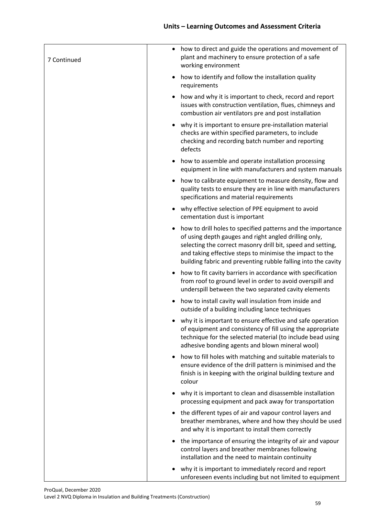| 7 Continued | how to direct and guide the operations and movement of<br>$\bullet$<br>plant and machinery to ensure protection of a safe<br>working environment                                                                                                                                                                 |
|-------------|------------------------------------------------------------------------------------------------------------------------------------------------------------------------------------------------------------------------------------------------------------------------------------------------------------------|
|             | how to identify and follow the installation quality<br>requirements                                                                                                                                                                                                                                              |
|             | how and why it is important to check, record and report<br>issues with construction ventilation, flues, chimneys and<br>combustion air ventilators pre and post installation                                                                                                                                     |
|             | why it is important to ensure pre-installation material<br>checks are within specified parameters, to include<br>checking and recording batch number and reporting<br>defects                                                                                                                                    |
|             | how to assemble and operate installation processing<br>equipment in line with manufacturers and system manuals                                                                                                                                                                                                   |
|             | how to calibrate equipment to measure density, flow and<br>quality tests to ensure they are in line with manufacturers<br>specifications and material requirements                                                                                                                                               |
|             | why effective selection of PPE equipment to avoid<br>cementation dust is important                                                                                                                                                                                                                               |
|             | how to drill holes to specified patterns and the importance<br>of using depth gauges and right angled drilling only,<br>selecting the correct masonry drill bit, speed and setting,<br>and taking effective steps to minimise the impact to the<br>building fabric and preventing rubble falling into the cavity |
|             | how to fit cavity barriers in accordance with specification<br>from roof to ground level in order to avoid overspill and<br>underspill between the two separated cavity elements                                                                                                                                 |
|             | how to install cavity wall insulation from inside and<br>outside of a building including lance techniques                                                                                                                                                                                                        |
|             | why it is important to ensure effective and safe operation<br>of equipment and consistency of fill using the appropriate<br>technique for the selected material (to include bead using<br>adhesive bonding agents and blown mineral wool)                                                                        |
|             | how to fill holes with matching and suitable materials to<br>٠<br>ensure evidence of the drill pattern is minimised and the<br>finish is in keeping with the original building texture and<br>colour                                                                                                             |
|             | why it is important to clean and disassemble installation<br>processing equipment and pack away for transportation                                                                                                                                                                                               |
|             | the different types of air and vapour control layers and<br>$\bullet$<br>breather membranes, where and how they should be used<br>and why it is important to install them correctly                                                                                                                              |
|             | the importance of ensuring the integrity of air and vapour<br>٠<br>control layers and breather membranes following<br>installation and the need to maintain continuity                                                                                                                                           |
|             | why it is important to immediately record and report<br>unforeseen events including but not limited to equipment                                                                                                                                                                                                 |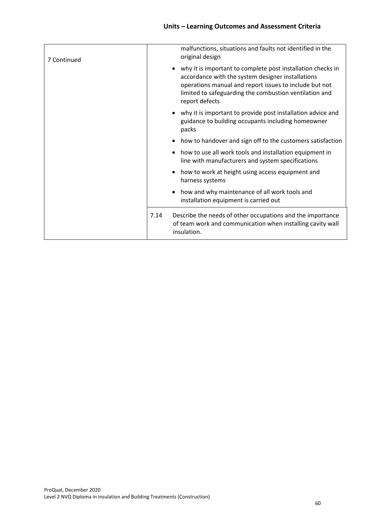| 7 Continued |      | malfunctions, situations and faults not identified in the<br>original design                                                                                                                                                                           |
|-------------|------|--------------------------------------------------------------------------------------------------------------------------------------------------------------------------------------------------------------------------------------------------------|
|             |      | why it is important to complete post installation checks in<br>accordance with the system designer installations<br>operations manual and report issues to include but not<br>limited to safeguarding the combustion ventilation and<br>report defects |
|             |      | • why it is important to provide post installation advice and<br>guidance to building occupants including homeowner<br>packs                                                                                                                           |
|             |      | how to handover and sign off to the customers satisfaction                                                                                                                                                                                             |
|             |      | how to use all work tools and installation equipment in<br>line with manufacturers and system specifications                                                                                                                                           |
|             |      | how to work at height using access equipment and<br>harness systems                                                                                                                                                                                    |
|             | ٠    | how and why maintenance of all work tools and<br>installation equipment is carried out                                                                                                                                                                 |
|             | 7.14 | Describe the needs of other occupations and the importance<br>of team work and communication when installing cavity wall<br>insulation.                                                                                                                |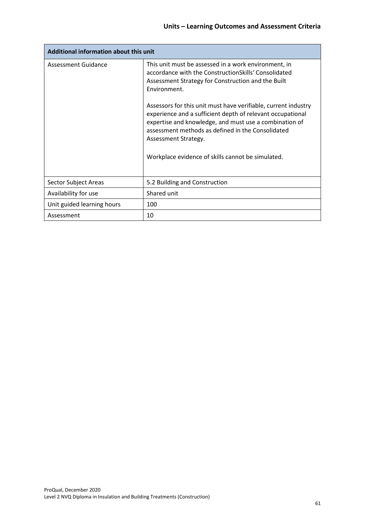| Additional information about this unit |                                                                                                                                                                                                                                                                                                                          |
|----------------------------------------|--------------------------------------------------------------------------------------------------------------------------------------------------------------------------------------------------------------------------------------------------------------------------------------------------------------------------|
| Assessment Guidance                    | This unit must be assessed in a work environment, in<br>accordance with the ConstructionSkills' Consolidated<br>Assessment Strategy for Construction and the Built<br>Environment.                                                                                                                                       |
|                                        | Assessors for this unit must have verifiable, current industry<br>experience and a sufficient depth of relevant occupational<br>expertise and knowledge, and must use a combination of<br>assessment methods as defined in the Consolidated<br>Assessment Strategy.<br>Workplace evidence of skills cannot be simulated. |
|                                        |                                                                                                                                                                                                                                                                                                                          |
| Sector Subject Areas                   | 5.2 Building and Construction                                                                                                                                                                                                                                                                                            |
| Availability for use                   | Shared unit                                                                                                                                                                                                                                                                                                              |
| Unit guided learning hours             | 100                                                                                                                                                                                                                                                                                                                      |
| Assessment                             | 10                                                                                                                                                                                                                                                                                                                       |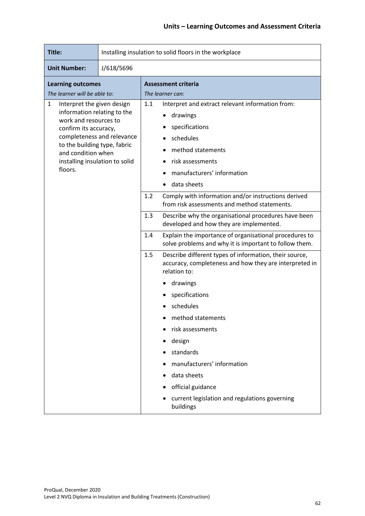| Title:                                                                                                                                                                                                                                            | Installing insulation to solid floors in the workplace |                                                                                                                         |                                                                                                                                                                                   |
|---------------------------------------------------------------------------------------------------------------------------------------------------------------------------------------------------------------------------------------------------|--------------------------------------------------------|-------------------------------------------------------------------------------------------------------------------------|-----------------------------------------------------------------------------------------------------------------------------------------------------------------------------------|
| <b>Unit Number:</b>                                                                                                                                                                                                                               | J/618/5696                                             |                                                                                                                         |                                                                                                                                                                                   |
| <b>Learning outcomes</b><br>The learner will be able to:                                                                                                                                                                                          |                                                        | <b>Assessment criteria</b><br>The learner can:                                                                          |                                                                                                                                                                                   |
| Interpret the given design<br>1<br>information relating to the<br>work and resources to<br>confirm its accuracy,<br>completeness and relevance<br>to the building type, fabric<br>and condition when<br>installing insulation to solid<br>floors. |                                                        | 1.1                                                                                                                     | Interpret and extract relevant information from:<br>drawings<br>specifications<br>schedules<br>method statements<br>risk assessments<br>manufacturers' information<br>data sheets |
|                                                                                                                                                                                                                                                   |                                                        | 1.2                                                                                                                     | Comply with information and/or instructions derived<br>from risk assessments and method statements.                                                                               |
|                                                                                                                                                                                                                                                   |                                                        | 1.3                                                                                                                     | Describe why the organisational procedures have been<br>developed and how they are implemented.                                                                                   |
|                                                                                                                                                                                                                                                   |                                                        | 1.4<br>Explain the importance of organisational procedures to<br>solve problems and why it is important to follow them. |                                                                                                                                                                                   |
|                                                                                                                                                                                                                                                   |                                                        | 1.5                                                                                                                     | Describe different types of information, their source,<br>accuracy, completeness and how they are interpreted in<br>relation to:                                                  |
|                                                                                                                                                                                                                                                   |                                                        |                                                                                                                         | drawings                                                                                                                                                                          |
|                                                                                                                                                                                                                                                   |                                                        |                                                                                                                         | specifications                                                                                                                                                                    |
|                                                                                                                                                                                                                                                   |                                                        |                                                                                                                         | schedules                                                                                                                                                                         |
|                                                                                                                                                                                                                                                   |                                                        |                                                                                                                         | method statements                                                                                                                                                                 |
|                                                                                                                                                                                                                                                   |                                                        |                                                                                                                         | risk assessments                                                                                                                                                                  |
|                                                                                                                                                                                                                                                   |                                                        |                                                                                                                         | design                                                                                                                                                                            |
|                                                                                                                                                                                                                                                   |                                                        |                                                                                                                         | standards                                                                                                                                                                         |
|                                                                                                                                                                                                                                                   |                                                        |                                                                                                                         | manufacturers' information                                                                                                                                                        |
|                                                                                                                                                                                                                                                   |                                                        |                                                                                                                         | data sheets                                                                                                                                                                       |
|                                                                                                                                                                                                                                                   |                                                        |                                                                                                                         | official guidance                                                                                                                                                                 |
|                                                                                                                                                                                                                                                   |                                                        |                                                                                                                         | current legislation and regulations governing<br>buildings                                                                                                                        |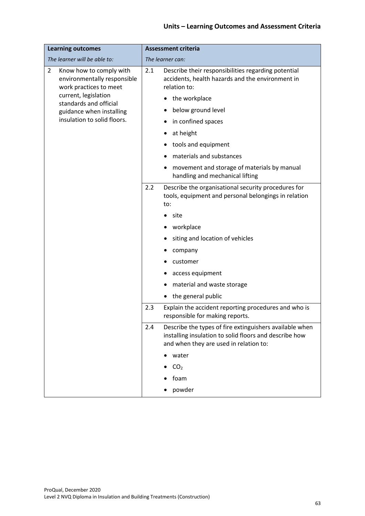| <b>Learning outcomes</b>                                                                           | <b>Assessment criteria</b>                                                                                                                                         |  |
|----------------------------------------------------------------------------------------------------|--------------------------------------------------------------------------------------------------------------------------------------------------------------------|--|
| The learner will be able to:                                                                       | The learner can:                                                                                                                                                   |  |
| $\overline{2}$<br>Know how to comply with<br>environmentally responsible<br>work practices to meet | Describe their responsibilities regarding potential<br>2.1<br>accidents, health hazards and the environment in<br>relation to:                                     |  |
| current, legislation<br>standards and official                                                     | the workplace                                                                                                                                                      |  |
| guidance when installing                                                                           | below ground level                                                                                                                                                 |  |
| insulation to solid floors.                                                                        | in confined spaces                                                                                                                                                 |  |
|                                                                                                    | at height                                                                                                                                                          |  |
|                                                                                                    | tools and equipment                                                                                                                                                |  |
|                                                                                                    | materials and substances                                                                                                                                           |  |
|                                                                                                    | movement and storage of materials by manual<br>handling and mechanical lifting                                                                                     |  |
|                                                                                                    | 2.2<br>Describe the organisational security procedures for<br>tools, equipment and personal belongings in relation<br>to:                                          |  |
|                                                                                                    | site                                                                                                                                                               |  |
|                                                                                                    | workplace                                                                                                                                                          |  |
|                                                                                                    | siting and location of vehicles                                                                                                                                    |  |
|                                                                                                    | company                                                                                                                                                            |  |
|                                                                                                    | customer                                                                                                                                                           |  |
|                                                                                                    | access equipment                                                                                                                                                   |  |
|                                                                                                    | material and waste storage                                                                                                                                         |  |
|                                                                                                    | the general public                                                                                                                                                 |  |
|                                                                                                    | 2.3<br>Explain the accident reporting procedures and who is<br>responsible for making reports.                                                                     |  |
|                                                                                                    | Describe the types of fire extinguishers available when<br>2.4<br>installing insulation to solid floors and describe how<br>and when they are used in relation to: |  |
|                                                                                                    | water                                                                                                                                                              |  |
|                                                                                                    | CO <sub>2</sub>                                                                                                                                                    |  |
|                                                                                                    | foam                                                                                                                                                               |  |
|                                                                                                    | powder                                                                                                                                                             |  |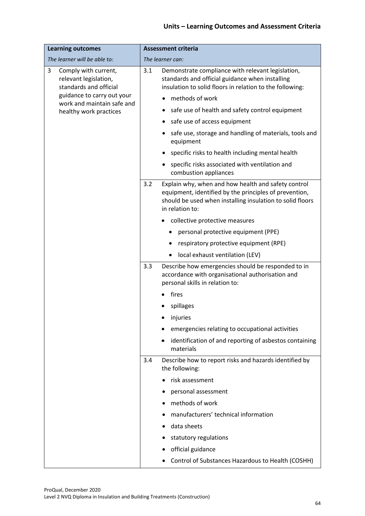| <b>Learning outcomes</b>                                                                                   | <b>Assessment criteria</b>                                                                                                                                                                           |  |
|------------------------------------------------------------------------------------------------------------|------------------------------------------------------------------------------------------------------------------------------------------------------------------------------------------------------|--|
| The learner will be able to:                                                                               | The learner can:                                                                                                                                                                                     |  |
| 3<br>Comply with current,<br>relevant legislation,<br>standards and official<br>guidance to carry out your | Demonstrate compliance with relevant legislation,<br>3.1<br>standards and official guidance when installing<br>insulation to solid floors in relation to the following:                              |  |
| work and maintain safe and                                                                                 | methods of work                                                                                                                                                                                      |  |
| healthy work practices                                                                                     | safe use of health and safety control equipment                                                                                                                                                      |  |
|                                                                                                            | safe use of access equipment                                                                                                                                                                         |  |
|                                                                                                            | safe use, storage and handling of materials, tools and<br>equipment                                                                                                                                  |  |
|                                                                                                            | specific risks to health including mental health                                                                                                                                                     |  |
|                                                                                                            | specific risks associated with ventilation and<br>combustion appliances                                                                                                                              |  |
|                                                                                                            | 3.2<br>Explain why, when and how health and safety control<br>equipment, identified by the principles of prevention,<br>should be used when installing insulation to solid floors<br>in relation to: |  |
|                                                                                                            | collective protective measures                                                                                                                                                                       |  |
|                                                                                                            | personal protective equipment (PPE)                                                                                                                                                                  |  |
|                                                                                                            | respiratory protective equipment (RPE)                                                                                                                                                               |  |
|                                                                                                            | local exhaust ventilation (LEV)<br>٠                                                                                                                                                                 |  |
|                                                                                                            | 3.3<br>Describe how emergencies should be responded to in<br>accordance with organisational authorisation and<br>personal skills in relation to:                                                     |  |
|                                                                                                            | fires                                                                                                                                                                                                |  |
|                                                                                                            | spillages                                                                                                                                                                                            |  |
|                                                                                                            | injuries                                                                                                                                                                                             |  |
|                                                                                                            | emergencies relating to occupational activities                                                                                                                                                      |  |
|                                                                                                            | identification of and reporting of asbestos containing<br>materials                                                                                                                                  |  |
|                                                                                                            | 3.4<br>Describe how to report risks and hazards identified by<br>the following:                                                                                                                      |  |
|                                                                                                            | risk assessment                                                                                                                                                                                      |  |
|                                                                                                            | personal assessment                                                                                                                                                                                  |  |
|                                                                                                            | methods of work                                                                                                                                                                                      |  |
|                                                                                                            | manufacturers' technical information                                                                                                                                                                 |  |
|                                                                                                            | data sheets                                                                                                                                                                                          |  |
|                                                                                                            | statutory regulations                                                                                                                                                                                |  |
|                                                                                                            | official guidance                                                                                                                                                                                    |  |
|                                                                                                            | Control of Substances Hazardous to Health (COSHH)                                                                                                                                                    |  |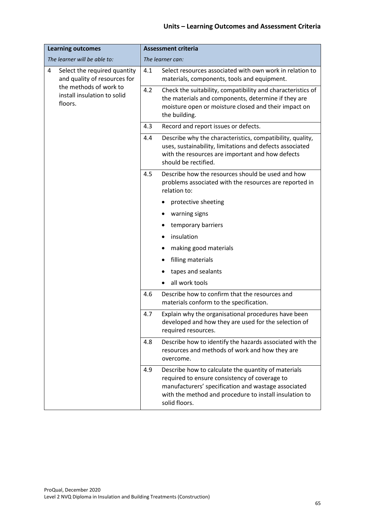| <b>Learning outcomes</b>                                          | <b>Assessment criteria</b> |                                                                                                                                                                                                                                        |
|-------------------------------------------------------------------|----------------------------|----------------------------------------------------------------------------------------------------------------------------------------------------------------------------------------------------------------------------------------|
| The learner will be able to:                                      | The learner can:           |                                                                                                                                                                                                                                        |
| 4<br>Select the required quantity<br>and quality of resources for | 4.1                        | Select resources associated with own work in relation to<br>materials, components, tools and equipment.                                                                                                                                |
| the methods of work to<br>install insulation to solid<br>floors.  | 4.2                        | Check the suitability, compatibility and characteristics of<br>the materials and components, determine if they are<br>moisture open or moisture closed and their impact on<br>the building.                                            |
|                                                                   | 4.3                        | Record and report issues or defects.                                                                                                                                                                                                   |
|                                                                   | 4.4                        | Describe why the characteristics, compatibility, quality,<br>uses, sustainability, limitations and defects associated<br>with the resources are important and how defects<br>should be rectified.                                      |
|                                                                   | 4.5                        | Describe how the resources should be used and how<br>problems associated with the resources are reported in<br>relation to:                                                                                                            |
|                                                                   |                            | protective sheeting                                                                                                                                                                                                                    |
|                                                                   |                            | warning signs                                                                                                                                                                                                                          |
|                                                                   |                            | temporary barriers                                                                                                                                                                                                                     |
|                                                                   |                            | insulation                                                                                                                                                                                                                             |
|                                                                   |                            | making good materials                                                                                                                                                                                                                  |
|                                                                   |                            | filling materials                                                                                                                                                                                                                      |
|                                                                   |                            | tapes and sealants                                                                                                                                                                                                                     |
|                                                                   |                            | all work tools                                                                                                                                                                                                                         |
|                                                                   | 4.6                        | Describe how to confirm that the resources and<br>materials conform to the specification.                                                                                                                                              |
|                                                                   | 4.7                        | Explain why the organisational procedures have been<br>developed and how they are used for the selection of<br>required resources.                                                                                                     |
|                                                                   | 4.8                        | Describe how to identify the hazards associated with the<br>resources and methods of work and how they are<br>overcome.                                                                                                                |
|                                                                   | 4.9                        | Describe how to calculate the quantity of materials<br>required to ensure consistency of coverage to<br>manufacturers' specification and wastage associated<br>with the method and procedure to install insulation to<br>solid floors. |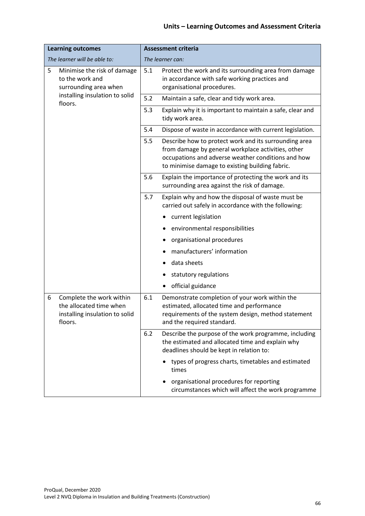| <b>Learning outcomes</b>                                                                              |       | <b>Assessment criteria</b>                                                                                                                                                                                           |  |
|-------------------------------------------------------------------------------------------------------|-------|----------------------------------------------------------------------------------------------------------------------------------------------------------------------------------------------------------------------|--|
| The learner will be able to:                                                                          |       | The learner can:                                                                                                                                                                                                     |  |
| 5<br>Minimise the risk of damage<br>to the work and<br>surrounding area when                          | 5.1   | Protect the work and its surrounding area from damage<br>in accordance with safe working practices and<br>organisational procedures.                                                                                 |  |
| installing insulation to solid<br>floors.                                                             | $5.2$ | Maintain a safe, clear and tidy work area.                                                                                                                                                                           |  |
|                                                                                                       | 5.3   | Explain why it is important to maintain a safe, clear and<br>tidy work area.                                                                                                                                         |  |
|                                                                                                       | 5.4   | Dispose of waste in accordance with current legislation.                                                                                                                                                             |  |
|                                                                                                       | 5.5   | Describe how to protect work and its surrounding area<br>from damage by general workplace activities, other<br>occupations and adverse weather conditions and how<br>to minimise damage to existing building fabric. |  |
|                                                                                                       | 5.6   | Explain the importance of protecting the work and its<br>surrounding area against the risk of damage.                                                                                                                |  |
|                                                                                                       | 5.7   | Explain why and how the disposal of waste must be<br>carried out safely in accordance with the following:                                                                                                            |  |
|                                                                                                       |       | current legislation                                                                                                                                                                                                  |  |
|                                                                                                       |       | environmental responsibilities                                                                                                                                                                                       |  |
|                                                                                                       |       | organisational procedures                                                                                                                                                                                            |  |
|                                                                                                       |       | manufacturers' information                                                                                                                                                                                           |  |
|                                                                                                       |       | data sheets                                                                                                                                                                                                          |  |
|                                                                                                       |       | statutory regulations                                                                                                                                                                                                |  |
|                                                                                                       |       | official guidance                                                                                                                                                                                                    |  |
| 6<br>Complete the work within<br>the allocated time when<br>installing insulation to solid<br>floors. | 6.1   | Demonstrate completion of your work within the<br>estimated, allocated time and performance<br>requirements of the system design, method statement<br>and the required standard.                                     |  |
|                                                                                                       | 6.2   | Describe the purpose of the work programme, including<br>the estimated and allocated time and explain why<br>deadlines should be kept in relation to:                                                                |  |
|                                                                                                       |       | types of progress charts, timetables and estimated<br>times                                                                                                                                                          |  |
|                                                                                                       |       | organisational procedures for reporting<br>circumstances which will affect the work programme                                                                                                                        |  |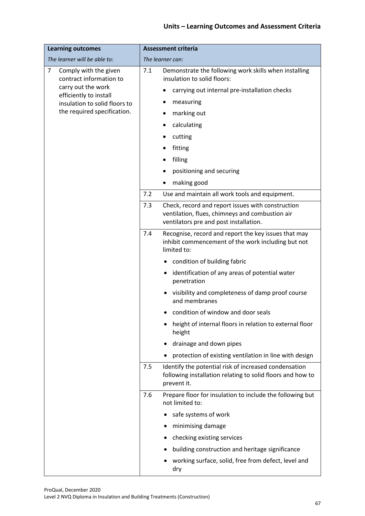| <b>Learning outcomes</b>                              | <b>Assessment criteria</b>                                                                                                                            |  |  |
|-------------------------------------------------------|-------------------------------------------------------------------------------------------------------------------------------------------------------|--|--|
| The learner will be able to:                          | The learner can:                                                                                                                                      |  |  |
| 7<br>Comply with the given<br>contract information to | 7.1<br>Demonstrate the following work skills when installing<br>insulation to solid floors:                                                           |  |  |
| carry out the work<br>efficiently to install          | carrying out internal pre-installation checks<br>٠                                                                                                    |  |  |
| insulation to solid floors to                         | measuring                                                                                                                                             |  |  |
| the required specification.                           | marking out                                                                                                                                           |  |  |
|                                                       | calculating                                                                                                                                           |  |  |
|                                                       | cutting                                                                                                                                               |  |  |
|                                                       | fitting                                                                                                                                               |  |  |
|                                                       | filling                                                                                                                                               |  |  |
|                                                       | positioning and securing                                                                                                                              |  |  |
|                                                       | making good                                                                                                                                           |  |  |
|                                                       | 7.2<br>Use and maintain all work tools and equipment.                                                                                                 |  |  |
|                                                       | 7.3<br>Check, record and report issues with construction<br>ventilation, flues, chimneys and combustion air<br>ventilators pre and post installation. |  |  |
|                                                       | 7.4<br>Recognise, record and report the key issues that may<br>inhibit commencement of the work including but not<br>limited to:                      |  |  |
|                                                       | condition of building fabric                                                                                                                          |  |  |
|                                                       | identification of any areas of potential water<br>penetration                                                                                         |  |  |
|                                                       | • visibility and completeness of damp proof course<br>and membranes                                                                                   |  |  |
|                                                       | condition of window and door seals                                                                                                                    |  |  |
|                                                       | height of internal floors in relation to external floor<br>height                                                                                     |  |  |
|                                                       | drainage and down pipes                                                                                                                               |  |  |
|                                                       | protection of existing ventilation in line with design                                                                                                |  |  |
|                                                       | Identify the potential risk of increased condensation<br>7.5<br>following installation relating to solid floors and how to<br>prevent it.             |  |  |
|                                                       | Prepare floor for insulation to include the following but<br>7.6<br>not limited to:                                                                   |  |  |
|                                                       | safe systems of work                                                                                                                                  |  |  |
|                                                       | minimising damage                                                                                                                                     |  |  |
|                                                       | checking existing services                                                                                                                            |  |  |
|                                                       | building construction and heritage significance                                                                                                       |  |  |
|                                                       | working surface, solid, free from defect, level and<br>dry                                                                                            |  |  |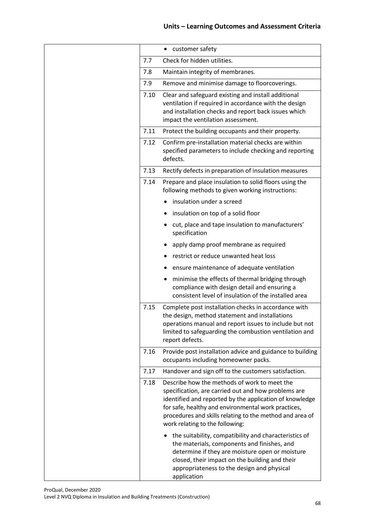|                                    | customer safety<br>٠                                                                                                                                                                                                                                                                                                 |
|------------------------------------|----------------------------------------------------------------------------------------------------------------------------------------------------------------------------------------------------------------------------------------------------------------------------------------------------------------------|
| Check for hidden utilities.<br>7.7 |                                                                                                                                                                                                                                                                                                                      |
| 7.8                                | Maintain integrity of membranes.                                                                                                                                                                                                                                                                                     |
| 7.9                                | Remove and minimise damage to floorcoverings.                                                                                                                                                                                                                                                                        |
| 7.10                               | Clear and safeguard existing and install additional<br>ventilation if required in accordance with the design<br>and installation checks and report back issues which<br>impact the ventilation assessment.                                                                                                           |
| 7.11                               | Protect the building occupants and their property.                                                                                                                                                                                                                                                                   |
| 7.12                               | Confirm pre-installation material checks are within<br>specified parameters to include checking and reporting<br>defects.                                                                                                                                                                                            |
| 7.13                               | Rectify defects in preparation of insulation measures                                                                                                                                                                                                                                                                |
| 7.14                               | Prepare and place insulation to solid floors using the<br>following methods to given working instructions:                                                                                                                                                                                                           |
|                                    | insulation under a screed                                                                                                                                                                                                                                                                                            |
|                                    | insulation on top of a solid floor                                                                                                                                                                                                                                                                                   |
|                                    | cut, place and tape insulation to manufacturers'<br>specification                                                                                                                                                                                                                                                    |
|                                    | apply damp proof membrane as required                                                                                                                                                                                                                                                                                |
|                                    | restrict or reduce unwanted heat loss                                                                                                                                                                                                                                                                                |
|                                    | ensure maintenance of adequate ventilation                                                                                                                                                                                                                                                                           |
|                                    | minimise the effects of thermal bridging through<br>compliance with design detail and ensuring a<br>consistent level of insulation of the installed area                                                                                                                                                             |
| 7.15                               | Complete post installation checks in accordance with<br>the design, method statement and installations<br>operations manual and report issues to include but not<br>limited to safeguarding the combustion ventilation and<br>report defects.                                                                        |
| 7.16                               | Provide post installation advice and guidance to building<br>occupants including homeowner packs.                                                                                                                                                                                                                    |
| 7.17                               | Handover and sign off to the customers satisfaction.                                                                                                                                                                                                                                                                 |
| 7.18                               | Describe how the methods of work to meet the<br>specification, are carried out and how problems are<br>identified and reported by the application of knowledge<br>for safe, healthy and environmental work practices,<br>procedures and skills relating to the method and area of<br>work relating to the following: |
|                                    | the suitability, compatibility and characteristics of<br>the materials, components and finishes, and<br>determine if they are moisture open or moisture<br>closed, their impact on the building and their<br>appropriateness to the design and physical<br>application                                               |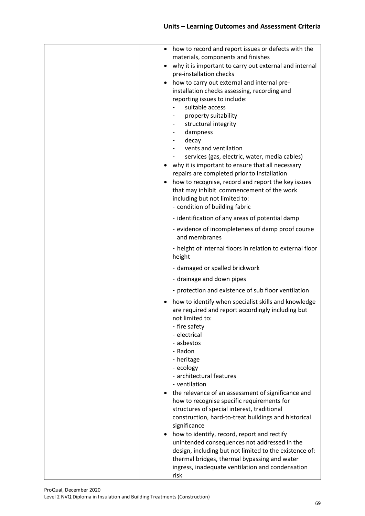| how to record and report issues or defects with the<br>$\bullet$<br>materials, components and finishes                                                                                                                                                                                                                                                                                                                                                                                              |
|-----------------------------------------------------------------------------------------------------------------------------------------------------------------------------------------------------------------------------------------------------------------------------------------------------------------------------------------------------------------------------------------------------------------------------------------------------------------------------------------------------|
| why it is important to carry out external and internal<br>pre-installation checks                                                                                                                                                                                                                                                                                                                                                                                                                   |
| how to carry out external and internal pre-<br>installation checks assessing, recording and<br>reporting issues to include:<br>suitable access<br>property suitability<br>structural integrity<br>dampness<br>decay<br>vents and ventilation<br>services (gas, electric, water, media cables)<br>why it is important to ensure that all necessary<br>repairs are completed prior to installation<br>how to recognise, record and report the key issues<br>that may inhibit commencement of the work |
| including but not limited to:<br>- condition of building fabric                                                                                                                                                                                                                                                                                                                                                                                                                                     |
| - identification of any areas of potential damp                                                                                                                                                                                                                                                                                                                                                                                                                                                     |
| - evidence of incompleteness of damp proof course<br>and membranes                                                                                                                                                                                                                                                                                                                                                                                                                                  |
| - height of internal floors in relation to external floor<br>height                                                                                                                                                                                                                                                                                                                                                                                                                                 |
| - damaged or spalled brickwork                                                                                                                                                                                                                                                                                                                                                                                                                                                                      |
| - drainage and down pipes                                                                                                                                                                                                                                                                                                                                                                                                                                                                           |
| - protection and existence of sub floor ventilation                                                                                                                                                                                                                                                                                                                                                                                                                                                 |
| how to identify when specialist skills and knowledge<br>are required and report accordingly including but<br>not limited to:<br>- fire safety<br>- electrical<br>- asbestos<br>- Radon<br>- heritage<br>- ecology<br>- architectural features<br>- ventilation<br>the relevance of an assessment of significance and                                                                                                                                                                                |
| how to recognise specific requirements for<br>structures of special interest, traditional<br>construction, hard-to-treat buildings and historical                                                                                                                                                                                                                                                                                                                                                   |
| significance                                                                                                                                                                                                                                                                                                                                                                                                                                                                                        |
| how to identify, record, report and rectify<br>unintended consequences not addressed in the<br>design, including but not limited to the existence of:<br>thermal bridges, thermal bypassing and water<br>ingress, inadequate ventilation and condensation<br>risk                                                                                                                                                                                                                                   |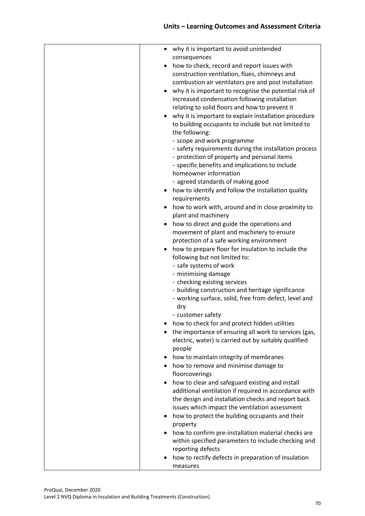| • why it is important to avoid unintended                                                            |
|------------------------------------------------------------------------------------------------------|
| consequences                                                                                         |
| how to check, record and report issues with                                                          |
| construction ventilation, flues, chimneys and                                                        |
| combustion air ventilators pre and post installation                                                 |
| why it is important to recognise the potential risk of                                               |
| increased condensation following installation                                                        |
| relating to solid floors and how to prevent it                                                       |
| why it is important to explain installation procedure                                                |
| to building occupants to include but not limited to                                                  |
| the following:                                                                                       |
| - scope and work programme                                                                           |
| - safety requirements during the installation process                                                |
| - protection of property and personal items                                                          |
| - specific benefits and implications to include<br>homeowner information                             |
| - agreed standards of making good                                                                    |
| how to identify and follow the installation quality                                                  |
| requirements                                                                                         |
| how to work with, around and in close proximity to                                                   |
| plant and machinery                                                                                  |
| how to direct and guide the operations and<br>$\bullet$                                              |
| movement of plant and machinery to ensure                                                            |
| protection of a safe working environment                                                             |
| how to prepare floor for insulation to include the                                                   |
| following but not limited to:<br>- safe systems of work                                              |
| - minimising damage                                                                                  |
| - checking existing services                                                                         |
| - building construction and heritage significance                                                    |
| - working surface, solid, free from defect, level and                                                |
| dry                                                                                                  |
| - customer safety                                                                                    |
| how to check for and protect hidden utilities                                                        |
| the importance of ensuring all work to services (gas,                                                |
| electric, water) is carried out by suitably qualified                                                |
| people                                                                                               |
| how to maintain integrity of membranes                                                               |
| how to remove and minimise damage to                                                                 |
| floorcoverings                                                                                       |
| how to clear and safeguard existing and install<br>$\bullet$                                         |
| additional ventilation if required in accordance with                                                |
| the design and installation checks and report back<br>issues which impact the ventilation assessment |
| how to protect the building occupants and their                                                      |
| property                                                                                             |
| how to confirm pre-installation material checks are                                                  |
| within specified parameters to include checking and                                                  |
| reporting defects                                                                                    |
| how to rectify defects in preparation of insulation                                                  |
| measures                                                                                             |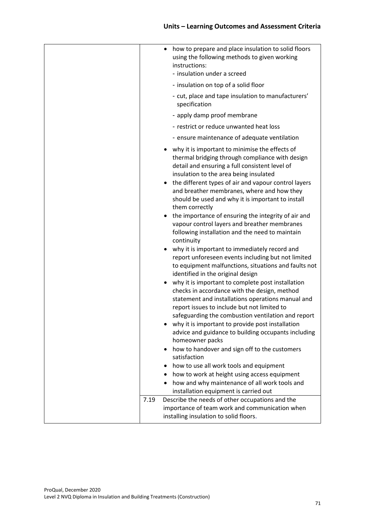|      | how to prepare and place insulation to solid floors<br>using the following methods to given working<br>instructions:<br>- insulation under a screed                                                                                                                                                                                                                                       |
|------|-------------------------------------------------------------------------------------------------------------------------------------------------------------------------------------------------------------------------------------------------------------------------------------------------------------------------------------------------------------------------------------------|
|      | - insulation on top of a solid floor                                                                                                                                                                                                                                                                                                                                                      |
|      | - cut, place and tape insulation to manufacturers'<br>specification                                                                                                                                                                                                                                                                                                                       |
|      | - apply damp proof membrane                                                                                                                                                                                                                                                                                                                                                               |
|      | - restrict or reduce unwanted heat loss                                                                                                                                                                                                                                                                                                                                                   |
|      | - ensure maintenance of adequate ventilation                                                                                                                                                                                                                                                                                                                                              |
|      | why it is important to minimise the effects of<br>thermal bridging through compliance with design<br>detail and ensuring a full consistent level of<br>insulation to the area being insulated<br>the different types of air and vapour control layers<br>and breather membranes, where and how they<br>should be used and why it is important to install<br>them correctly                |
|      | the importance of ensuring the integrity of air and<br>vapour control layers and breather membranes<br>following installation and the need to maintain<br>continuity                                                                                                                                                                                                                      |
|      | why it is important to immediately record and<br>report unforeseen events including but not limited<br>to equipment malfunctions, situations and faults not<br>identified in the original design                                                                                                                                                                                          |
| ٠    | why it is important to complete post installation<br>checks in accordance with the design, method<br>statement and installations operations manual and<br>report issues to include but not limited to<br>safeguarding the combustion ventilation and report<br>why it is important to provide post installation<br>advice and guidance to building occupants including<br>homeowner packs |
|      | how to handover and sign off to the customers                                                                                                                                                                                                                                                                                                                                             |
|      | satisfaction                                                                                                                                                                                                                                                                                                                                                                              |
|      | how to use all work tools and equipment<br>how to work at height using access equipment                                                                                                                                                                                                                                                                                                   |
|      | how and why maintenance of all work tools and                                                                                                                                                                                                                                                                                                                                             |
|      | installation equipment is carried out                                                                                                                                                                                                                                                                                                                                                     |
| 7.19 | Describe the needs of other occupations and the<br>importance of team work and communication when<br>installing insulation to solid floors.                                                                                                                                                                                                                                               |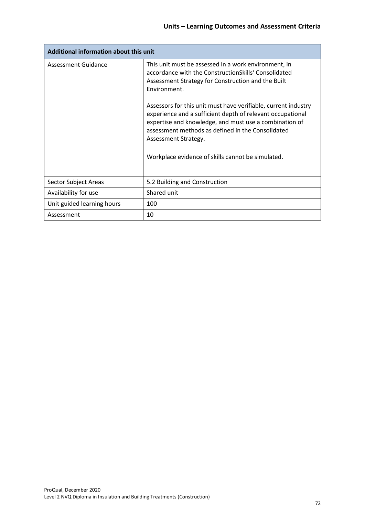| Additional information about this unit |                                                                                                                                                                                                                                                                                                                                                                              |
|----------------------------------------|------------------------------------------------------------------------------------------------------------------------------------------------------------------------------------------------------------------------------------------------------------------------------------------------------------------------------------------------------------------------------|
| <b>Assessment Guidance</b>             | This unit must be assessed in a work environment, in<br>accordance with the ConstructionSkills' Consolidated<br>Assessment Strategy for Construction and the Built<br>Environment.<br>Assessors for this unit must have verifiable, current industry<br>experience and a sufficient depth of relevant occupational<br>expertise and knowledge, and must use a combination of |
|                                        | assessment methods as defined in the Consolidated<br>Assessment Strategy.                                                                                                                                                                                                                                                                                                    |
|                                        | Workplace evidence of skills cannot be simulated.                                                                                                                                                                                                                                                                                                                            |
| Sector Subject Areas                   | 5.2 Building and Construction                                                                                                                                                                                                                                                                                                                                                |
| Availability for use                   | Shared unit                                                                                                                                                                                                                                                                                                                                                                  |
| Unit guided learning hours             | 100                                                                                                                                                                                                                                                                                                                                                                          |
| Assessment                             | 10                                                                                                                                                                                                                                                                                                                                                                           |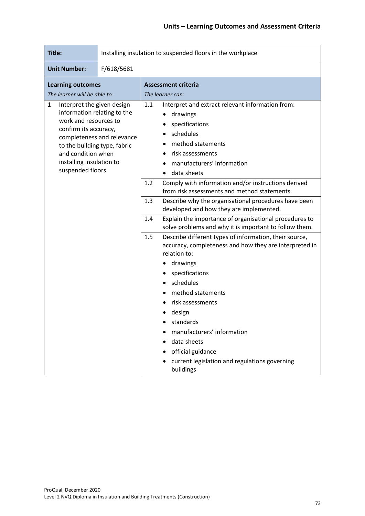| Title:                                                                                                                                                                                                                             | Installing insulation to suspended floors in the workplace |                                                                                                                                                                                                                                                                                                                                                                                                                                                                                                                                                                                                                                                                                                                                                                                                                                                                                                                                   |  |  |  |
|------------------------------------------------------------------------------------------------------------------------------------------------------------------------------------------------------------------------------------|------------------------------------------------------------|-----------------------------------------------------------------------------------------------------------------------------------------------------------------------------------------------------------------------------------------------------------------------------------------------------------------------------------------------------------------------------------------------------------------------------------------------------------------------------------------------------------------------------------------------------------------------------------------------------------------------------------------------------------------------------------------------------------------------------------------------------------------------------------------------------------------------------------------------------------------------------------------------------------------------------------|--|--|--|
| <b>Unit Number:</b>                                                                                                                                                                                                                | F/618/5681                                                 |                                                                                                                                                                                                                                                                                                                                                                                                                                                                                                                                                                                                                                                                                                                                                                                                                                                                                                                                   |  |  |  |
| <b>Learning outcomes</b><br>The learner will be able to:                                                                                                                                                                           |                                                            | <b>Assessment criteria</b><br>The learner can:                                                                                                                                                                                                                                                                                                                                                                                                                                                                                                                                                                                                                                                                                                                                                                                                                                                                                    |  |  |  |
| $\mathbf{1}$<br>Interpret the given design<br>information relating to the<br>work and resources to<br>confirm its accuracy,<br>to the building type, fabric<br>and condition when<br>installing insulation to<br>suspended floors. | completeness and relevance                                 | Interpret and extract relevant information from:<br>1.1<br>drawings<br>specifications<br>schedules<br>method statements<br>risk assessments<br>manufacturers' information<br>data sheets<br>Comply with information and/or instructions derived<br>1.2<br>from risk assessments and method statements.<br>1.3<br>Describe why the organisational procedures have been<br>developed and how they are implemented.<br>Explain the importance of organisational procedures to<br>1.4<br>solve problems and why it is important to follow them.<br>Describe different types of information, their source,<br>1.5<br>accuracy, completeness and how they are interpreted in<br>relation to:<br>drawings<br>specifications<br>schedules<br>method statements<br>risk assessments<br>design<br>standards<br>manufacturers' information<br>data sheets<br>official guidance<br>current legislation and regulations governing<br>buildings |  |  |  |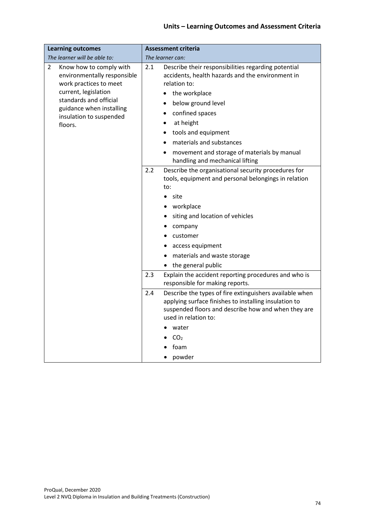| <b>Learning outcomes</b>                                                                                                                                                                                  | <b>Assessment criteria</b>                                                                                                                                                                                                                                                                                                                                   |  |  |
|-----------------------------------------------------------------------------------------------------------------------------------------------------------------------------------------------------------|--------------------------------------------------------------------------------------------------------------------------------------------------------------------------------------------------------------------------------------------------------------------------------------------------------------------------------------------------------------|--|--|
| The learner will be able to:                                                                                                                                                                              | The learner can:                                                                                                                                                                                                                                                                                                                                             |  |  |
| 2<br>Know how to comply with<br>environmentally responsible<br>work practices to meet<br>current, legislation<br>standards and official<br>guidance when installing<br>insulation to suspended<br>floors. | Describe their responsibilities regarding potential<br>2.1<br>accidents, health hazards and the environment in<br>relation to:<br>the workplace<br>$\bullet$<br>below ground level<br>confined spaces<br>at height<br>tools and equipment<br>materials and substances<br>movement and storage of materials by manual<br>٠<br>handling and mechanical lifting |  |  |
|                                                                                                                                                                                                           | 2.2<br>Describe the organisational security procedures for<br>tools, equipment and personal belongings in relation<br>to:<br>site<br>$\bullet$<br>workplace<br>siting and location of vehicles<br>company<br>customer<br>access equipment<br>materials and waste storage<br>the general public                                                               |  |  |
|                                                                                                                                                                                                           | Explain the accident reporting procedures and who is<br>2.3<br>responsible for making reports.                                                                                                                                                                                                                                                               |  |  |
|                                                                                                                                                                                                           | Describe the types of fire extinguishers available when<br>2.4<br>applying surface finishes to installing insulation to<br>suspended floors and describe how and when they are<br>used in relation to:<br>water<br>CO <sub>2</sub><br>foam<br>powder                                                                                                         |  |  |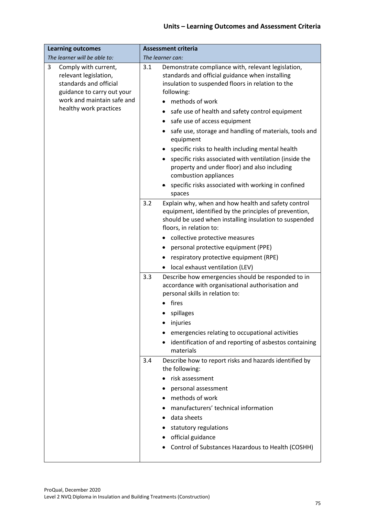| <b>Learning outcomes</b>                                                                                                                                           | <b>Assessment criteria</b>                                                                                                                                                                                                                                                                                                                                                                                                                                                                                                                                                                                               |  |  |
|--------------------------------------------------------------------------------------------------------------------------------------------------------------------|--------------------------------------------------------------------------------------------------------------------------------------------------------------------------------------------------------------------------------------------------------------------------------------------------------------------------------------------------------------------------------------------------------------------------------------------------------------------------------------------------------------------------------------------------------------------------------------------------------------------------|--|--|
| The learner will be able to:                                                                                                                                       | The learner can:                                                                                                                                                                                                                                                                                                                                                                                                                                                                                                                                                                                                         |  |  |
| 3<br>Comply with current,<br>relevant legislation,<br>standards and official<br>guidance to carry out your<br>work and maintain safe and<br>healthy work practices | Demonstrate compliance with, relevant legislation,<br>3.1<br>standards and official guidance when installing<br>insulation to suspended floors in relation to the<br>following:<br>methods of work<br>safe use of health and safety control equipment<br>٠<br>safe use of access equipment<br>safe use, storage and handling of materials, tools and<br>equipment<br>specific risks to health including mental health<br>specific risks associated with ventilation (inside the<br>property and under floor) and also including<br>combustion appliances<br>specific risks associated with working in confined<br>spaces |  |  |
|                                                                                                                                                                    | 3.2<br>Explain why, when and how health and safety control<br>equipment, identified by the principles of prevention,<br>should be used when installing insulation to suspended<br>floors, in relation to:<br>• collective protective measures<br>personal protective equipment (PPE)<br>٠<br>respiratory protective equipment (RPE)<br>local exhaust ventilation (LEV)                                                                                                                                                                                                                                                   |  |  |
|                                                                                                                                                                    | 3.3<br>Describe how emergencies should be responded to in<br>accordance with organisational authorisation and<br>personal skills in relation to:<br>fires<br>spillages<br>injuries<br>emergencies relating to occupational activities<br>identification of and reporting of asbestos containing<br>materials                                                                                                                                                                                                                                                                                                             |  |  |
|                                                                                                                                                                    | Describe how to report risks and hazards identified by<br>3.4<br>the following:<br>risk assessment<br>personal assessment<br>methods of work<br>manufacturers' technical information<br>data sheets<br>statutory regulations<br>official guidance<br>Control of Substances Hazardous to Health (COSHH)                                                                                                                                                                                                                                                                                                                   |  |  |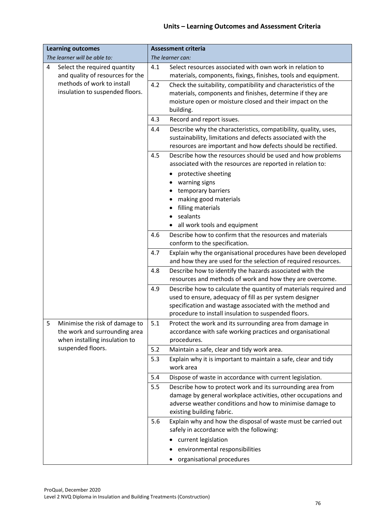| <b>Learning outcomes</b>                                                                              | <b>Assessment criteria</b>                                                                                                                                                                                                                             |  |  |
|-------------------------------------------------------------------------------------------------------|--------------------------------------------------------------------------------------------------------------------------------------------------------------------------------------------------------------------------------------------------------|--|--|
| The learner will be able to:                                                                          | The learner can:                                                                                                                                                                                                                                       |  |  |
| Select the required quantity<br>4<br>and quality of resources for the                                 | 4.1<br>Select resources associated with own work in relation to<br>materials, components, fixings, finishes, tools and equipment.                                                                                                                      |  |  |
| methods of work to install<br>insulation to suspended floors.                                         | 4.2<br>Check the suitability, compatibility and characteristics of the<br>materials, components and finishes, determine if they are<br>moisture open or moisture closed and their impact on the<br>building.                                           |  |  |
|                                                                                                       | 4.3<br>Record and report issues.                                                                                                                                                                                                                       |  |  |
|                                                                                                       | Describe why the characteristics, compatibility, quality, uses,<br>4.4<br>sustainability, limitations and defects associated with the<br>resources are important and how defects should be rectified.                                                  |  |  |
|                                                                                                       | Describe how the resources should be used and how problems<br>4.5<br>associated with the resources are reported in relation to:                                                                                                                        |  |  |
|                                                                                                       | protective sheeting                                                                                                                                                                                                                                    |  |  |
|                                                                                                       | warning signs                                                                                                                                                                                                                                          |  |  |
|                                                                                                       | temporary barriers<br>making good materials                                                                                                                                                                                                            |  |  |
|                                                                                                       | filling materials                                                                                                                                                                                                                                      |  |  |
|                                                                                                       | sealants                                                                                                                                                                                                                                               |  |  |
|                                                                                                       | all work tools and equipment<br>$\bullet$                                                                                                                                                                                                              |  |  |
|                                                                                                       | Describe how to confirm that the resources and materials<br>4.6                                                                                                                                                                                        |  |  |
|                                                                                                       | conform to the specification.                                                                                                                                                                                                                          |  |  |
|                                                                                                       | 4.7<br>Explain why the organisational procedures have been developed<br>and how they are used for the selection of required resources.                                                                                                                 |  |  |
|                                                                                                       | Describe how to identify the hazards associated with the<br>4.8<br>resources and methods of work and how they are overcome.                                                                                                                            |  |  |
|                                                                                                       | 4.9<br>Describe how to calculate the quantity of materials required and<br>used to ensure, adequacy of fill as per system designer<br>specification and wastage associated with the method and<br>procedure to install insulation to suspended floors. |  |  |
| 5<br>Minimise the risk of damage to<br>the work and surrounding area<br>when installing insulation to | Protect the work and its surrounding area from damage in<br>5.1<br>accordance with safe working practices and organisational<br>procedures.                                                                                                            |  |  |
| suspended floors.                                                                                     | Maintain a safe, clear and tidy work area.<br>5.2                                                                                                                                                                                                      |  |  |
|                                                                                                       | 5.3<br>Explain why it is important to maintain a safe, clear and tidy<br>work area                                                                                                                                                                     |  |  |
|                                                                                                       | 5.4<br>Dispose of waste in accordance with current legislation.                                                                                                                                                                                        |  |  |
|                                                                                                       | Describe how to protect work and its surrounding area from<br>5.5<br>damage by general workplace activities, other occupations and<br>adverse weather conditions and how to minimise damage to<br>existing building fabric.                            |  |  |
|                                                                                                       | 5.6<br>Explain why and how the disposal of waste must be carried out<br>safely in accordance with the following:                                                                                                                                       |  |  |
|                                                                                                       | current legislation                                                                                                                                                                                                                                    |  |  |
|                                                                                                       | environmental responsibilities                                                                                                                                                                                                                         |  |  |
|                                                                                                       | organisational procedures                                                                                                                                                                                                                              |  |  |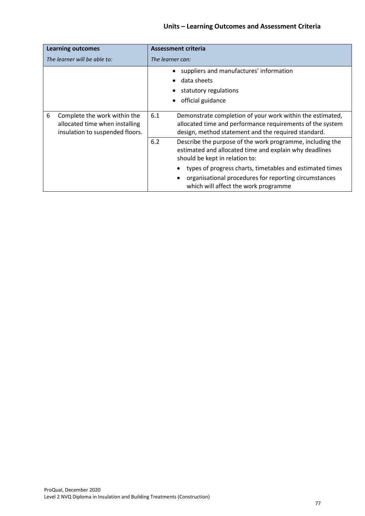| <b>Learning outcomes</b>                                                                               | <b>Assessment criteria</b>                                                                                                                                                           |  |  |
|--------------------------------------------------------------------------------------------------------|--------------------------------------------------------------------------------------------------------------------------------------------------------------------------------------|--|--|
| The learner will be able to:                                                                           | The learner can:                                                                                                                                                                     |  |  |
|                                                                                                        | suppliers and manufactures' information<br>$\bullet$<br>data sheets<br>statutory regulations<br>official guidance<br>$\bullet$                                                       |  |  |
| 6<br>Complete the work within the<br>allocated time when installing<br>insulation to suspended floors. | 6.1<br>Demonstrate completion of your work within the estimated,<br>allocated time and performance requirements of the system<br>design, method statement and the required standard. |  |  |
|                                                                                                        | 6.2<br>Describe the purpose of the work programme, including the<br>estimated and allocated time and explain why deadlines<br>should be kept in relation to:                         |  |  |
|                                                                                                        | types of progress charts, timetables and estimated times                                                                                                                             |  |  |
|                                                                                                        | organisational procedures for reporting circumstances<br>which will affect the work programme                                                                                        |  |  |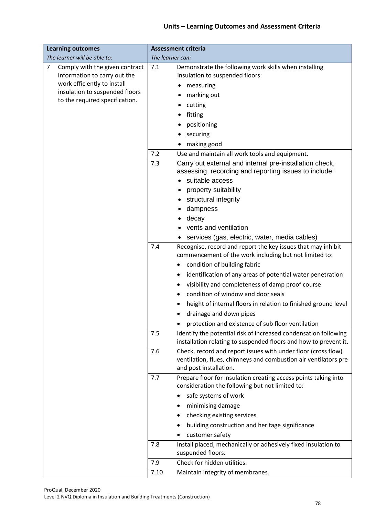| <b>Learning outcomes</b>                                            | <b>Assessment criteria</b> |                                                                                                                                                            |  |
|---------------------------------------------------------------------|----------------------------|------------------------------------------------------------------------------------------------------------------------------------------------------------|--|
| The learner will be able to:                                        | The learner can:           |                                                                                                                                                            |  |
| 7<br>Comply with the given contract<br>information to carry out the | 7.1                        | Demonstrate the following work skills when installing<br>insulation to suspended floors:                                                                   |  |
| work efficiently to install                                         |                            | measuring                                                                                                                                                  |  |
| insulation to suspended floors                                      |                            | marking out                                                                                                                                                |  |
| to the required specification.                                      |                            | cutting                                                                                                                                                    |  |
|                                                                     |                            | fitting                                                                                                                                                    |  |
|                                                                     |                            | positioning                                                                                                                                                |  |
|                                                                     |                            | securing                                                                                                                                                   |  |
|                                                                     |                            | making good                                                                                                                                                |  |
|                                                                     | 7.2                        | Use and maintain all work tools and equipment.                                                                                                             |  |
|                                                                     | 7.3                        | Carry out external and internal pre-installation check,<br>assessing, recording and reporting issues to include:                                           |  |
|                                                                     |                            | suitable access                                                                                                                                            |  |
|                                                                     |                            | property suitability                                                                                                                                       |  |
|                                                                     |                            | structural integrity                                                                                                                                       |  |
|                                                                     |                            | dampness                                                                                                                                                   |  |
|                                                                     |                            | decay                                                                                                                                                      |  |
|                                                                     |                            | vents and ventilation                                                                                                                                      |  |
|                                                                     |                            | services (gas, electric, water, media cables)                                                                                                              |  |
|                                                                     | 7.4                        | Recognise, record and report the key issues that may inhibit                                                                                               |  |
|                                                                     |                            | commencement of the work including but not limited to:                                                                                                     |  |
|                                                                     |                            | condition of building fabric                                                                                                                               |  |
|                                                                     |                            | identification of any areas of potential water penetration                                                                                                 |  |
|                                                                     |                            | visibility and completeness of damp proof course<br>٠                                                                                                      |  |
|                                                                     |                            | condition of window and door seals                                                                                                                         |  |
|                                                                     |                            | height of internal floors in relation to finished ground level                                                                                             |  |
|                                                                     |                            | drainage and down pipes                                                                                                                                    |  |
|                                                                     |                            | protection and existence of sub floor ventilation                                                                                                          |  |
|                                                                     | 7.5                        | Identify the potential risk of increased condensation following<br>installation relating to suspended floors and how to prevent it.                        |  |
|                                                                     | 7.6                        | Check, record and report issues with under floor (cross flow)<br>ventilation, flues, chimneys and combustion air ventilators pre<br>and post installation. |  |
|                                                                     | 7.7                        | Prepare floor for insulation creating access points taking into<br>consideration the following but not limited to:                                         |  |
|                                                                     |                            | safe systems of work                                                                                                                                       |  |
|                                                                     |                            | minimising damage                                                                                                                                          |  |
|                                                                     |                            | checking existing services                                                                                                                                 |  |
|                                                                     |                            | building construction and heritage significance                                                                                                            |  |
|                                                                     |                            | customer safety                                                                                                                                            |  |
|                                                                     | 7.8                        | Install placed, mechanically or adhesively fixed insulation to<br>suspended floors.                                                                        |  |
|                                                                     | 7.9                        | Check for hidden utilities.                                                                                                                                |  |
|                                                                     | 7.10                       | Maintain integrity of membranes.                                                                                                                           |  |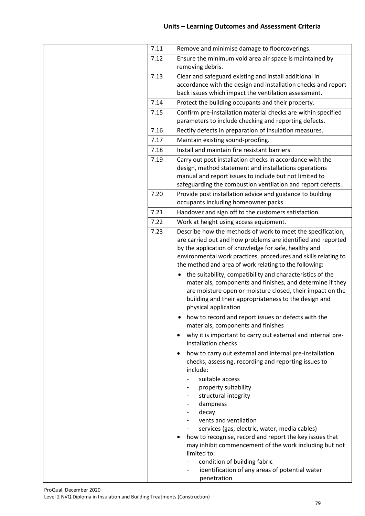| 7.11 | Remove and minimise damage to floorcoverings.                                                     |
|------|---------------------------------------------------------------------------------------------------|
| 7.12 | Ensure the minimum void area air space is maintained by                                           |
|      | removing debris.                                                                                  |
| 7.13 | Clear and safeguard existing and install additional in                                            |
|      | accordance with the design and installation checks and report                                     |
|      | back issues which impact the ventilation assessment.                                              |
| 7.14 | Protect the building occupants and their property.                                                |
| 7.15 | Confirm pre-installation material checks are within specified                                     |
|      | parameters to include checking and reporting defects.                                             |
| 7.16 | Rectify defects in preparation of insulation measures.                                            |
| 7.17 | Maintain existing sound-proofing.                                                                 |
| 7.18 | Install and maintain fire resistant barriers.                                                     |
| 7.19 | Carry out post installation checks in accordance with the                                         |
|      | design, method statement and installations operations                                             |
|      | manual and report issues to include but not limited to                                            |
|      | safeguarding the combustion ventilation and report defects.                                       |
| 7.20 | Provide post installation advice and guidance to building<br>occupants including homeowner packs. |
| 7.21 | Handover and sign off to the customers satisfaction.                                              |
| 7.22 | Work at height using access equipment.                                                            |
| 7.23 | Describe how the methods of work to meet the specification,                                       |
|      | are carried out and how problems are identified and reported                                      |
|      | by the application of knowledge for safe, healthy and                                             |
|      | environmental work practices, procedures and skills relating to                                   |
|      | the method and area of work relating to the following:                                            |
|      | the suitability, compatibility and characteristics of the                                         |
|      | materials, components and finishes, and determine if they                                         |
|      | are moisture open or moisture closed, their impact on the                                         |
|      | building and their appropriateness to the design and                                              |
|      | physical application                                                                              |
|      | how to record and report issues or defects with the                                               |
|      | materials, components and finishes                                                                |
|      | why it is important to carry out external and internal pre-                                       |
|      | installation checks                                                                               |
|      | how to carry out external and internal pre-installation                                           |
|      | checks, assessing, recording and reporting issues to                                              |
|      | include:                                                                                          |
|      | suitable access                                                                                   |
|      | property suitability                                                                              |
|      | structural integrity                                                                              |
|      | dampness                                                                                          |
|      | decay                                                                                             |
|      | vents and ventilation                                                                             |
|      | services (gas, electric, water, media cables)                                                     |
|      | how to recognise, record and report the key issues that                                           |
|      | may inhibit commencement of the work including but not                                            |
|      | limited to:                                                                                       |
|      | condition of building fabric<br>identification of any areas of potential water                    |
|      | penetration                                                                                       |
|      |                                                                                                   |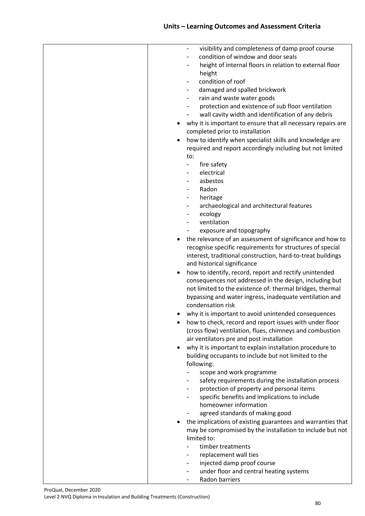| visibility and completeness of damp proof course             |
|--------------------------------------------------------------|
| condition of window and door seals                           |
| height of internal floors in relation to external floor<br>- |
| height                                                       |
| condition of roof                                            |
|                                                              |
| damaged and spalled brickwork                                |
| rain and waste water goods<br>-                              |
| protection and existence of sub floor ventilation            |
| wall cavity width and identification of any debris           |
| why it is important to ensure that all necessary repairs are |
| completed prior to installation                              |
| how to identify when specialist skills and knowledge are     |
| required and report accordingly including but not limited    |
| to:                                                          |
| fire safety                                                  |
| electrical                                                   |
| asbestos                                                     |
| Radon<br>$\overline{\phantom{0}}$                            |
|                                                              |
| heritage<br>-                                                |
| archaeological and architectural features<br>Ξ.              |
| ecology                                                      |
| ventilation                                                  |
| exposure and topography                                      |
| the relevance of an assessment of significance and how to    |
| recognise specific requirements for structures of special    |
| interest, traditional construction, hard-to-treat buildings  |
| and historical significance                                  |
| how to identify, record, report and rectify unintended       |
| consequences not addressed in the design, including but      |
|                                                              |
| not limited to the existence of: thermal bridges, thermal    |
| bypassing and water ingress, inadequate ventilation and      |
| condensation risk                                            |
| why it is important to avoid unintended consequences         |
| how to check, record and report issues with under floor      |
| (cross flow) ventilation, flues, chimneys and combustion     |
| air ventilators pre and post installation                    |
| why it is important to explain installation procedure to     |
| building occupants to include but not limited to the         |
| following:                                                   |
| scope and work programme                                     |
| safety requirements during the installation process          |
|                                                              |
| protection of property and personal items<br>-               |
| specific benefits and implications to include<br>Ξ.          |
| homeowner information                                        |
| agreed standards of making good                              |
| the implications of existing guarantees and warranties that  |
| may be compromised by the installation to include but not    |
| limited to:                                                  |
| timber treatments                                            |
| replacement wall ties                                        |
| injected damp proof course<br>-                              |
| under floor and central heating systems                      |
| Radon barriers                                               |
|                                                              |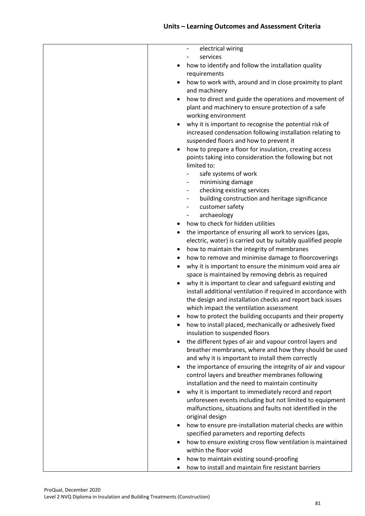| electrical wiring<br>$\sim$                                   |
|---------------------------------------------------------------|
| services                                                      |
| how to identify and follow the installation quality           |
| requirements                                                  |
| how to work with, around and in close proximity to plant      |
| and machinery                                                 |
| how to direct and guide the operations and movement of        |
| plant and machinery to ensure protection of a safe            |
| working environment                                           |
| why it is important to recognise the potential risk of        |
| increased condensation following installation relating to     |
| suspended floors and how to prevent it                        |
| how to prepare a floor for insulation, creating access        |
| points taking into consideration the following but not        |
| limited to:                                                   |
| safe systems of work<br>$\blacksquare$                        |
| minimising damage<br>$\overline{\phantom{a}}$                 |
| checking existing services<br>$\overline{\phantom{a}}$        |
| building construction and heritage significance<br>Ξ.         |
| customer safety<br>$\overline{\phantom{a}}$                   |
| archaeology<br>$\overline{\phantom{a}}$                       |
| how to check for hidden utilities                             |
| the importance of ensuring all work to services (gas,<br>٠    |
| electric, water) is carried out by suitably qualified people  |
| how to maintain the integrity of membranes<br>٠               |
| how to remove and minimise damage to floorcoverings           |
| why it is important to ensure the minimum void area air       |
| space is maintained by removing debris as required            |
| why it is important to clear and safeguard existing and       |
| install additional ventilation if required in accordance with |
| the design and installation checks and report back issues     |
| which impact the ventilation assessment                       |
| how to protect the building occupants and their property      |
| how to install placed, mechanically or adhesively fixed       |
| insulation to suspended floors                                |
| the different types of air and vapour control layers and      |
| breather membranes, where and how they should be used         |
| and why it is important to install them correctly             |
| the importance of ensuring the integrity of air and vapour    |
| control layers and breather membranes following               |
| installation and the need to maintain continuity              |
| why it is important to immediately record and report          |
| unforeseen events including but not limited to equipment      |
| malfunctions, situations and faults not identified in the     |
| original design                                               |
| how to ensure pre-installation material checks are within     |
| specified parameters and reporting defects                    |
| how to ensure existing cross flow ventilation is maintained   |
| within the floor void                                         |
| how to maintain existing sound-proofing                       |
| how to install and maintain fire resistant barriers           |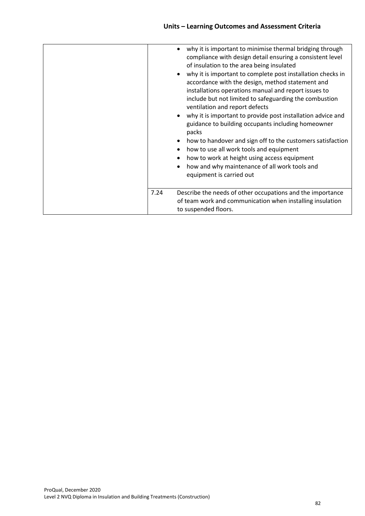|      | why it is important to minimise thermal bridging through<br>compliance with design detail ensuring a consistent level<br>of insulation to the area being insulated<br>why it is important to complete post installation checks in<br>accordance with the design, method statement and<br>installations operations manual and report issues to<br>include but not limited to safeguarding the combustion<br>ventilation and report defects<br>why it is important to provide post installation advice and<br>guidance to building occupants including homeowner<br>packs<br>how to handover and sign off to the customers satisfaction<br>how to use all work tools and equipment<br>how to work at height using access equipment<br>how and why maintenance of all work tools and<br>equipment is carried out |
|------|---------------------------------------------------------------------------------------------------------------------------------------------------------------------------------------------------------------------------------------------------------------------------------------------------------------------------------------------------------------------------------------------------------------------------------------------------------------------------------------------------------------------------------------------------------------------------------------------------------------------------------------------------------------------------------------------------------------------------------------------------------------------------------------------------------------|
| 7.24 | Describe the needs of other occupations and the importance<br>of team work and communication when installing insulation<br>to suspended floors.                                                                                                                                                                                                                                                                                                                                                                                                                                                                                                                                                                                                                                                               |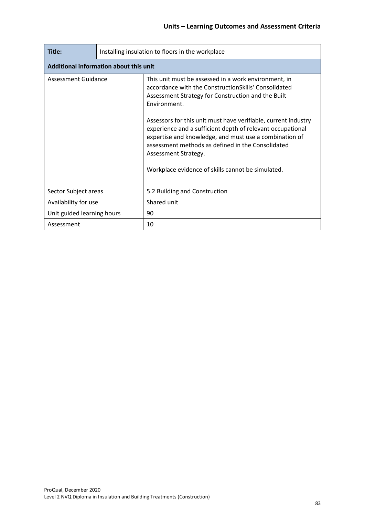| Title:                                 | Installing insulation to floors in the workplace |                                                                                                                                                                                                                                                                                                                                                                                                                                                                                                                |  |  |
|----------------------------------------|--------------------------------------------------|----------------------------------------------------------------------------------------------------------------------------------------------------------------------------------------------------------------------------------------------------------------------------------------------------------------------------------------------------------------------------------------------------------------------------------------------------------------------------------------------------------------|--|--|
| Additional information about this unit |                                                  |                                                                                                                                                                                                                                                                                                                                                                                                                                                                                                                |  |  |
| Assessment Guidance                    |                                                  | This unit must be assessed in a work environment, in<br>accordance with the ConstructionSkills' Consolidated<br>Assessment Strategy for Construction and the Built<br>Environment.<br>Assessors for this unit must have verifiable, current industry<br>experience and a sufficient depth of relevant occupational<br>expertise and knowledge, and must use a combination of<br>assessment methods as defined in the Consolidated<br>Assessment Strategy.<br>Workplace evidence of skills cannot be simulated. |  |  |
| Sector Subject areas                   |                                                  | 5.2 Building and Construction                                                                                                                                                                                                                                                                                                                                                                                                                                                                                  |  |  |
| Availability for use                   |                                                  | Shared unit                                                                                                                                                                                                                                                                                                                                                                                                                                                                                                    |  |  |
| Unit guided learning hours             |                                                  | 90                                                                                                                                                                                                                                                                                                                                                                                                                                                                                                             |  |  |
| Assessment                             |                                                  | 10                                                                                                                                                                                                                                                                                                                                                                                                                                                                                                             |  |  |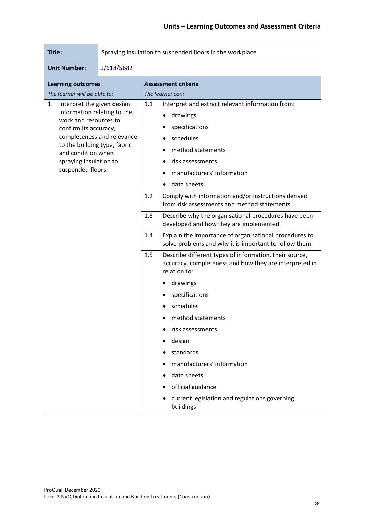| Title:                                                                                                                                                                                                                                              | Spraying insulation to suspended floors in the workplace |                                                |                                                                                                                                                                                   |  |
|-----------------------------------------------------------------------------------------------------------------------------------------------------------------------------------------------------------------------------------------------------|----------------------------------------------------------|------------------------------------------------|-----------------------------------------------------------------------------------------------------------------------------------------------------------------------------------|--|
| <b>Unit Number:</b>                                                                                                                                                                                                                                 | J/618/5682                                               |                                                |                                                                                                                                                                                   |  |
| <b>Learning outcomes</b><br>The learner will be able to:                                                                                                                                                                                            |                                                          | <b>Assessment criteria</b><br>The learner can: |                                                                                                                                                                                   |  |
| Interpret the given design<br>1<br>information relating to the<br>work and resources to<br>confirm its accuracy,<br>completeness and relevance<br>to the building type, fabric<br>and condition when<br>spraying insulation to<br>suspended floors. |                                                          | 1.1                                            | Interpret and extract relevant information from:<br>drawings<br>specifications<br>schedules<br>method statements<br>risk assessments<br>manufacturers' information<br>data sheets |  |
|                                                                                                                                                                                                                                                     |                                                          | 1.2                                            | Comply with information and/or instructions derived<br>from risk assessments and method statements.                                                                               |  |
|                                                                                                                                                                                                                                                     |                                                          | 1.3                                            | Describe why the organisational procedures have been<br>developed and how they are implemented.                                                                                   |  |
|                                                                                                                                                                                                                                                     |                                                          | 1.4                                            | Explain the importance of organisational procedures to<br>solve problems and why it is important to follow them.                                                                  |  |
|                                                                                                                                                                                                                                                     |                                                          | 1.5                                            | Describe different types of information, their source,<br>accuracy, completeness and how they are interpreted in<br>relation to:                                                  |  |
|                                                                                                                                                                                                                                                     |                                                          |                                                | drawings                                                                                                                                                                          |  |
|                                                                                                                                                                                                                                                     |                                                          |                                                | specifications                                                                                                                                                                    |  |
|                                                                                                                                                                                                                                                     |                                                          |                                                | schedules                                                                                                                                                                         |  |
|                                                                                                                                                                                                                                                     |                                                          |                                                | method statements                                                                                                                                                                 |  |
|                                                                                                                                                                                                                                                     |                                                          |                                                | risk assessments                                                                                                                                                                  |  |
|                                                                                                                                                                                                                                                     |                                                          |                                                | design                                                                                                                                                                            |  |
|                                                                                                                                                                                                                                                     |                                                          |                                                | standards                                                                                                                                                                         |  |
|                                                                                                                                                                                                                                                     |                                                          |                                                | manufacturers' information                                                                                                                                                        |  |
|                                                                                                                                                                                                                                                     |                                                          |                                                | data sheets                                                                                                                                                                       |  |
|                                                                                                                                                                                                                                                     |                                                          |                                                | official guidance                                                                                                                                                                 |  |
|                                                                                                                                                                                                                                                     |                                                          |                                                | current legislation and regulations governing<br>buildings                                                                                                                        |  |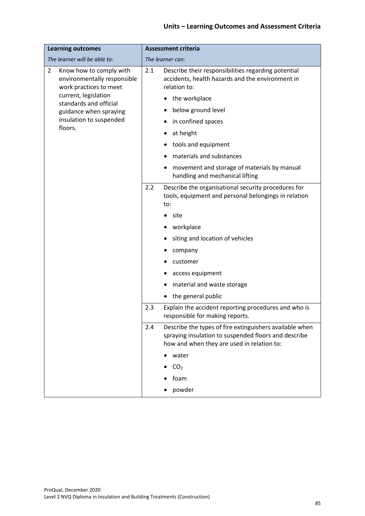| <b>Learning outcomes</b>                                                                           | <b>Assessment criteria</b>                                                                                                                                           |  |  |
|----------------------------------------------------------------------------------------------------|----------------------------------------------------------------------------------------------------------------------------------------------------------------------|--|--|
| The learner will be able to:                                                                       | The learner can:                                                                                                                                                     |  |  |
| $\overline{2}$<br>Know how to comply with<br>environmentally responsible<br>work practices to meet | Describe their responsibilities regarding potential<br>2.1<br>accidents, health hazards and the environment in<br>relation to:                                       |  |  |
| current, legislation<br>standards and official                                                     | the workplace                                                                                                                                                        |  |  |
| guidance when spraying                                                                             | below ground level                                                                                                                                                   |  |  |
| insulation to suspended<br>floors.                                                                 | in confined spaces                                                                                                                                                   |  |  |
|                                                                                                    | at height                                                                                                                                                            |  |  |
|                                                                                                    | tools and equipment                                                                                                                                                  |  |  |
|                                                                                                    | materials and substances                                                                                                                                             |  |  |
|                                                                                                    | movement and storage of materials by manual<br>handling and mechanical lifting                                                                                       |  |  |
|                                                                                                    | 2.2<br>Describe the organisational security procedures for<br>tools, equipment and personal belongings in relation<br>to:                                            |  |  |
|                                                                                                    | site                                                                                                                                                                 |  |  |
|                                                                                                    | workplace                                                                                                                                                            |  |  |
|                                                                                                    | siting and location of vehicles                                                                                                                                      |  |  |
|                                                                                                    | company                                                                                                                                                              |  |  |
|                                                                                                    | customer                                                                                                                                                             |  |  |
|                                                                                                    | access equipment                                                                                                                                                     |  |  |
|                                                                                                    | material and waste storage                                                                                                                                           |  |  |
|                                                                                                    | the general public                                                                                                                                                   |  |  |
|                                                                                                    | 2.3<br>Explain the accident reporting procedures and who is<br>responsible for making reports.                                                                       |  |  |
|                                                                                                    | Describe the types of fire extinguishers available when<br>2.4<br>spraying insulation to suspended floors and describe<br>how and when they are used in relation to: |  |  |
|                                                                                                    | water                                                                                                                                                                |  |  |
|                                                                                                    | CO <sub>2</sub>                                                                                                                                                      |  |  |
|                                                                                                    | foam                                                                                                                                                                 |  |  |
|                                                                                                    | powder                                                                                                                                                               |  |  |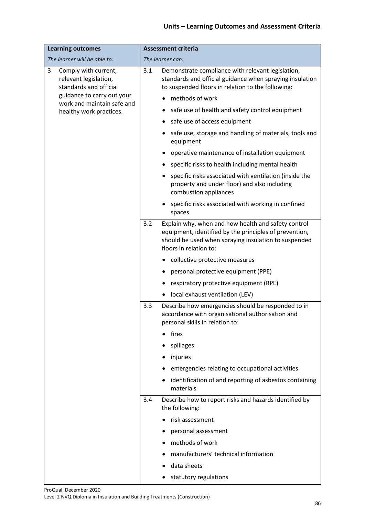| <b>Learning outcomes</b>                                                     | <b>Assessment criteria</b>                                                                                                                                                                             |  |  |
|------------------------------------------------------------------------------|--------------------------------------------------------------------------------------------------------------------------------------------------------------------------------------------------------|--|--|
| The learner will be able to:                                                 | The learner can:                                                                                                                                                                                       |  |  |
| 3<br>Comply with current,<br>relevant legislation,<br>standards and official | Demonstrate compliance with relevant legislation,<br>3.1<br>standards and official guidance when spraying insulation<br>to suspended floors in relation to the following:                              |  |  |
| guidance to carry out your<br>work and maintain safe and                     | methods of work                                                                                                                                                                                        |  |  |
| healthy work practices.                                                      | safe use of health and safety control equipment                                                                                                                                                        |  |  |
|                                                                              | safe use of access equipment<br>٠                                                                                                                                                                      |  |  |
|                                                                              | safe use, storage and handling of materials, tools and<br>equipment                                                                                                                                    |  |  |
|                                                                              | operative maintenance of installation equipment                                                                                                                                                        |  |  |
|                                                                              | specific risks to health including mental health                                                                                                                                                       |  |  |
|                                                                              | specific risks associated with ventilation (inside the<br>property and under floor) and also including<br>combustion appliances                                                                        |  |  |
|                                                                              | specific risks associated with working in confined<br>spaces                                                                                                                                           |  |  |
|                                                                              | 3.2<br>Explain why, when and how health and safety control<br>equipment, identified by the principles of prevention,<br>should be used when spraying insulation to suspended<br>floors in relation to: |  |  |
|                                                                              | collective protective measures                                                                                                                                                                         |  |  |
|                                                                              | personal protective equipment (PPE)                                                                                                                                                                    |  |  |
|                                                                              | respiratory protective equipment (RPE)                                                                                                                                                                 |  |  |
|                                                                              | local exhaust ventilation (LEV)                                                                                                                                                                        |  |  |
|                                                                              | Describe how emergencies should be responded to in<br>3.3<br>accordance with organisational authorisation and<br>personal skills in relation to:                                                       |  |  |
|                                                                              | fires                                                                                                                                                                                                  |  |  |
|                                                                              | spillages                                                                                                                                                                                              |  |  |
|                                                                              | injuries                                                                                                                                                                                               |  |  |
| 3.4                                                                          | emergencies relating to occupational activities                                                                                                                                                        |  |  |
|                                                                              | identification of and reporting of asbestos containing<br>materials                                                                                                                                    |  |  |
|                                                                              | Describe how to report risks and hazards identified by<br>the following:                                                                                                                               |  |  |
|                                                                              | risk assessment                                                                                                                                                                                        |  |  |
|                                                                              | personal assessment                                                                                                                                                                                    |  |  |
|                                                                              | methods of work                                                                                                                                                                                        |  |  |
|                                                                              | manufacturers' technical information                                                                                                                                                                   |  |  |
|                                                                              | data sheets                                                                                                                                                                                            |  |  |
|                                                                              | statutory regulations                                                                                                                                                                                  |  |  |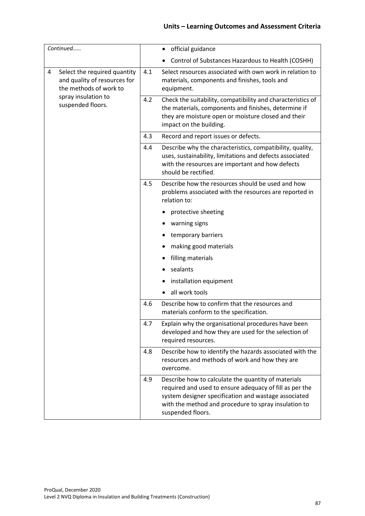| Continued                                                                                   |     | official guidance<br>٠                                                                                                                                                                                                                              |
|---------------------------------------------------------------------------------------------|-----|-----------------------------------------------------------------------------------------------------------------------------------------------------------------------------------------------------------------------------------------------------|
|                                                                                             |     | Control of Substances Hazardous to Health (COSHH)                                                                                                                                                                                                   |
| Select the required quantity<br>4<br>and quality of resources for<br>the methods of work to | 4.1 | Select resources associated with own work in relation to<br>materials, components and finishes, tools and<br>equipment.                                                                                                                             |
| spray insulation to<br>suspended floors.                                                    | 4.2 | Check the suitability, compatibility and characteristics of<br>the materials, components and finishes, determine if<br>they are moisture open or moisture closed and their<br>impact on the building.                                               |
|                                                                                             | 4.3 | Record and report issues or defects.                                                                                                                                                                                                                |
|                                                                                             | 4.4 | Describe why the characteristics, compatibility, quality,<br>uses, sustainability, limitations and defects associated<br>with the resources are important and how defects<br>should be rectified.                                                   |
|                                                                                             | 4.5 | Describe how the resources should be used and how<br>problems associated with the resources are reported in<br>relation to:                                                                                                                         |
|                                                                                             |     | protective sheeting                                                                                                                                                                                                                                 |
|                                                                                             |     | warning signs                                                                                                                                                                                                                                       |
|                                                                                             |     | temporary barriers                                                                                                                                                                                                                                  |
|                                                                                             |     | making good materials                                                                                                                                                                                                                               |
|                                                                                             |     | filling materials                                                                                                                                                                                                                                   |
|                                                                                             |     | sealants<br>٠                                                                                                                                                                                                                                       |
|                                                                                             |     | installation equipment                                                                                                                                                                                                                              |
|                                                                                             |     | all work tools                                                                                                                                                                                                                                      |
|                                                                                             | 4.6 | Describe how to confirm that the resources and<br>materials conform to the specification.                                                                                                                                                           |
|                                                                                             | 4.7 | Explain why the organisational procedures have been<br>developed and how they are used for the selection of<br>required resources.                                                                                                                  |
|                                                                                             | 4.8 | Describe how to identify the hazards associated with the<br>resources and methods of work and how they are<br>overcome.                                                                                                                             |
|                                                                                             | 4.9 | Describe how to calculate the quantity of materials<br>required and used to ensure adequacy of fill as per the<br>system designer specification and wastage associated<br>with the method and procedure to spray insulation to<br>suspended floors. |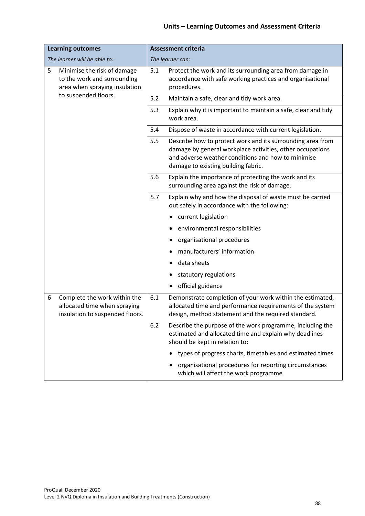| <b>Learning outcomes</b>                                                                             | <b>Assessment criteria</b>                                                                                                                                                                                                  |  |  |
|------------------------------------------------------------------------------------------------------|-----------------------------------------------------------------------------------------------------------------------------------------------------------------------------------------------------------------------------|--|--|
| The learner will be able to:                                                                         | The learner can:                                                                                                                                                                                                            |  |  |
| 5<br>Minimise the risk of damage<br>to the work and surrounding<br>area when spraying insulation     | 5.1<br>Protect the work and its surrounding area from damage in<br>accordance with safe working practices and organisational<br>procedures.                                                                                 |  |  |
| to suspended floors.                                                                                 | 5.2<br>Maintain a safe, clear and tidy work area.                                                                                                                                                                           |  |  |
|                                                                                                      | 5.3<br>Explain why it is important to maintain a safe, clear and tidy<br>work area.                                                                                                                                         |  |  |
|                                                                                                      | 5.4<br>Dispose of waste in accordance with current legislation.                                                                                                                                                             |  |  |
|                                                                                                      | Describe how to protect work and its surrounding area from<br>5.5<br>damage by general workplace activities, other occupations<br>and adverse weather conditions and how to minimise<br>damage to existing building fabric. |  |  |
|                                                                                                      | 5.6<br>Explain the importance of protecting the work and its<br>surrounding area against the risk of damage.                                                                                                                |  |  |
|                                                                                                      | 5.7<br>Explain why and how the disposal of waste must be carried<br>out safely in accordance with the following:                                                                                                            |  |  |
|                                                                                                      | current legislation                                                                                                                                                                                                         |  |  |
|                                                                                                      | environmental responsibilities                                                                                                                                                                                              |  |  |
|                                                                                                      | organisational procedures                                                                                                                                                                                                   |  |  |
|                                                                                                      | manufacturers' information                                                                                                                                                                                                  |  |  |
|                                                                                                      | data sheets                                                                                                                                                                                                                 |  |  |
|                                                                                                      | statutory regulations                                                                                                                                                                                                       |  |  |
|                                                                                                      | official guidance                                                                                                                                                                                                           |  |  |
| Complete the work within the<br>6<br>allocated time when spraying<br>insulation to suspended floors. | 6.1<br>Demonstrate completion of your work within the estimated,<br>allocated time and performance requirements of the system<br>design, method statement and the required standard.                                        |  |  |
|                                                                                                      | 6.2<br>Describe the purpose of the work programme, including the<br>estimated and allocated time and explain why deadlines<br>should be kept in relation to:                                                                |  |  |
|                                                                                                      | types of progress charts, timetables and estimated times                                                                                                                                                                    |  |  |
|                                                                                                      | organisational procedures for reporting circumstances<br>which will affect the work programme                                                                                                                               |  |  |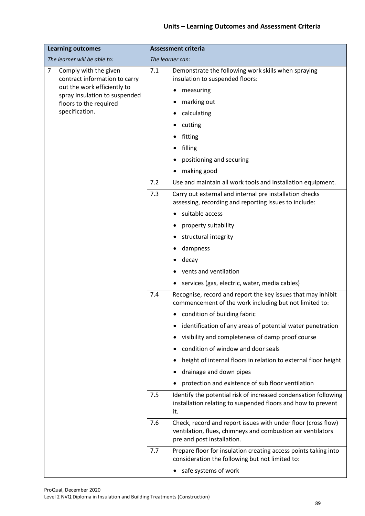| <b>Learning outcomes</b>                                    | <b>Assessment criteria</b>                                                                                                                                        |  |
|-------------------------------------------------------------|-------------------------------------------------------------------------------------------------------------------------------------------------------------------|--|
| The learner will be able to:                                | The learner can:                                                                                                                                                  |  |
| 7<br>Comply with the given<br>contract information to carry | 7.1<br>Demonstrate the following work skills when spraying<br>insulation to suspended floors:                                                                     |  |
| out the work efficiently to                                 | measuring                                                                                                                                                         |  |
| spray insulation to suspended<br>floors to the required     | marking out                                                                                                                                                       |  |
| specification.                                              | calculating                                                                                                                                                       |  |
|                                                             | cutting                                                                                                                                                           |  |
|                                                             | fitting                                                                                                                                                           |  |
|                                                             | filling                                                                                                                                                           |  |
|                                                             | positioning and securing                                                                                                                                          |  |
|                                                             | making good                                                                                                                                                       |  |
|                                                             | 7.2<br>Use and maintain all work tools and installation equipment.                                                                                                |  |
|                                                             | 7.3<br>Carry out external and internal pre installation checks<br>assessing, recording and reporting issues to include:                                           |  |
|                                                             | suitable access                                                                                                                                                   |  |
|                                                             | property suitability                                                                                                                                              |  |
|                                                             | structural integrity                                                                                                                                              |  |
|                                                             | dampness                                                                                                                                                          |  |
|                                                             | decay                                                                                                                                                             |  |
|                                                             | vents and ventilation                                                                                                                                             |  |
|                                                             | services (gas, electric, water, media cables)                                                                                                                     |  |
|                                                             | 7.4<br>Recognise, record and report the key issues that may inhibit<br>commencement of the work including but not limited to:                                     |  |
|                                                             | condition of building fabric                                                                                                                                      |  |
|                                                             | identification of any areas of potential water penetration                                                                                                        |  |
|                                                             | visibility and completeness of damp proof course                                                                                                                  |  |
|                                                             | condition of window and door seals                                                                                                                                |  |
|                                                             | height of internal floors in relation to external floor height                                                                                                    |  |
|                                                             | drainage and down pipes                                                                                                                                           |  |
|                                                             | protection and existence of sub floor ventilation                                                                                                                 |  |
| 7.5                                                         | Identify the potential risk of increased condensation following<br>installation relating to suspended floors and how to prevent<br>it.                            |  |
|                                                             | Check, record and report issues with under floor (cross flow)<br>7.6<br>ventilation, flues, chimneys and combustion air ventilators<br>pre and post installation. |  |
|                                                             | Prepare floor for insulation creating access points taking into<br>7.7<br>consideration the following but not limited to:                                         |  |
|                                                             | safe systems of work                                                                                                                                              |  |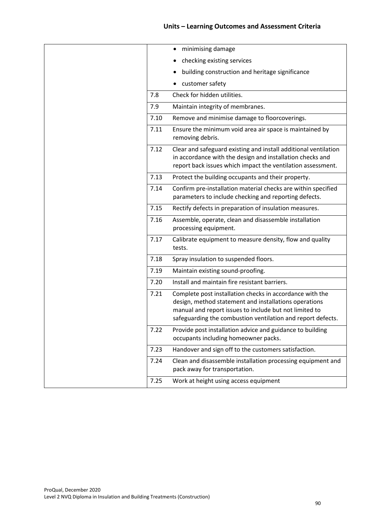|      | minimising damage                                                                                                                                                                                                                          |
|------|--------------------------------------------------------------------------------------------------------------------------------------------------------------------------------------------------------------------------------------------|
|      | checking existing services                                                                                                                                                                                                                 |
|      | building construction and heritage significance                                                                                                                                                                                            |
|      | customer safety                                                                                                                                                                                                                            |
| 7.8  | Check for hidden utilities.                                                                                                                                                                                                                |
| 7.9  | Maintain integrity of membranes.                                                                                                                                                                                                           |
| 7.10 | Remove and minimise damage to floorcoverings.                                                                                                                                                                                              |
| 7.11 | Ensure the minimum void area air space is maintained by<br>removing debris.                                                                                                                                                                |
| 7.12 | Clear and safeguard existing and install additional ventilation<br>in accordance with the design and installation checks and<br>report back issues which impact the ventilation assessment.                                                |
| 7.13 | Protect the building occupants and their property.                                                                                                                                                                                         |
| 7.14 | Confirm pre-installation material checks are within specified<br>parameters to include checking and reporting defects.                                                                                                                     |
| 7.15 | Rectify defects in preparation of insulation measures.                                                                                                                                                                                     |
| 7.16 | Assemble, operate, clean and disassemble installation<br>processing equipment.                                                                                                                                                             |
| 7.17 | Calibrate equipment to measure density, flow and quality<br>tests.                                                                                                                                                                         |
| 7.18 | Spray insulation to suspended floors.                                                                                                                                                                                                      |
| 7.19 | Maintain existing sound-proofing.                                                                                                                                                                                                          |
| 7.20 | Install and maintain fire resistant barriers.                                                                                                                                                                                              |
| 7.21 | Complete post installation checks in accordance with the<br>design, method statement and installations operations<br>manual and report issues to include but not limited to<br>safeguarding the combustion ventilation and report defects. |
| 7.22 | Provide post installation advice and guidance to building<br>occupants including homeowner packs.                                                                                                                                          |
| 7.23 | Handover and sign off to the customers satisfaction.                                                                                                                                                                                       |
| 7.24 | Clean and disassemble installation processing equipment and<br>pack away for transportation.                                                                                                                                               |
| 7.25 | Work at height using access equipment                                                                                                                                                                                                      |
|      |                                                                                                                                                                                                                                            |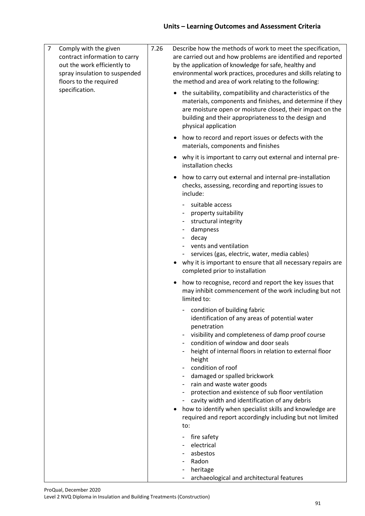| $\overline{7}$<br>Comply with the given<br>contract information to carry<br>out the work efficiently to<br>spray insulation to suspended<br>floors to the required<br>specification. | 7.26 | Describe how the methods of work to meet the specification,<br>are carried out and how problems are identified and reported<br>by the application of knowledge for safe, healthy and<br>environmental work practices, procedures and skills relating to<br>the method and area of work relating to the following:<br>• the suitability, compatibility and characteristics of the<br>materials, components and finishes, and determine if they<br>are moisture open or moisture closed, their impact on the                                                                                         |
|--------------------------------------------------------------------------------------------------------------------------------------------------------------------------------------|------|----------------------------------------------------------------------------------------------------------------------------------------------------------------------------------------------------------------------------------------------------------------------------------------------------------------------------------------------------------------------------------------------------------------------------------------------------------------------------------------------------------------------------------------------------------------------------------------------------|
|                                                                                                                                                                                      |      | building and their appropriateness to the design and<br>physical application                                                                                                                                                                                                                                                                                                                                                                                                                                                                                                                       |
|                                                                                                                                                                                      |      | • how to record and report issues or defects with the<br>materials, components and finishes                                                                                                                                                                                                                                                                                                                                                                                                                                                                                                        |
|                                                                                                                                                                                      |      | why it is important to carry out external and internal pre-<br>installation checks                                                                                                                                                                                                                                                                                                                                                                                                                                                                                                                 |
|                                                                                                                                                                                      |      | how to carry out external and internal pre-installation<br>checks, assessing, recording and reporting issues to<br>include:                                                                                                                                                                                                                                                                                                                                                                                                                                                                        |
|                                                                                                                                                                                      |      | suitable access<br>property suitability<br>structural integrity<br>dampness<br>decay<br>vents and ventilation<br>services (gas, electric, water, media cables)<br>• why it is important to ensure that all necessary repairs are<br>completed prior to installation                                                                                                                                                                                                                                                                                                                                |
|                                                                                                                                                                                      |      | how to recognise, record and report the key issues that<br>$\bullet$<br>may inhibit commencement of the work including but not<br>limited to:                                                                                                                                                                                                                                                                                                                                                                                                                                                      |
|                                                                                                                                                                                      |      | condition of building fabric<br>identification of any areas of potential water<br>penetration<br>visibility and completeness of damp proof course<br>condition of window and door seals<br>height of internal floors in relation to external floor<br>height<br>condition of roof<br>damaged or spalled brickwork<br>rain and waste water goods<br>protection and existence of sub floor ventilation<br>cavity width and identification of any debris<br>how to identify when specialist skills and knowledge are<br>$\bullet$<br>required and report accordingly including but not limited<br>to: |
|                                                                                                                                                                                      |      | fire safety<br>electrical<br>asbestos<br>Radon<br>heritage<br>archaeological and architectural features<br>-                                                                                                                                                                                                                                                                                                                                                                                                                                                                                       |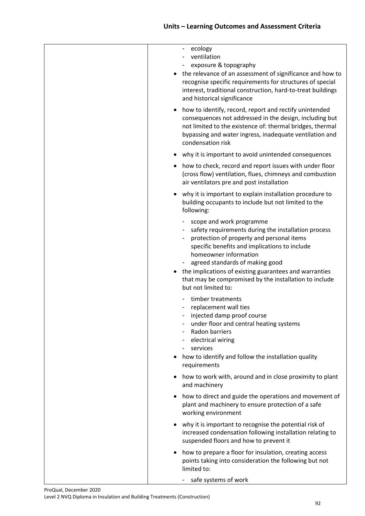|  | - ecology<br>ventilation<br>exposure & topography<br>the relevance of an assessment of significance and how to<br>recognise specific requirements for structures of special<br>interest, traditional construction, hard-to-treat buildings<br>and historical significance                                                                                                            |
|--|--------------------------------------------------------------------------------------------------------------------------------------------------------------------------------------------------------------------------------------------------------------------------------------------------------------------------------------------------------------------------------------|
|  | how to identify, record, report and rectify unintended<br>consequences not addressed in the design, including but<br>not limited to the existence of: thermal bridges, thermal<br>bypassing and water ingress, inadequate ventilation and<br>condensation risk                                                                                                                       |
|  | why it is important to avoid unintended consequences                                                                                                                                                                                                                                                                                                                                 |
|  | how to check, record and report issues with under floor<br>(cross flow) ventilation, flues, chimneys and combustion<br>air ventilators pre and post installation                                                                                                                                                                                                                     |
|  | why it is important to explain installation procedure to<br>building occupants to include but not limited to the<br>following:                                                                                                                                                                                                                                                       |
|  | scope and work programme<br>safety requirements during the installation process<br>protection of property and personal items<br>specific benefits and implications to include<br>homeowner information<br>agreed standards of making good<br>the implications of existing guarantees and warranties<br>that may be compromised by the installation to include<br>but not limited to: |
|  | timber treatments<br>replacement wall ties<br>injected damp proof course<br>under floor and central heating systems<br>Radon barriers<br>electrical wiring<br>services<br>how to identify and follow the installation quality<br>٠<br>requirements                                                                                                                                   |
|  | how to work with, around and in close proximity to plant<br>and machinery                                                                                                                                                                                                                                                                                                            |
|  | how to direct and guide the operations and movement of<br>٠<br>plant and machinery to ensure protection of a safe<br>working environment                                                                                                                                                                                                                                             |
|  | why it is important to recognise the potential risk of<br>٠<br>increased condensation following installation relating to<br>suspended floors and how to prevent it                                                                                                                                                                                                                   |
|  | how to prepare a floor for insulation, creating access<br>٠<br>points taking into consideration the following but not<br>limited to:                                                                                                                                                                                                                                                 |
|  | safe systems of work                                                                                                                                                                                                                                                                                                                                                                 |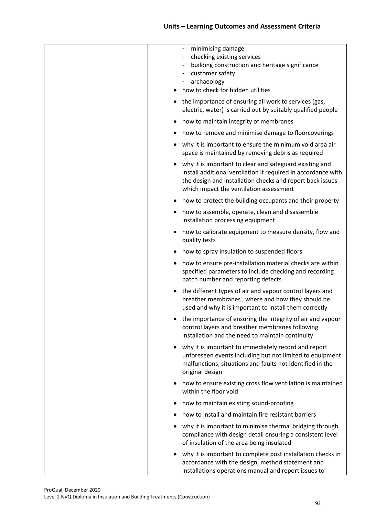| minimising damage<br>checking existing services<br>building construction and heritage significance<br>customer safety<br>$\overline{\phantom{a}}$<br>archaeology<br>-<br>how to check for hidden utilities                       |
|----------------------------------------------------------------------------------------------------------------------------------------------------------------------------------------------------------------------------------|
| the importance of ensuring all work to services (gas,<br>electric, water) is carried out by suitably qualified people                                                                                                            |
| how to maintain integrity of membranes<br>٠                                                                                                                                                                                      |
| how to remove and minimise damage to floorcoverings                                                                                                                                                                              |
| why it is important to ensure the minimum void area air<br>space is maintained by removing debris as required                                                                                                                    |
| why it is important to clear and safeguard existing and<br>install additional ventilation if required in accordance with<br>the design and installation checks and report back issues<br>which impact the ventilation assessment |
| how to protect the building occupants and their property<br>٠                                                                                                                                                                    |
| how to assemble, operate, clean and disassemble<br>installation processing equipment                                                                                                                                             |
| how to calibrate equipment to measure density, flow and<br>٠<br>quality tests                                                                                                                                                    |
| how to spray insulation to suspended floors<br>٠                                                                                                                                                                                 |
| how to ensure pre-installation material checks are within<br>٠<br>specified parameters to include checking and recording<br>batch number and reporting defects                                                                   |
| the different types of air and vapour control layers and<br>breather membranes, where and how they should be<br>used and why it is important to install them correctly                                                           |
| the importance of ensuring the integrity of air and vapour<br>control layers and breather membranes following<br>installation and the need to maintain continuity                                                                |
| why it is important to immediately record and report<br>٠<br>unforeseen events including but not limited to equipment<br>malfunctions, situations and faults not identified in the<br>original design                            |
| how to ensure existing cross flow ventilation is maintained<br>٠<br>within the floor void                                                                                                                                        |
| how to maintain existing sound-proofing<br>٠                                                                                                                                                                                     |
| how to install and maintain fire resistant barriers                                                                                                                                                                              |
| why it is important to minimise thermal bridging through<br>compliance with design detail ensuring a consistent level<br>of insulation of the area being insulated                                                               |
| why it is important to complete post installation checks in<br>٠<br>accordance with the design, method statement and<br>installations operations manual and report issues to                                                     |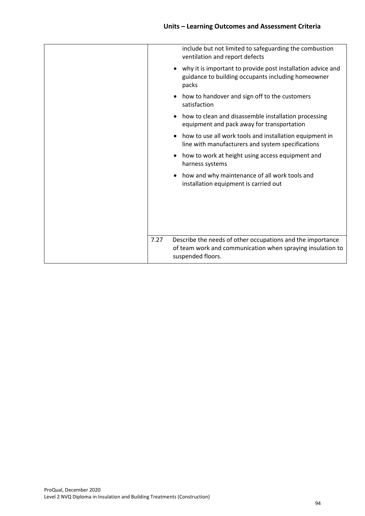|           | include but not limited to safeguarding the combustion<br>ventilation and report defects                                                      |
|-----------|-----------------------------------------------------------------------------------------------------------------------------------------------|
| $\bullet$ | why it is important to provide post installation advice and<br>guidance to building occupants including homeowner<br>packs                    |
|           | how to handover and sign off to the customers<br>satisfaction                                                                                 |
|           | how to clean and disassemble installation processing<br>equipment and pack away for transportation                                            |
|           | how to use all work tools and installation equipment in<br>line with manufacturers and system specifications                                  |
| ٠         | how to work at height using access equipment and<br>harness systems                                                                           |
|           | how and why maintenance of all work tools and<br>installation equipment is carried out                                                        |
|           |                                                                                                                                               |
| 7.27      | Describe the needs of other occupations and the importance<br>of team work and communication when spraying insulation to<br>suspended floors. |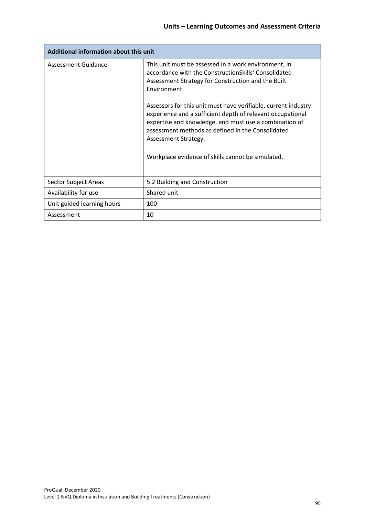| Additional information about this unit |                                                                                                                                                                                                                                                                                                                    |  |  |
|----------------------------------------|--------------------------------------------------------------------------------------------------------------------------------------------------------------------------------------------------------------------------------------------------------------------------------------------------------------------|--|--|
| <b>Assessment Guidance</b>             | This unit must be assessed in a work environment, in<br>accordance with the ConstructionSkills' Consolidated<br>Assessment Strategy for Construction and the Built<br>Environment.<br>Assessors for this unit must have verifiable, current industry<br>experience and a sufficient depth of relevant occupational |  |  |
|                                        | expertise and knowledge, and must use a combination of<br>assessment methods as defined in the Consolidated<br>Assessment Strategy.                                                                                                                                                                                |  |  |
|                                        | Workplace evidence of skills cannot be simulated.                                                                                                                                                                                                                                                                  |  |  |
| Sector Subject Areas                   | 5.2 Building and Construction                                                                                                                                                                                                                                                                                      |  |  |
| Availability for use                   | Shared unit                                                                                                                                                                                                                                                                                                        |  |  |
| Unit guided learning hours             | 100                                                                                                                                                                                                                                                                                                                |  |  |
| Assessment                             | 10                                                                                                                                                                                                                                                                                                                 |  |  |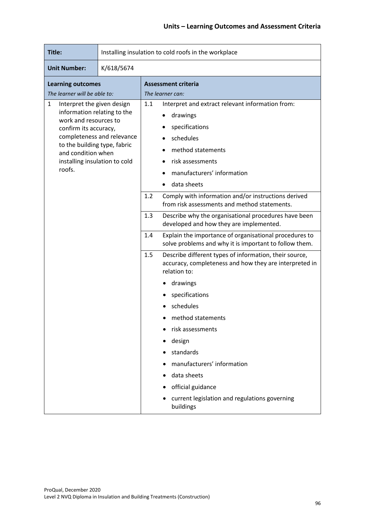| Title:                                                                                                                                                                                                                                          | Installing insulation to cold roofs in the workplace |     |                                                                                                                                                                                   |  |  |
|-------------------------------------------------------------------------------------------------------------------------------------------------------------------------------------------------------------------------------------------------|------------------------------------------------------|-----|-----------------------------------------------------------------------------------------------------------------------------------------------------------------------------------|--|--|
| <b>Unit Number:</b><br>K/618/5674                                                                                                                                                                                                               |                                                      |     |                                                                                                                                                                                   |  |  |
| <b>Learning outcomes</b><br>The learner will be able to:                                                                                                                                                                                        |                                                      |     | <b>Assessment criteria</b><br>The learner can:                                                                                                                                    |  |  |
| Interpret the given design<br>1<br>information relating to the<br>work and resources to<br>confirm its accuracy,<br>completeness and relevance<br>to the building type, fabric<br>and condition when<br>installing insulation to cold<br>roofs. |                                                      | 1.1 | Interpret and extract relevant information from:<br>drawings<br>specifications<br>schedules<br>method statements<br>risk assessments<br>manufacturers' information<br>data sheets |  |  |
|                                                                                                                                                                                                                                                 |                                                      | 1.2 | Comply with information and/or instructions derived<br>from risk assessments and method statements.                                                                               |  |  |
|                                                                                                                                                                                                                                                 |                                                      | 1.3 | Describe why the organisational procedures have been<br>developed and how they are implemented.                                                                                   |  |  |
|                                                                                                                                                                                                                                                 |                                                      | 1.4 | Explain the importance of organisational procedures to<br>solve problems and why it is important to follow them.                                                                  |  |  |
|                                                                                                                                                                                                                                                 |                                                      | 1.5 | Describe different types of information, their source,<br>accuracy, completeness and how they are interpreted in<br>relation to:                                                  |  |  |
|                                                                                                                                                                                                                                                 |                                                      |     | drawings                                                                                                                                                                          |  |  |
|                                                                                                                                                                                                                                                 |                                                      |     | specifications                                                                                                                                                                    |  |  |
|                                                                                                                                                                                                                                                 |                                                      |     | schedules                                                                                                                                                                         |  |  |
|                                                                                                                                                                                                                                                 |                                                      |     | method statements                                                                                                                                                                 |  |  |
|                                                                                                                                                                                                                                                 |                                                      |     | risk assessments                                                                                                                                                                  |  |  |
|                                                                                                                                                                                                                                                 |                                                      |     | design                                                                                                                                                                            |  |  |
|                                                                                                                                                                                                                                                 |                                                      |     | standards                                                                                                                                                                         |  |  |
|                                                                                                                                                                                                                                                 |                                                      |     | manufacturers' information                                                                                                                                                        |  |  |
|                                                                                                                                                                                                                                                 |                                                      |     | data sheets                                                                                                                                                                       |  |  |
|                                                                                                                                                                                                                                                 |                                                      |     | official guidance                                                                                                                                                                 |  |  |
|                                                                                                                                                                                                                                                 |                                                      |     | current legislation and regulations governing<br>buildings                                                                                                                        |  |  |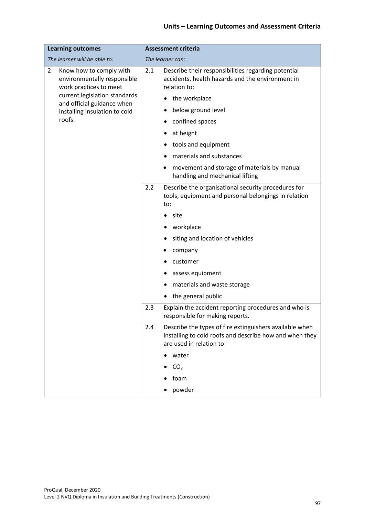| <b>Learning outcomes</b>                                                                           | <b>Assessment criteria</b>                                                                                                                            |  |
|----------------------------------------------------------------------------------------------------|-------------------------------------------------------------------------------------------------------------------------------------------------------|--|
| The learner will be able to:                                                                       | The learner can:                                                                                                                                      |  |
| $\overline{2}$<br>Know how to comply with<br>environmentally responsible<br>work practices to meet | Describe their responsibilities regarding potential<br>2.1<br>accidents, health hazards and the environment in<br>relation to:                        |  |
| current legislation standards<br>and official guidance when                                        | the workplace                                                                                                                                         |  |
| installing insulation to cold                                                                      | below ground level                                                                                                                                    |  |
| roofs.                                                                                             | confined spaces                                                                                                                                       |  |
|                                                                                                    | at height                                                                                                                                             |  |
|                                                                                                    | tools and equipment                                                                                                                                   |  |
|                                                                                                    | materials and substances                                                                                                                              |  |
|                                                                                                    | movement and storage of materials by manual<br>handling and mechanical lifting                                                                        |  |
|                                                                                                    | 2.2<br>Describe the organisational security procedures for<br>tools, equipment and personal belongings in relation<br>to:                             |  |
|                                                                                                    | site                                                                                                                                                  |  |
|                                                                                                    | workplace                                                                                                                                             |  |
|                                                                                                    | siting and location of vehicles                                                                                                                       |  |
|                                                                                                    | company                                                                                                                                               |  |
|                                                                                                    | customer                                                                                                                                              |  |
|                                                                                                    | assess equipment                                                                                                                                      |  |
|                                                                                                    | materials and waste storage                                                                                                                           |  |
|                                                                                                    | the general public                                                                                                                                    |  |
|                                                                                                    | 2.3<br>Explain the accident reporting procedures and who is<br>responsible for making reports.                                                        |  |
|                                                                                                    | Describe the types of fire extinguishers available when<br>2.4<br>installing to cold roofs and describe how and when they<br>are used in relation to: |  |
|                                                                                                    | water                                                                                                                                                 |  |
|                                                                                                    | CO <sub>2</sub>                                                                                                                                       |  |
|                                                                                                    | foam                                                                                                                                                  |  |
|                                                                                                    | powder                                                                                                                                                |  |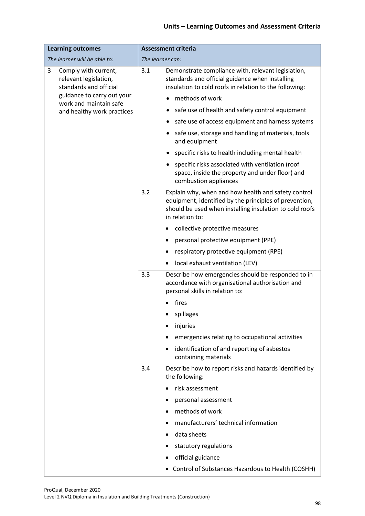| <b>Learning outcomes</b>                                                     | <b>Assessment criteria</b>                                                                                                                                                                         |  |
|------------------------------------------------------------------------------|----------------------------------------------------------------------------------------------------------------------------------------------------------------------------------------------------|--|
| The learner will be able to:                                                 | The learner can:                                                                                                                                                                                   |  |
| 3<br>Comply with current,<br>relevant legislation,<br>standards and official | Demonstrate compliance with, relevant legislation,<br>3.1<br>standards and official guidance when installing<br>insulation to cold roofs in relation to the following:                             |  |
| guidance to carry out your<br>work and maintain safe                         | methods of work                                                                                                                                                                                    |  |
| and healthy work practices                                                   | safe use of health and safety control equipment                                                                                                                                                    |  |
|                                                                              | safe use of access equipment and harness systems                                                                                                                                                   |  |
|                                                                              | safe use, storage and handling of materials, tools<br>and equipment                                                                                                                                |  |
|                                                                              | specific risks to health including mental health                                                                                                                                                   |  |
|                                                                              | specific risks associated with ventilation (roof<br>space, inside the property and under floor) and<br>combustion appliances                                                                       |  |
|                                                                              | 3.2<br>Explain why, when and how health and safety control<br>equipment, identified by the principles of prevention,<br>should be used when installing insulation to cold roofs<br>in relation to: |  |
|                                                                              | collective protective measures                                                                                                                                                                     |  |
|                                                                              | personal protective equipment (PPE)                                                                                                                                                                |  |
|                                                                              | respiratory protective equipment (RPE)                                                                                                                                                             |  |
|                                                                              | local exhaust ventilation (LEV)                                                                                                                                                                    |  |
|                                                                              | 3.3<br>Describe how emergencies should be responded to in<br>accordance with organisational authorisation and<br>personal skills in relation to:                                                   |  |
|                                                                              | fires                                                                                                                                                                                              |  |
|                                                                              | spillages                                                                                                                                                                                          |  |
|                                                                              | injuries                                                                                                                                                                                           |  |
|                                                                              | emergencies relating to occupational activities                                                                                                                                                    |  |
|                                                                              | identification of and reporting of asbestos<br>containing materials                                                                                                                                |  |
|                                                                              | Describe how to report risks and hazards identified by<br>3.4<br>the following:                                                                                                                    |  |
|                                                                              | risk assessment                                                                                                                                                                                    |  |
|                                                                              | personal assessment                                                                                                                                                                                |  |
|                                                                              | methods of work                                                                                                                                                                                    |  |
|                                                                              | manufacturers' technical information                                                                                                                                                               |  |
|                                                                              | data sheets                                                                                                                                                                                        |  |
|                                                                              | statutory regulations                                                                                                                                                                              |  |
|                                                                              | official guidance                                                                                                                                                                                  |  |
|                                                                              | • Control of Substances Hazardous to Health (COSHH)                                                                                                                                                |  |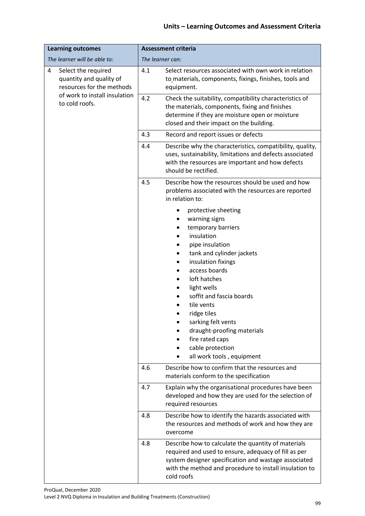| <b>Learning outcomes</b>                                                                                                            | <b>Assessment criteria</b>                                                                                                                                                                                                                                                                                                                                                      |  |
|-------------------------------------------------------------------------------------------------------------------------------------|---------------------------------------------------------------------------------------------------------------------------------------------------------------------------------------------------------------------------------------------------------------------------------------------------------------------------------------------------------------------------------|--|
| The learner will be able to:                                                                                                        | The learner can:                                                                                                                                                                                                                                                                                                                                                                |  |
| 4<br>Select the required<br>quantity and quality of<br>resources for the methods<br>of work to install insulation<br>to cold roofs. | Select resources associated with own work in relation<br>4.1<br>to materials, components, fixings, finishes, tools and<br>equipment.                                                                                                                                                                                                                                            |  |
|                                                                                                                                     | 4.2<br>Check the suitability, compatibility characteristics of<br>the materials, components, fixing and finishes<br>determine if they are moisture open or moisture<br>closed and their impact on the building.                                                                                                                                                                 |  |
|                                                                                                                                     | 4.3<br>Record and report issues or defects                                                                                                                                                                                                                                                                                                                                      |  |
|                                                                                                                                     | 4.4<br>Describe why the characteristics, compatibility, quality,<br>uses, sustainability, limitations and defects associated<br>with the resources are important and how defects<br>should be rectified.                                                                                                                                                                        |  |
|                                                                                                                                     | Describe how the resources should be used and how<br>4.5<br>problems associated with the resources are reported<br>in relation to:                                                                                                                                                                                                                                              |  |
|                                                                                                                                     | protective sheeting<br>warning signs<br>temporary barriers<br>insulation<br>pipe insulation<br>tank and cylinder jackets<br>insulation fixings<br>access boards<br>loft hatches<br>light wells<br>soffit and fascia boards<br>tile vents<br>ridge tiles<br>sarking felt vents<br>draught-proofing materials<br>fire rated caps<br>cable protection<br>all work tools, equipment |  |
|                                                                                                                                     | Describe how to confirm that the resources and<br>4.6<br>materials conform to the specification                                                                                                                                                                                                                                                                                 |  |
|                                                                                                                                     | Explain why the organisational procedures have been<br>4.7<br>developed and how they are used for the selection of<br>required resources                                                                                                                                                                                                                                        |  |
|                                                                                                                                     | 4.8<br>Describe how to identify the hazards associated with<br>the resources and methods of work and how they are<br>overcome                                                                                                                                                                                                                                                   |  |
|                                                                                                                                     | Describe how to calculate the quantity of materials<br>4.8<br>required and used to ensure, adequacy of fill as per<br>system designer specification and wastage associated<br>with the method and procedure to install insulation to<br>cold roofs                                                                                                                              |  |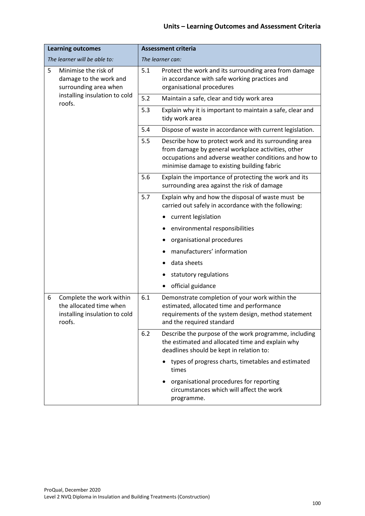| <b>Learning outcomes</b>                                                                            | <b>Assessment criteria</b>                                                                                                                                                                                                 |  |  |
|-----------------------------------------------------------------------------------------------------|----------------------------------------------------------------------------------------------------------------------------------------------------------------------------------------------------------------------------|--|--|
| The learner will be able to:                                                                        | The learner can:                                                                                                                                                                                                           |  |  |
| 5<br>Minimise the risk of<br>damage to the work and<br>surrounding area when                        | 5.1<br>Protect the work and its surrounding area from damage<br>in accordance with safe working practices and<br>organisational procedures                                                                                 |  |  |
| installing insulation to cold<br>roofs.                                                             | 5.2<br>Maintain a safe, clear and tidy work area                                                                                                                                                                           |  |  |
|                                                                                                     | 5.3<br>Explain why it is important to maintain a safe, clear and<br>tidy work area                                                                                                                                         |  |  |
|                                                                                                     | 5.4<br>Dispose of waste in accordance with current legislation.                                                                                                                                                            |  |  |
|                                                                                                     | 5.5<br>Describe how to protect work and its surrounding area<br>from damage by general workplace activities, other<br>occupations and adverse weather conditions and how to<br>minimise damage to existing building fabric |  |  |
|                                                                                                     | 5.6<br>Explain the importance of protecting the work and its<br>surrounding area against the risk of damage                                                                                                                |  |  |
|                                                                                                     | 5.7<br>Explain why and how the disposal of waste must be<br>carried out safely in accordance with the following:                                                                                                           |  |  |
|                                                                                                     | current legislation                                                                                                                                                                                                        |  |  |
|                                                                                                     | environmental responsibilities                                                                                                                                                                                             |  |  |
|                                                                                                     | organisational procedures                                                                                                                                                                                                  |  |  |
|                                                                                                     | manufacturers' information                                                                                                                                                                                                 |  |  |
|                                                                                                     | data sheets                                                                                                                                                                                                                |  |  |
|                                                                                                     | statutory regulations                                                                                                                                                                                                      |  |  |
|                                                                                                     | official guidance                                                                                                                                                                                                          |  |  |
| Complete the work within<br>6<br>the allocated time when<br>installing insulation to cold<br>roofs. | 6.1<br>Demonstrate completion of your work within the<br>estimated, allocated time and performance<br>requirements of the system design, method statement<br>and the required standard                                     |  |  |
|                                                                                                     | 6.2<br>Describe the purpose of the work programme, including<br>the estimated and allocated time and explain why<br>deadlines should be kept in relation to:                                                               |  |  |
|                                                                                                     | types of progress charts, timetables and estimated<br>times                                                                                                                                                                |  |  |
|                                                                                                     | organisational procedures for reporting<br>circumstances which will affect the work<br>programme.                                                                                                                          |  |  |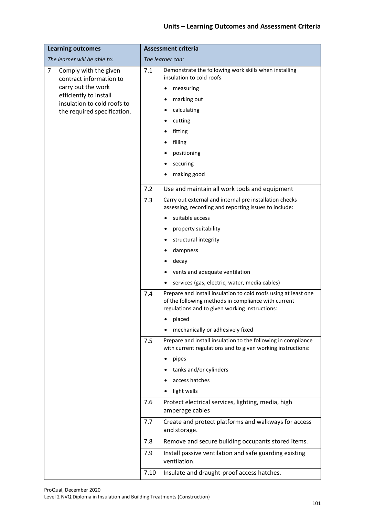| The learner will be able to:<br>The learner can:<br>Demonstrate the following work skills when installing<br>7<br>Comply with the given<br>7.1<br>insulation to cold roofs<br>contract information to<br>carry out the work<br>measuring<br>efficiently to install<br>marking out<br>insulation to cold roofs to<br>calculating<br>the required specification.<br>cutting<br>fitting<br>filling<br>positioning<br>securing<br>making good<br>7.2<br>Use and maintain all work tools and equipment<br>Carry out external and internal pre installation checks<br>7.3<br>assessing, recording and reporting issues to include:<br>suitable access<br>property suitability<br>structural integrity<br>dampness<br>decay<br>vents and adequate ventilation<br>services (gas, electric, water, media cables)<br>Prepare and install insulation to cold roofs using at least one<br>7.4<br>of the following methods in compliance with current<br>regulations and to given working instructions:<br>placed<br>mechanically or adhesively fixed<br>7.5<br>Prepare and install insulation to the following in compliance<br>with current regulations and to given working instructions:<br>pipes<br>tanks and/or cylinders<br>access hatches<br>light wells<br>7.6<br>Protect electrical services, lighting, media, high<br>amperage cables<br>7.7<br>Create and protect platforms and walkways for access<br>and storage. | <b>Learning outcomes</b> | <b>Assessment criteria</b>                                |  |  |
|--------------------------------------------------------------------------------------------------------------------------------------------------------------------------------------------------------------------------------------------------------------------------------------------------------------------------------------------------------------------------------------------------------------------------------------------------------------------------------------------------------------------------------------------------------------------------------------------------------------------------------------------------------------------------------------------------------------------------------------------------------------------------------------------------------------------------------------------------------------------------------------------------------------------------------------------------------------------------------------------------------------------------------------------------------------------------------------------------------------------------------------------------------------------------------------------------------------------------------------------------------------------------------------------------------------------------------------------------------------------------------------------------------------------|--------------------------|-----------------------------------------------------------|--|--|
|                                                                                                                                                                                                                                                                                                                                                                                                                                                                                                                                                                                                                                                                                                                                                                                                                                                                                                                                                                                                                                                                                                                                                                                                                                                                                                                                                                                                                    |                          |                                                           |  |  |
|                                                                                                                                                                                                                                                                                                                                                                                                                                                                                                                                                                                                                                                                                                                                                                                                                                                                                                                                                                                                                                                                                                                                                                                                                                                                                                                                                                                                                    |                          |                                                           |  |  |
|                                                                                                                                                                                                                                                                                                                                                                                                                                                                                                                                                                                                                                                                                                                                                                                                                                                                                                                                                                                                                                                                                                                                                                                                                                                                                                                                                                                                                    |                          |                                                           |  |  |
|                                                                                                                                                                                                                                                                                                                                                                                                                                                                                                                                                                                                                                                                                                                                                                                                                                                                                                                                                                                                                                                                                                                                                                                                                                                                                                                                                                                                                    |                          |                                                           |  |  |
|                                                                                                                                                                                                                                                                                                                                                                                                                                                                                                                                                                                                                                                                                                                                                                                                                                                                                                                                                                                                                                                                                                                                                                                                                                                                                                                                                                                                                    |                          |                                                           |  |  |
|                                                                                                                                                                                                                                                                                                                                                                                                                                                                                                                                                                                                                                                                                                                                                                                                                                                                                                                                                                                                                                                                                                                                                                                                                                                                                                                                                                                                                    |                          |                                                           |  |  |
|                                                                                                                                                                                                                                                                                                                                                                                                                                                                                                                                                                                                                                                                                                                                                                                                                                                                                                                                                                                                                                                                                                                                                                                                                                                                                                                                                                                                                    |                          |                                                           |  |  |
|                                                                                                                                                                                                                                                                                                                                                                                                                                                                                                                                                                                                                                                                                                                                                                                                                                                                                                                                                                                                                                                                                                                                                                                                                                                                                                                                                                                                                    |                          |                                                           |  |  |
|                                                                                                                                                                                                                                                                                                                                                                                                                                                                                                                                                                                                                                                                                                                                                                                                                                                                                                                                                                                                                                                                                                                                                                                                                                                                                                                                                                                                                    |                          |                                                           |  |  |
|                                                                                                                                                                                                                                                                                                                                                                                                                                                                                                                                                                                                                                                                                                                                                                                                                                                                                                                                                                                                                                                                                                                                                                                                                                                                                                                                                                                                                    |                          |                                                           |  |  |
|                                                                                                                                                                                                                                                                                                                                                                                                                                                                                                                                                                                                                                                                                                                                                                                                                                                                                                                                                                                                                                                                                                                                                                                                                                                                                                                                                                                                                    |                          |                                                           |  |  |
|                                                                                                                                                                                                                                                                                                                                                                                                                                                                                                                                                                                                                                                                                                                                                                                                                                                                                                                                                                                                                                                                                                                                                                                                                                                                                                                                                                                                                    |                          |                                                           |  |  |
|                                                                                                                                                                                                                                                                                                                                                                                                                                                                                                                                                                                                                                                                                                                                                                                                                                                                                                                                                                                                                                                                                                                                                                                                                                                                                                                                                                                                                    |                          |                                                           |  |  |
|                                                                                                                                                                                                                                                                                                                                                                                                                                                                                                                                                                                                                                                                                                                                                                                                                                                                                                                                                                                                                                                                                                                                                                                                                                                                                                                                                                                                                    |                          |                                                           |  |  |
|                                                                                                                                                                                                                                                                                                                                                                                                                                                                                                                                                                                                                                                                                                                                                                                                                                                                                                                                                                                                                                                                                                                                                                                                                                                                                                                                                                                                                    |                          |                                                           |  |  |
|                                                                                                                                                                                                                                                                                                                                                                                                                                                                                                                                                                                                                                                                                                                                                                                                                                                                                                                                                                                                                                                                                                                                                                                                                                                                                                                                                                                                                    |                          |                                                           |  |  |
|                                                                                                                                                                                                                                                                                                                                                                                                                                                                                                                                                                                                                                                                                                                                                                                                                                                                                                                                                                                                                                                                                                                                                                                                                                                                                                                                                                                                                    |                          |                                                           |  |  |
|                                                                                                                                                                                                                                                                                                                                                                                                                                                                                                                                                                                                                                                                                                                                                                                                                                                                                                                                                                                                                                                                                                                                                                                                                                                                                                                                                                                                                    |                          |                                                           |  |  |
|                                                                                                                                                                                                                                                                                                                                                                                                                                                                                                                                                                                                                                                                                                                                                                                                                                                                                                                                                                                                                                                                                                                                                                                                                                                                                                                                                                                                                    |                          |                                                           |  |  |
|                                                                                                                                                                                                                                                                                                                                                                                                                                                                                                                                                                                                                                                                                                                                                                                                                                                                                                                                                                                                                                                                                                                                                                                                                                                                                                                                                                                                                    |                          |                                                           |  |  |
|                                                                                                                                                                                                                                                                                                                                                                                                                                                                                                                                                                                                                                                                                                                                                                                                                                                                                                                                                                                                                                                                                                                                                                                                                                                                                                                                                                                                                    |                          |                                                           |  |  |
|                                                                                                                                                                                                                                                                                                                                                                                                                                                                                                                                                                                                                                                                                                                                                                                                                                                                                                                                                                                                                                                                                                                                                                                                                                                                                                                                                                                                                    |                          |                                                           |  |  |
|                                                                                                                                                                                                                                                                                                                                                                                                                                                                                                                                                                                                                                                                                                                                                                                                                                                                                                                                                                                                                                                                                                                                                                                                                                                                                                                                                                                                                    |                          |                                                           |  |  |
|                                                                                                                                                                                                                                                                                                                                                                                                                                                                                                                                                                                                                                                                                                                                                                                                                                                                                                                                                                                                                                                                                                                                                                                                                                                                                                                                                                                                                    |                          |                                                           |  |  |
|                                                                                                                                                                                                                                                                                                                                                                                                                                                                                                                                                                                                                                                                                                                                                                                                                                                                                                                                                                                                                                                                                                                                                                                                                                                                                                                                                                                                                    |                          |                                                           |  |  |
|                                                                                                                                                                                                                                                                                                                                                                                                                                                                                                                                                                                                                                                                                                                                                                                                                                                                                                                                                                                                                                                                                                                                                                                                                                                                                                                                                                                                                    |                          |                                                           |  |  |
|                                                                                                                                                                                                                                                                                                                                                                                                                                                                                                                                                                                                                                                                                                                                                                                                                                                                                                                                                                                                                                                                                                                                                                                                                                                                                                                                                                                                                    |                          |                                                           |  |  |
|                                                                                                                                                                                                                                                                                                                                                                                                                                                                                                                                                                                                                                                                                                                                                                                                                                                                                                                                                                                                                                                                                                                                                                                                                                                                                                                                                                                                                    |                          |                                                           |  |  |
|                                                                                                                                                                                                                                                                                                                                                                                                                                                                                                                                                                                                                                                                                                                                                                                                                                                                                                                                                                                                                                                                                                                                                                                                                                                                                                                                                                                                                    |                          |                                                           |  |  |
|                                                                                                                                                                                                                                                                                                                                                                                                                                                                                                                                                                                                                                                                                                                                                                                                                                                                                                                                                                                                                                                                                                                                                                                                                                                                                                                                                                                                                    |                          |                                                           |  |  |
|                                                                                                                                                                                                                                                                                                                                                                                                                                                                                                                                                                                                                                                                                                                                                                                                                                                                                                                                                                                                                                                                                                                                                                                                                                                                                                                                                                                                                    |                          | 7.8<br>Remove and secure building occupants stored items. |  |  |
| 7.9<br>Install passive ventilation and safe guarding existing<br>ventilation.                                                                                                                                                                                                                                                                                                                                                                                                                                                                                                                                                                                                                                                                                                                                                                                                                                                                                                                                                                                                                                                                                                                                                                                                                                                                                                                                      |                          |                                                           |  |  |
| 7.10<br>Insulate and draught-proof access hatches.                                                                                                                                                                                                                                                                                                                                                                                                                                                                                                                                                                                                                                                                                                                                                                                                                                                                                                                                                                                                                                                                                                                                                                                                                                                                                                                                                                 |                          |                                                           |  |  |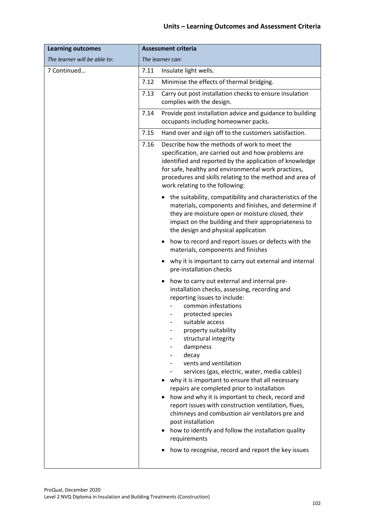| <b>Learning outcomes</b>     | <b>Assessment criteria</b>                                                                                                                                                                                                                                                                                                                                                                                                                                                                                                                                                                                                                                                                              |  |
|------------------------------|---------------------------------------------------------------------------------------------------------------------------------------------------------------------------------------------------------------------------------------------------------------------------------------------------------------------------------------------------------------------------------------------------------------------------------------------------------------------------------------------------------------------------------------------------------------------------------------------------------------------------------------------------------------------------------------------------------|--|
| The learner will be able to: | The learner can:                                                                                                                                                                                                                                                                                                                                                                                                                                                                                                                                                                                                                                                                                        |  |
| 7 Continued                  | Insulate light wells.<br>7.11                                                                                                                                                                                                                                                                                                                                                                                                                                                                                                                                                                                                                                                                           |  |
|                              | Minimise the effects of thermal bridging.<br>7.12                                                                                                                                                                                                                                                                                                                                                                                                                                                                                                                                                                                                                                                       |  |
|                              | 7.13<br>Carry out post installation checks to ensure insulation<br>complies with the design.                                                                                                                                                                                                                                                                                                                                                                                                                                                                                                                                                                                                            |  |
|                              | 7.14<br>Provide post installation advice and guidance to building<br>occupants including homeowner packs.                                                                                                                                                                                                                                                                                                                                                                                                                                                                                                                                                                                               |  |
|                              | 7.15<br>Hand over and sign off to the customers satisfaction.                                                                                                                                                                                                                                                                                                                                                                                                                                                                                                                                                                                                                                           |  |
|                              | Describe how the methods of work to meet the<br>7.16<br>specification, are carried out and how problems are<br>identified and reported by the application of knowledge<br>for safe, healthy and environmental work practices,<br>procedures and skills relating to the method and area of<br>work relating to the following:                                                                                                                                                                                                                                                                                                                                                                            |  |
|                              | • the suitability, compatibility and characteristics of the<br>materials, components and finishes, and determine if<br>they are moisture open or moisture closed, their<br>impact on the building and their appropriateness to<br>the design and physical application                                                                                                                                                                                                                                                                                                                                                                                                                                   |  |
|                              | how to record and report issues or defects with the<br>materials, components and finishes                                                                                                                                                                                                                                                                                                                                                                                                                                                                                                                                                                                                               |  |
|                              | why it is important to carry out external and internal<br>pre-installation checks                                                                                                                                                                                                                                                                                                                                                                                                                                                                                                                                                                                                                       |  |
|                              | how to carry out external and internal pre-<br>installation checks, assessing, recording and<br>reporting issues to include:<br>common infestations<br>protected species<br>suitable access<br>property suitability<br>structural integrity<br>dampness<br>decay<br>vents and ventilation<br>services (gas, electric, water, media cables)<br>why it is important to ensure that all necessary<br>repairs are completed prior to installation<br>how and why it is important to check, record and<br>report issues with construction ventilation, flues,<br>chimneys and combustion air ventilators pre and<br>post installation<br>how to identify and follow the installation quality<br>requirements |  |
|                              | how to recognise, record and report the key issues                                                                                                                                                                                                                                                                                                                                                                                                                                                                                                                                                                                                                                                      |  |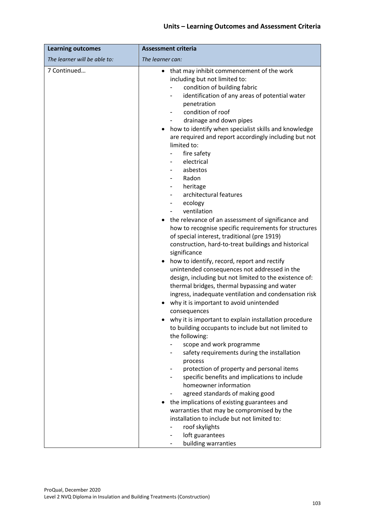| <b>Learning outcomes</b>     | <b>Assessment criteria</b>                                                                                                                                                                                                                                                                                                                                                                                                                                                                                                                                                                                                                                                                                                                                                                                                                                                                                                                                                                                                                                                                                                                                                                                                                                                                                                                                                                        |  |  |  |
|------------------------------|---------------------------------------------------------------------------------------------------------------------------------------------------------------------------------------------------------------------------------------------------------------------------------------------------------------------------------------------------------------------------------------------------------------------------------------------------------------------------------------------------------------------------------------------------------------------------------------------------------------------------------------------------------------------------------------------------------------------------------------------------------------------------------------------------------------------------------------------------------------------------------------------------------------------------------------------------------------------------------------------------------------------------------------------------------------------------------------------------------------------------------------------------------------------------------------------------------------------------------------------------------------------------------------------------------------------------------------------------------------------------------------------------|--|--|--|
| The learner will be able to: | The learner can:                                                                                                                                                                                                                                                                                                                                                                                                                                                                                                                                                                                                                                                                                                                                                                                                                                                                                                                                                                                                                                                                                                                                                                                                                                                                                                                                                                                  |  |  |  |
| 7 Continued                  | • that may inhibit commencement of the work<br>including but not limited to:<br>condition of building fabric<br>identification of any areas of potential water<br>penetration<br>condition of roof<br>drainage and down pipes<br>how to identify when specialist skills and knowledge<br>are required and report accordingly including but not<br>limited to:<br>fire safety<br>electrical<br>asbestos<br>Radon<br>heritage<br>architectural features<br>ecology<br>ventilation<br>the relevance of an assessment of significance and<br>how to recognise specific requirements for structures<br>of special interest, traditional (pre 1919)<br>construction, hard-to-treat buildings and historical<br>significance<br>how to identify, record, report and rectify<br>unintended consequences not addressed in the<br>design, including but not limited to the existence of:<br>thermal bridges, thermal bypassing and water<br>ingress, inadequate ventilation and condensation risk<br>why it is important to avoid unintended<br>consequences<br>why it is important to explain installation procedure<br>to building occupants to include but not limited to<br>the following:<br>scope and work programme<br>safety requirements during the installation<br>process<br>protection of property and personal items<br>specific benefits and implications to include<br>homeowner information |  |  |  |
|                              | agreed standards of making good<br>the implications of existing guarantees and<br>warranties that may be compromised by the                                                                                                                                                                                                                                                                                                                                                                                                                                                                                                                                                                                                                                                                                                                                                                                                                                                                                                                                                                                                                                                                                                                                                                                                                                                                       |  |  |  |
|                              | installation to include but not limited to:<br>roof skylights                                                                                                                                                                                                                                                                                                                                                                                                                                                                                                                                                                                                                                                                                                                                                                                                                                                                                                                                                                                                                                                                                                                                                                                                                                                                                                                                     |  |  |  |
|                              | loft guarantees<br>building warranties                                                                                                                                                                                                                                                                                                                                                                                                                                                                                                                                                                                                                                                                                                                                                                                                                                                                                                                                                                                                                                                                                                                                                                                                                                                                                                                                                            |  |  |  |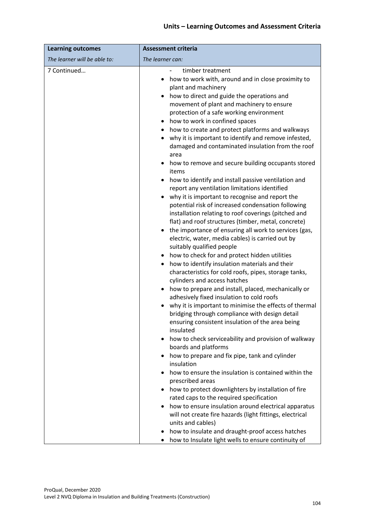| <b>Learning outcomes</b>     | <b>Assessment criteria</b>                                                                                                                                                                                                                                                                                                                                                                                                                                                                                                                                                                                                                                                                                                                                                                                                                                                                                                                                                                                                                                                                                                                                                                                                                                                                                                                                                                                                                                                                                                                      |  |  |  |
|------------------------------|-------------------------------------------------------------------------------------------------------------------------------------------------------------------------------------------------------------------------------------------------------------------------------------------------------------------------------------------------------------------------------------------------------------------------------------------------------------------------------------------------------------------------------------------------------------------------------------------------------------------------------------------------------------------------------------------------------------------------------------------------------------------------------------------------------------------------------------------------------------------------------------------------------------------------------------------------------------------------------------------------------------------------------------------------------------------------------------------------------------------------------------------------------------------------------------------------------------------------------------------------------------------------------------------------------------------------------------------------------------------------------------------------------------------------------------------------------------------------------------------------------------------------------------------------|--|--|--|
| The learner will be able to: | The learner can:                                                                                                                                                                                                                                                                                                                                                                                                                                                                                                                                                                                                                                                                                                                                                                                                                                                                                                                                                                                                                                                                                                                                                                                                                                                                                                                                                                                                                                                                                                                                |  |  |  |
| 7 Continued                  | timber treatment<br>how to work with, around and in close proximity to<br>plant and machinery<br>how to direct and guide the operations and<br>movement of plant and machinery to ensure<br>protection of a safe working environment<br>how to work in confined spaces<br>how to create and protect platforms and walkways<br>$\bullet$<br>why it is important to identify and remove infested,<br>damaged and contaminated insulation from the roof<br>area<br>how to remove and secure building occupants stored<br>items<br>how to identify and install passive ventilation and<br>report any ventilation limitations identified<br>why it is important to recognise and report the<br>potential risk of increased condensation following<br>installation relating to roof coverings (pitched and<br>flat) and roof structures (timber, metal, concrete)<br>the importance of ensuring all work to services (gas,<br>electric, water, media cables) is carried out by<br>suitably qualified people<br>how to check for and protect hidden utilities<br>how to identify insulation materials and their<br>characteristics for cold roofs, pipes, storage tanks,<br>cylinders and access hatches<br>how to prepare and install, placed, mechanically or<br>adhesively fixed insulation to cold roofs<br>why it is important to minimise the effects of thermal<br>bridging through compliance with design detail<br>ensuring consistent insulation of the area being<br>insulated<br>how to check serviceability and provision of walkway<br>٠ |  |  |  |
|                              | boards and platforms<br>how to prepare and fix pipe, tank and cylinder<br>insulation                                                                                                                                                                                                                                                                                                                                                                                                                                                                                                                                                                                                                                                                                                                                                                                                                                                                                                                                                                                                                                                                                                                                                                                                                                                                                                                                                                                                                                                            |  |  |  |
|                              | how to ensure the insulation is contained within the<br>prescribed areas<br>how to protect downlighters by installation of fire                                                                                                                                                                                                                                                                                                                                                                                                                                                                                                                                                                                                                                                                                                                                                                                                                                                                                                                                                                                                                                                                                                                                                                                                                                                                                                                                                                                                                 |  |  |  |
|                              | rated caps to the required specification<br>how to ensure insulation around electrical apparatus<br>will not create fire hazards (light fittings, electrical<br>units and cables)                                                                                                                                                                                                                                                                                                                                                                                                                                                                                                                                                                                                                                                                                                                                                                                                                                                                                                                                                                                                                                                                                                                                                                                                                                                                                                                                                               |  |  |  |
|                              | how to insulate and draught-proof access hatches<br>how to Insulate light wells to ensure continuity of                                                                                                                                                                                                                                                                                                                                                                                                                                                                                                                                                                                                                                                                                                                                                                                                                                                                                                                                                                                                                                                                                                                                                                                                                                                                                                                                                                                                                                         |  |  |  |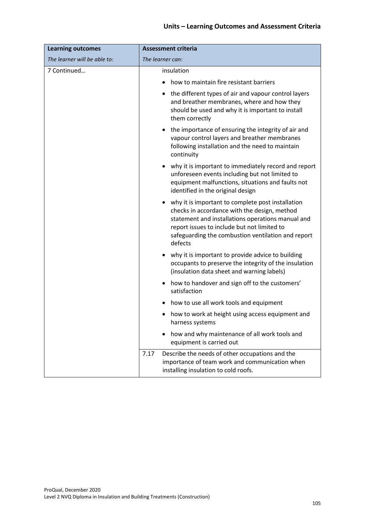| <b>Learning outcomes</b>     | <b>Assessment criteria</b>                                                                                                                                                                                                                                             |  |  |  |
|------------------------------|------------------------------------------------------------------------------------------------------------------------------------------------------------------------------------------------------------------------------------------------------------------------|--|--|--|
| The learner will be able to: | The learner can:                                                                                                                                                                                                                                                       |  |  |  |
| 7 Continued                  | insulation                                                                                                                                                                                                                                                             |  |  |  |
|                              | how to maintain fire resistant barriers                                                                                                                                                                                                                                |  |  |  |
|                              | the different types of air and vapour control layers<br>$\bullet$<br>and breather membranes, where and how they<br>should be used and why it is important to install<br>them correctly                                                                                 |  |  |  |
|                              | the importance of ensuring the integrity of air and<br>vapour control layers and breather membranes<br>following installation and the need to maintain<br>continuity                                                                                                   |  |  |  |
|                              | why it is important to immediately record and report<br>٠<br>unforeseen events including but not limited to<br>equipment malfunctions, situations and faults not<br>identified in the original design                                                                  |  |  |  |
|                              | why it is important to complete post installation<br>checks in accordance with the design, method<br>statement and installations operations manual and<br>report issues to include but not limited to<br>safeguarding the combustion ventilation and report<br>defects |  |  |  |
|                              | why it is important to provide advice to building<br>occupants to preserve the integrity of the insulation<br>(insulation data sheet and warning labels)                                                                                                               |  |  |  |
|                              | how to handover and sign off to the customers'<br>٠<br>satisfaction                                                                                                                                                                                                    |  |  |  |
|                              | how to use all work tools and equipment                                                                                                                                                                                                                                |  |  |  |
|                              | how to work at height using access equipment and<br>harness systems                                                                                                                                                                                                    |  |  |  |
|                              | how and why maintenance of all work tools and<br>equipment is carried out                                                                                                                                                                                              |  |  |  |
|                              | Describe the needs of other occupations and the<br>7.17<br>importance of team work and communication when<br>installing insulation to cold roofs.                                                                                                                      |  |  |  |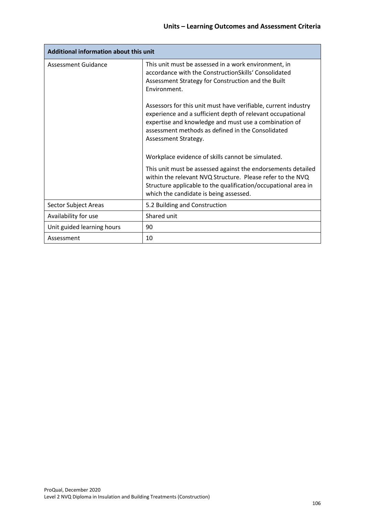| Additional information about this unit |                                                                                                                                                                                                                                                                                                                                                                                                                                                          |  |  |
|----------------------------------------|----------------------------------------------------------------------------------------------------------------------------------------------------------------------------------------------------------------------------------------------------------------------------------------------------------------------------------------------------------------------------------------------------------------------------------------------------------|--|--|
| <b>Assessment Guidance</b>             | This unit must be assessed in a work environment, in<br>accordance with the ConstructionSkills' Consolidated<br>Assessment Strategy for Construction and the Built<br>Environment.<br>Assessors for this unit must have verifiable, current industry<br>experience and a sufficient depth of relevant occupational<br>expertise and knowledge and must use a combination of<br>assessment methods as defined in the Consolidated<br>Assessment Strategy. |  |  |
|                                        | Workplace evidence of skills cannot be simulated.<br>This unit must be assessed against the endorsements detailed<br>within the relevant NVQ Structure. Please refer to the NVQ<br>Structure applicable to the qualification/occupational area in<br>which the candidate is being assessed.                                                                                                                                                              |  |  |
| Sector Subject Areas                   | 5.2 Building and Construction                                                                                                                                                                                                                                                                                                                                                                                                                            |  |  |
| Availability for use                   | Shared unit                                                                                                                                                                                                                                                                                                                                                                                                                                              |  |  |
| Unit guided learning hours             | 90                                                                                                                                                                                                                                                                                                                                                                                                                                                       |  |  |
| Assessment                             | 10                                                                                                                                                                                                                                                                                                                                                                                                                                                       |  |  |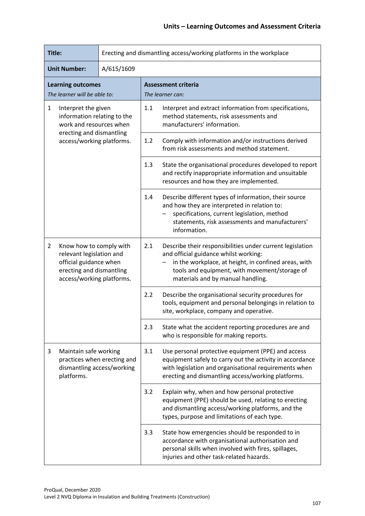| Title:                                                                                                                                      | Erecting and dismantling access/working platforms in the workplace                                                                      |                                                                                                                                                                                                                                                         |  |
|---------------------------------------------------------------------------------------------------------------------------------------------|-----------------------------------------------------------------------------------------------------------------------------------------|---------------------------------------------------------------------------------------------------------------------------------------------------------------------------------------------------------------------------------------------------------|--|
| <b>Unit Number:</b><br>A/615/1609                                                                                                           |                                                                                                                                         |                                                                                                                                                                                                                                                         |  |
| <b>Learning outcomes</b><br>The learner will be able to:                                                                                    |                                                                                                                                         | <b>Assessment criteria</b><br>The learner can:                                                                                                                                                                                                          |  |
| 1<br>Interpret the given<br>information relating to the<br>work and resources when<br>erecting and dismantling<br>access/working platforms. | 1.1<br>Interpret and extract information from specifications,<br>method statements, risk assessments and<br>manufacturers' information. |                                                                                                                                                                                                                                                         |  |
|                                                                                                                                             | Comply with information and/or instructions derived<br>1.2<br>from risk assessments and method statement.                               |                                                                                                                                                                                                                                                         |  |
|                                                                                                                                             |                                                                                                                                         | 1.3<br>State the organisational procedures developed to report<br>and rectify inappropriate information and unsuitable<br>resources and how they are implemented.                                                                                       |  |
|                                                                                                                                             |                                                                                                                                         | 1.4<br>Describe different types of information, their source<br>and how they are interpreted in relation to:<br>specifications, current legislation, method<br>statements, risk assessments and manufacturers'<br>information.                          |  |
| Know how to comply with<br>2<br>relevant legislation and<br>official guidance when<br>erecting and dismantling<br>access/working platforms. |                                                                                                                                         | 2.1<br>Describe their responsibilities under current legislation<br>and official guidance whilst working:<br>in the workplace, at height, in confined areas, with<br>tools and equipment, with movement/storage of<br>materials and by manual handling. |  |
|                                                                                                                                             |                                                                                                                                         | 2.2<br>Describe the organisational security procedures for<br>tools, equipment and personal belongings in relation to<br>site, workplace, company and operative.                                                                                        |  |
|                                                                                                                                             |                                                                                                                                         | 2.3<br>State what the accident reporting procedures are and<br>who is responsible for making reports.                                                                                                                                                   |  |
| Maintain safe working<br>3<br>practices when erecting and<br>dismantling access/working<br>platforms.                                       |                                                                                                                                         | 3.1<br>Use personal protective equipment (PPE) and access<br>equipment safely to carry out the activity in accordance<br>with legislation and organisational requirements when<br>erecting and dismantling access/working platforms.                    |  |
|                                                                                                                                             |                                                                                                                                         | Explain why, when and how personal protective<br>3.2<br>equipment (PPE) should be used, relating to erecting<br>and dismantling access/working platforms, and the<br>types, purpose and limitations of each type.                                       |  |
|                                                                                                                                             |                                                                                                                                         | State how emergencies should be responded to in<br>3.3<br>accordance with organisational authorisation and<br>personal skills when involved with fires, spillages,<br>injuries and other task-related hazards.                                          |  |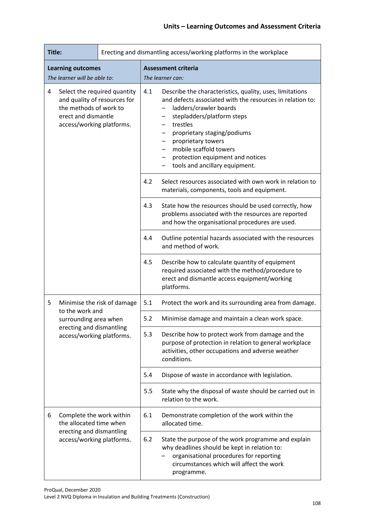| Title:<br>Erecting and dismantling access/working platforms in the workplace                                                                    |                                                       |                                                                                                                                                                                                          |                                                                                                                                                                                                                                                                                                                                                     |                                                                  |
|-------------------------------------------------------------------------------------------------------------------------------------------------|-------------------------------------------------------|----------------------------------------------------------------------------------------------------------------------------------------------------------------------------------------------------------|-----------------------------------------------------------------------------------------------------------------------------------------------------------------------------------------------------------------------------------------------------------------------------------------------------------------------------------------------------|------------------------------------------------------------------|
| <b>Learning outcomes</b><br>The learner will be able to:                                                                                        |                                                       |                                                                                                                                                                                                          | <b>Assessment criteria</b><br>The learner can:                                                                                                                                                                                                                                                                                                      |                                                                  |
| Select the required quantity<br>4<br>and quality of resources for<br>the methods of work to<br>erect and dismantle<br>access/working platforms. |                                                       | 4.1                                                                                                                                                                                                      | Describe the characteristics, quality, uses, limitations<br>and defects associated with the resources in relation to:<br>ladders/crawler boards<br>stepladders/platform steps<br>trestles<br>proprietary staging/podiums<br>proprietary towers<br>-<br>mobile scaffold towers<br>protection equipment and notices<br>tools and ancillary equipment. |                                                                  |
|                                                                                                                                                 |                                                       | 4.2                                                                                                                                                                                                      | Select resources associated with own work in relation to<br>materials, components, tools and equipment.                                                                                                                                                                                                                                             |                                                                  |
|                                                                                                                                                 |                                                       | 4.3                                                                                                                                                                                                      | State how the resources should be used correctly, how<br>problems associated with the resources are reported<br>and how the organisational procedures are used.                                                                                                                                                                                     |                                                                  |
|                                                                                                                                                 |                                                       | 4.4                                                                                                                                                                                                      | Outline potential hazards associated with the resources<br>and method of work.                                                                                                                                                                                                                                                                      |                                                                  |
|                                                                                                                                                 |                                                       | 4.5                                                                                                                                                                                                      | Describe how to calculate quantity of equipment<br>required associated with the method/procedure to<br>erect and dismantle access equipment/working<br>platforms.                                                                                                                                                                                   |                                                                  |
| 5                                                                                                                                               | Minimise the risk of damage<br>to the work and        |                                                                                                                                                                                                          | 5.1                                                                                                                                                                                                                                                                                                                                                 | Protect the work and its surrounding area from damage.           |
|                                                                                                                                                 | surrounding area when                                 |                                                                                                                                                                                                          | 5.2                                                                                                                                                                                                                                                                                                                                                 | Minimise damage and maintain a clean work space.                 |
|                                                                                                                                                 | erecting and dismantling<br>access/working platforms. | 5.3                                                                                                                                                                                                      | Describe how to protect work from damage and the<br>purpose of protection in relation to general workplace<br>activities, other occupations and adverse weather<br>conditions.                                                                                                                                                                      |                                                                  |
|                                                                                                                                                 |                                                       | 5.4                                                                                                                                                                                                      | Dispose of waste in accordance with legislation.                                                                                                                                                                                                                                                                                                    |                                                                  |
|                                                                                                                                                 |                                                       | 5.5                                                                                                                                                                                                      | State why the disposal of waste should be carried out in<br>relation to the work.                                                                                                                                                                                                                                                                   |                                                                  |
| 6                                                                                                                                               | Complete the work within<br>the allocated time when   |                                                                                                                                                                                                          | 6.1                                                                                                                                                                                                                                                                                                                                                 | Demonstrate completion of the work within the<br>allocated time. |
| erecting and dismantling<br>access/working platforms.                                                                                           | 6.2                                                   | State the purpose of the work programme and explain<br>why deadlines should be kept in relation to:<br>organisational procedures for reporting<br>circumstances which will affect the work<br>programme. |                                                                                                                                                                                                                                                                                                                                                     |                                                                  |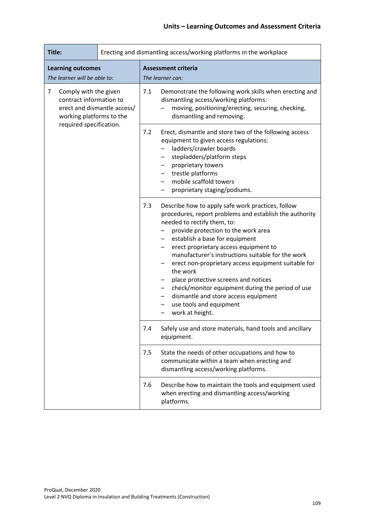| Title:                                                                                                                                      |                                                                                                                                                                                                                                                                      | Erecting and dismantling access/working platforms in the workplace                                                                                                                                                                                                                                                                                                                                                                                                                                                                                                                                              |
|---------------------------------------------------------------------------------------------------------------------------------------------|----------------------------------------------------------------------------------------------------------------------------------------------------------------------------------------------------------------------------------------------------------------------|-----------------------------------------------------------------------------------------------------------------------------------------------------------------------------------------------------------------------------------------------------------------------------------------------------------------------------------------------------------------------------------------------------------------------------------------------------------------------------------------------------------------------------------------------------------------------------------------------------------------|
| <b>Learning outcomes</b><br>The learner will be able to:                                                                                    |                                                                                                                                                                                                                                                                      | <b>Assessment criteria</b><br>The learner can:                                                                                                                                                                                                                                                                                                                                                                                                                                                                                                                                                                  |
| 7<br>Comply with the given<br>contract information to<br>erect and dismantle access/<br>working platforms to the<br>required specification. | 7.1<br>Demonstrate the following work skills when erecting and<br>dismantling access/working platforms:<br>moving, positioning/erecting, securing, checking,<br>dismantling and removing.                                                                            |                                                                                                                                                                                                                                                                                                                                                                                                                                                                                                                                                                                                                 |
|                                                                                                                                             | 7.2<br>Erect, dismantle and store two of the following access<br>equipment to given access regulations:<br>ladders/crawler boards<br>stepladders/platform steps<br>proprietary towers<br>trestle platforms<br>mobile scaffold towers<br>proprietary staging/podiums. |                                                                                                                                                                                                                                                                                                                                                                                                                                                                                                                                                                                                                 |
|                                                                                                                                             |                                                                                                                                                                                                                                                                      | Describe how to apply safe work practices, follow<br>7.3<br>procedures, report problems and establish the authority<br>needed to rectify them, to:<br>provide protection to the work area<br>establish a base for equipment<br>erect proprietary access equipment to<br>$\overline{\phantom{0}}$<br>manufacturer's instructions suitable for the work<br>erect non-proprietary access equipment suitable for<br>the work<br>place protective screens and notices<br>check/monitor equipment during the period of use<br>dismantle and store access equipment<br>use tools and equipment<br>work at height.<br>- |
|                                                                                                                                             |                                                                                                                                                                                                                                                                      | Safely use and store materials, hand tools and ancillary<br>7.4<br>equipment.                                                                                                                                                                                                                                                                                                                                                                                                                                                                                                                                   |
|                                                                                                                                             |                                                                                                                                                                                                                                                                      | 7.5<br>State the needs of other occupations and how to<br>communicate within a team when erecting and<br>dismantling access/working platforms.                                                                                                                                                                                                                                                                                                                                                                                                                                                                  |
|                                                                                                                                             |                                                                                                                                                                                                                                                                      | Describe how to maintain the tools and equipment used<br>7.6<br>when erecting and dismantling access/working<br>platforms.                                                                                                                                                                                                                                                                                                                                                                                                                                                                                      |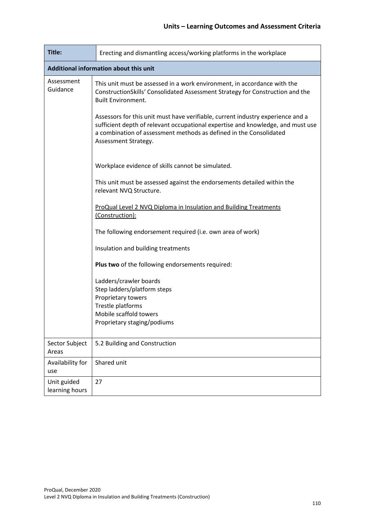| Title:                                 | Erecting and dismantling access/working platforms in the workplace                                                                                                                                                                                               |  |  |  |  |  |
|----------------------------------------|------------------------------------------------------------------------------------------------------------------------------------------------------------------------------------------------------------------------------------------------------------------|--|--|--|--|--|
| Additional information about this unit |                                                                                                                                                                                                                                                                  |  |  |  |  |  |
| Assessment<br>Guidance                 | This unit must be assessed in a work environment, in accordance with the<br>ConstructionSkills' Consolidated Assessment Strategy for Construction and the<br><b>Built Environment.</b>                                                                           |  |  |  |  |  |
|                                        | Assessors for this unit must have verifiable, current industry experience and a<br>sufficient depth of relevant occupational expertise and knowledge, and must use<br>a combination of assessment methods as defined in the Consolidated<br>Assessment Strategy. |  |  |  |  |  |
|                                        | Workplace evidence of skills cannot be simulated.                                                                                                                                                                                                                |  |  |  |  |  |
|                                        | This unit must be assessed against the endorsements detailed within the<br>relevant NVQ Structure.                                                                                                                                                               |  |  |  |  |  |
|                                        | ProQual Level 2 NVQ Diploma in Insulation and Building Treatments<br>(Construction):                                                                                                                                                                             |  |  |  |  |  |
|                                        | The following endorsement required (i.e. own area of work)                                                                                                                                                                                                       |  |  |  |  |  |
|                                        | Insulation and building treatments                                                                                                                                                                                                                               |  |  |  |  |  |
|                                        | Plus two of the following endorsements required:                                                                                                                                                                                                                 |  |  |  |  |  |
|                                        | Ladders/crawler boards<br>Step ladders/platform steps<br>Proprietary towers<br>Trestle platforms                                                                                                                                                                 |  |  |  |  |  |
|                                        | Mobile scaffold towers<br>Proprietary staging/podiums                                                                                                                                                                                                            |  |  |  |  |  |
| Sector Subject<br>Areas                | 5.2 Building and Construction                                                                                                                                                                                                                                    |  |  |  |  |  |
| Availability for<br>use                | Shared unit                                                                                                                                                                                                                                                      |  |  |  |  |  |
| Unit guided<br>learning hours          | 27                                                                                                                                                                                                                                                               |  |  |  |  |  |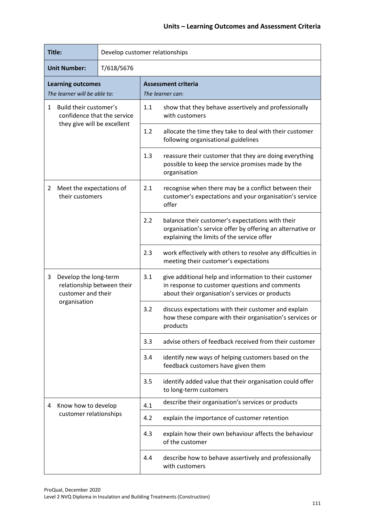| Title:                                                                                         |                                               | Develop customer relationships |                                                                                                                                                              |                                                                          |  |
|------------------------------------------------------------------------------------------------|-----------------------------------------------|--------------------------------|--------------------------------------------------------------------------------------------------------------------------------------------------------------|--------------------------------------------------------------------------|--|
| T/618/5676<br><b>Unit Number:</b>                                                              |                                               |                                |                                                                                                                                                              |                                                                          |  |
| <b>Learning outcomes</b><br>The learner will be able to:                                       |                                               |                                | <b>Assessment criteria</b><br>The learner can:                                                                                                               |                                                                          |  |
| Build their customer's<br>1<br>confidence that the service<br>they give will be excellent      |                                               | 1.1                            | show that they behave assertively and professionally<br>with customers                                                                                       |                                                                          |  |
|                                                                                                |                                               | 1.2                            | allocate the time they take to deal with their customer<br>following organisational guidelines                                                               |                                                                          |  |
|                                                                                                |                                               | 1.3                            | reassure their customer that they are doing everything<br>possible to keep the service promises made by the<br>organisation                                  |                                                                          |  |
| Meet the expectations of<br>2<br>their customers                                               |                                               | 2.1                            | recognise when there may be a conflict between their<br>customer's expectations and your organisation's service<br>offer                                     |                                                                          |  |
|                                                                                                |                                               | 2.2                            | balance their customer's expectations with their<br>organisation's service offer by offering an alternative or<br>explaining the limits of the service offer |                                                                          |  |
|                                                                                                |                                               | 2.3                            | work effectively with others to resolve any difficulties in<br>meeting their customer's expectations                                                         |                                                                          |  |
| Develop the long-term<br>3<br>relationship between their<br>customer and their<br>organisation |                                               | 3.1                            | give additional help and information to their customer<br>in response to customer questions and comments<br>about their organisation's services or products  |                                                                          |  |
|                                                                                                |                                               | 3.2                            | discuss expectations with their customer and explain<br>how these compare with their organisation's services or<br>products                                  |                                                                          |  |
|                                                                                                |                                               | 3.3                            | advise others of feedback received from their customer                                                                                                       |                                                                          |  |
|                                                                                                |                                               | 3.4                            | identify new ways of helping customers based on the<br>feedback customers have given them                                                                    |                                                                          |  |
|                                                                                                | 3.5                                           |                                | identify added value that their organisation could offer<br>to long-term customers                                                                           |                                                                          |  |
| 4                                                                                              | Know how to develop<br>customer relationships |                                | 4.1                                                                                                                                                          | describe their organisation's services or products                       |  |
|                                                                                                |                                               |                                | 4.2                                                                                                                                                          | explain the importance of customer retention                             |  |
|                                                                                                |                                               |                                | 4.3                                                                                                                                                          | explain how their own behaviour affects the behaviour<br>of the customer |  |
|                                                                                                |                                               |                                | 4.4                                                                                                                                                          | describe how to behave assertively and professionally<br>with customers  |  |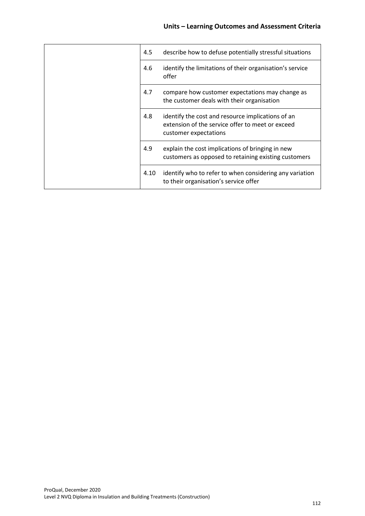|  | 4.5  | describe how to defuse potentially stressful situations                                                                        |
|--|------|--------------------------------------------------------------------------------------------------------------------------------|
|  | 4.6  | identify the limitations of their organisation's service<br>offer                                                              |
|  | 4.7  | compare how customer expectations may change as<br>the customer deals with their organisation                                  |
|  | 4.8  | identify the cost and resource implications of an<br>extension of the service offer to meet or exceed<br>customer expectations |
|  | 4.9  | explain the cost implications of bringing in new<br>customers as opposed to retaining existing customers                       |
|  | 4.10 | identify who to refer to when considering any variation<br>to their organisation's service offer                               |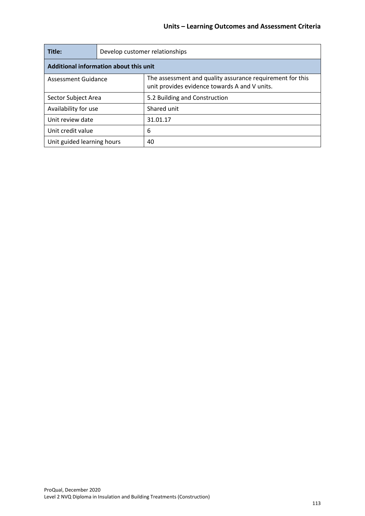| Title:                                 | Develop customer relationships |                                                                                                            |  |  |  |
|----------------------------------------|--------------------------------|------------------------------------------------------------------------------------------------------------|--|--|--|
| Additional information about this unit |                                |                                                                                                            |  |  |  |
| Assessment Guidance                    |                                | The assessment and quality assurance requirement for this<br>unit provides evidence towards A and V units. |  |  |  |
| Sector Subject Area                    |                                | 5.2 Building and Construction                                                                              |  |  |  |
| Availability for use                   |                                | Shared unit                                                                                                |  |  |  |
| Unit review date                       |                                | 31.01.17                                                                                                   |  |  |  |
| Unit credit value                      |                                | 6                                                                                                          |  |  |  |
| Unit guided learning hours             |                                | 40                                                                                                         |  |  |  |